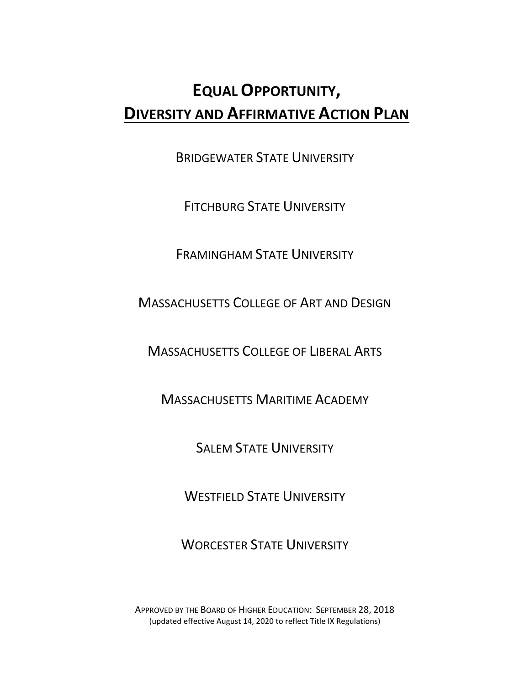# **EQUAL OPPORTUNITY, DIVERSITY AND AFFIRMATIVE ACTION PLAN**

BRIDGEWATER STATE UNIVERSITY

FITCHBURG STATE UNIVERSITY

FRAMINGHAM STATE UNIVERSITY

MASSACHUSETTS COLLEGE OF ART AND DESIGN

MASSACHUSETTS COLLEGE OF LIBERAL ARTS

MASSACHUSETTS MARITIME ACADEMY

SALEM STATE UNIVERSITY

WESTFIELD STATE UNIVERSITY

WORCESTER STATE UNIVERSITY

APPROVED BY THE BOARD OF HIGHER EDUCATION: SEPTEMBER 28, 2018 (updated effective August 14, 2020 to reflect Title IX Regulations)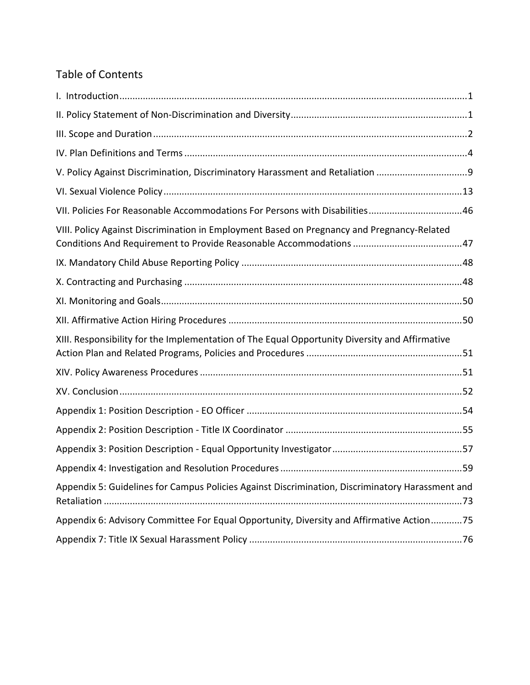# Table of Contents

| V. Policy Against Discrimination, Discriminatory Harassment and Retaliation                      |  |
|--------------------------------------------------------------------------------------------------|--|
|                                                                                                  |  |
| VII. Policies For Reasonable Accommodations For Persons with Disabilities46                      |  |
| VIII. Policy Against Discrimination in Employment Based on Pregnancy and Pregnancy-Related       |  |
|                                                                                                  |  |
|                                                                                                  |  |
|                                                                                                  |  |
|                                                                                                  |  |
| XIII. Responsibility for the Implementation of The Equal Opportunity Diversity and Affirmative   |  |
|                                                                                                  |  |
|                                                                                                  |  |
|                                                                                                  |  |
|                                                                                                  |  |
|                                                                                                  |  |
|                                                                                                  |  |
| Appendix 5: Guidelines for Campus Policies Against Discrimination, Discriminatory Harassment and |  |
| Appendix 6: Advisory Committee For Equal Opportunity, Diversity and Affirmative Action75         |  |
|                                                                                                  |  |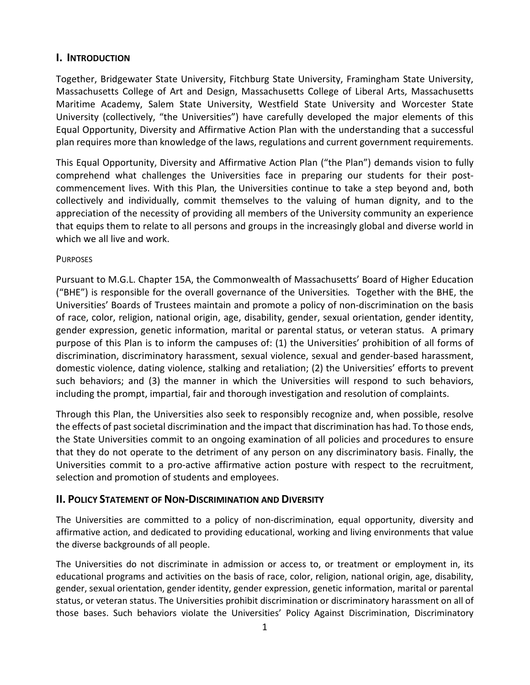# <span id="page-2-0"></span>**I. INTRODUCTION**

Together, Bridgewater State University, Fitchburg State University, Framingham State University, Massachusetts College of Art and Design, Massachusetts College of Liberal Arts, Massachusetts Maritime Academy, Salem State University, Westfield State University and Worcester State University (collectively, "the Universities") have carefully developed the major elements of this Equal Opportunity, Diversity and Affirmative Action Plan with the understanding that a successful plan requires more than knowledge of the laws, regulations and current government requirements.

This Equal Opportunity, Diversity and Affirmative Action Plan ("the Plan") demands vision to fully comprehend what challenges the Universities face in preparing our students for their postcommencement lives. With this Plan*,* the Universities continue to take a step beyond and, both collectively and individually, commit themselves to the valuing of human dignity, and to the appreciation of the necessity of providing all members of the University community an experience that equips them to relate to all persons and groups in the increasingly global and diverse world in which we all live and work.

### **PURPOSES**

Pursuant to M.G.L. Chapter 15A, the Commonwealth of Massachusetts' Board of Higher Education ("BHE") is responsible for the overall governance of the Universities*.* Together with the BHE, the Universities' Boards of Trustees maintain and promote a policy of non-discrimination on the basis of race, color, religion, national origin, age, disability, gender, sexual orientation, gender identity, gender expression, genetic information, marital or parental status, or veteran status. A primary purpose of this Plan is to inform the campuses of: (1) the Universities' prohibition of all forms of discrimination, discriminatory harassment, sexual violence, sexual and gender-based harassment, domestic violence, dating violence, stalking and retaliation; (2) the Universities' efforts to prevent such behaviors; and (3) the manner in which the Universities will respond to such behaviors, including the prompt, impartial, fair and thorough investigation and resolution of complaints.

Through this Plan, the Universities also seek to responsibly recognize and, when possible, resolve the effects of past societal discrimination and the impact that discrimination has had. To those ends, the State Universities commit to an ongoing examination of all policies and procedures to ensure that they do not operate to the detriment of any person on any discriminatory basis. Finally, the Universities commit to a pro-active affirmative action posture with respect to the recruitment, selection and promotion of students and employees.

# <span id="page-2-1"></span>**II. POLICY STATEMENT OF NON-DISCRIMINATION AND DIVERSITY**

The Universities are committed to a policy of non-discrimination, equal opportunity, diversity and affirmative action, and dedicated to providing educational, working and living environments that value the diverse backgrounds of all people.

The Universities do not discriminate in admission or access to, or treatment or employment in, its educational programs and activities on the basis of race, color, religion, national origin, age, disability, gender, sexual orientation, gender identity, gender expression, genetic information, marital or parental status, or veteran status. The Universities prohibit discrimination or discriminatory harassment on all of those bases. Such behaviors violate the Universities' Policy Against Discrimination, Discriminatory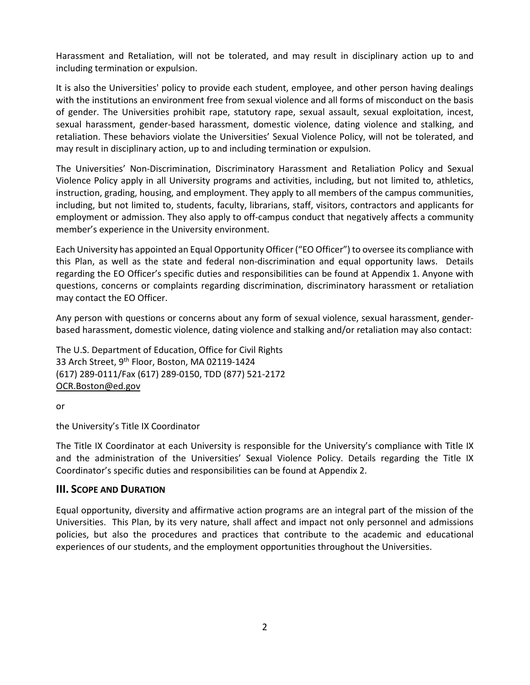Harassment and Retaliation, will not be tolerated, and may result in disciplinary action up to and including termination or expulsion.

It is also the Universities' policy to provide each student, employee, and other person having dealings with the institutions an environment free from sexual violence and all forms of misconduct on the basis of gender. The Universities prohibit rape, statutory rape, sexual assault, sexual exploitation, incest, sexual harassment, gender-based harassment, domestic violence, dating violence and stalking, and retaliation. These behaviors violate the Universities' Sexual Violence Policy, will not be tolerated, and may result in disciplinary action, up to and including termination or expulsion.

The Universities' Non-Discrimination, Discriminatory Harassment and Retaliation Policy and Sexual Violence Policy apply in all University programs and activities, including, but not limited to, athletics, instruction, grading, housing, and employment. They apply to all members of the campus communities, including, but not limited to, students, faculty, librarians, staff, visitors, contractors and applicants for employment or admission. They also apply to off-campus conduct that negatively affects a community member's experience in the University environment.

Each University has appointed an Equal Opportunity Officer ("EO Officer") to oversee its compliance with this Plan, as well as the state and federal non-discrimination and equal opportunity laws. Details regarding the EO Officer's specific duties and responsibilities can be found at Appendix 1. Anyone with questions, concerns or complaints regarding discrimination, discriminatory harassment or retaliation may contact the EO Officer.

Any person with questions or concerns about any form of sexual violence, sexual harassment, genderbased harassment, domestic violence, dating violence and stalking and/or retaliation may also contact:

The U.S. Department of Education, Office for Civil Rights 33 Arch Street, 9<sup>th</sup> Floor, Boston, MA 02119-1424 (617) 289-0111/Fax (617) 289-0150, TDD (877) 521-2172 [OCR.Boston@ed.gov](mailto:OCR.Boston@ed.gov)

or

the University's Title IX Coordinator

The Title IX Coordinator at each University is responsible for the University's compliance with Title IX and the administration of the Universities' Sexual Violence Policy. Details regarding the Title IX Coordinator's specific duties and responsibilities can be found at Appendix 2.

### <span id="page-3-0"></span>**III. SCOPE AND DURATION**

Equal opportunity, diversity and affirmative action programs are an integral part of the mission of the Universities. This Plan, by its very nature, shall affect and impact not only personnel and admissions policies, but also the procedures and practices that contribute to the academic and educational experiences of our students, and the employment opportunities throughout the Universities.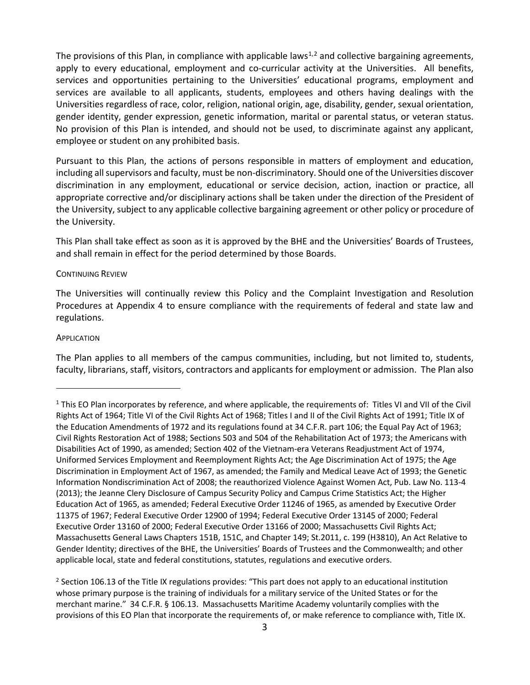The provisions of this Plan, in compliance with applicable laws<sup>[1](#page-4-0),[2](#page-4-1)</sup> and collective bargaining agreements, apply to every educational, employment and co-curricular activity at the Universities. All benefits, services and opportunities pertaining to the Universities' educational programs, employment and services are available to all applicants, students, employees and others having dealings with the Universities regardless of race, color, religion, national origin, age, disability, gender, sexual orientation, gender identity, gender expression, genetic information, marital or parental status, or veteran status. No provision of this Plan is intended, and should not be used, to discriminate against any applicant, employee or student on any prohibited basis.

Pursuant to this Plan, the actions of persons responsible in matters of employment and education, including all supervisors and faculty, must be non-discriminatory. Should one of the Universities discover discrimination in any employment, educational or service decision, action, inaction or practice, all appropriate corrective and/or disciplinary actions shall be taken under the direction of the President of the University, subject to any applicable collective bargaining agreement or other policy or procedure of the University.

This Plan shall take effect as soon as it is approved by the BHE and the Universities' Boards of Trustees, and shall remain in effect for the period determined by those Boards.

#### CONTINUING REVIEW

The Universities will continually review this Policy and the Complaint Investigation and Resolution Procedures at Appendix 4 to ensure compliance with the requirements of federal and state law and regulations.

#### **APPLICATION**

 $\overline{a}$ 

The Plan applies to all members of the campus communities, including, but not limited to, students, faculty, librarians, staff, visitors, contractors and applicants for employment or admission. The Plan also

<span id="page-4-0"></span> $1$  This EO Plan incorporates by reference, and where applicable, the requirements of: Titles VI and VII of the Civil Rights Act of 1964; Title VI of the Civil Rights Act of 1968; Titles I and II of the Civil Rights Act of 1991; Title IX of the Education Amendments of 1972 and its regulations found at 34 C.F.R. part 106; the Equal Pay Act of 1963; Civil Rights Restoration Act of 1988; Sections 503 and 504 of the Rehabilitation Act of 1973; the Americans with Disabilities Act of 1990, as amended; Section 402 of the Vietnam-era Veterans Readjustment Act of 1974, Uniformed Services Employment and Reemployment Rights Act; the Age Discrimination Act of 1975; the Age Discrimination in Employment Act of 1967, as amended; the Family and Medical Leave Act of 1993; the Genetic Information Nondiscrimination Act of 2008; the reauthorized Violence Against Women Act, Pub. Law No. 113-4 (2013); the Jeanne Clery Disclosure of Campus Security Policy and Campus Crime Statistics Act; the Higher Education Act of 1965, as amended; Federal Executive Order 11246 of 1965, as amended by Executive Order 11375 of 1967; Federal Executive Order 12900 of 1994; Federal Executive Order 13145 of 2000; Federal Executive Order 13160 of 2000; Federal Executive Order 13166 of 2000; Massachusetts Civil Rights Act; Massachusetts General Laws Chapters 151B, 151C, and Chapter 149; St.2011, c. 199 (H3810), An Act Relative to Gender Identity; directives of the BHE, the Universities' Boards of Trustees and the Commonwealth; and other applicable local, state and federal constitutions, statutes, regulations and executive orders.

<span id="page-4-1"></span><sup>&</sup>lt;sup>2</sup> Section 106.13 of the Title IX regulations provides: "This part does not apply to an educational institution whose primary purpose is the training of individuals for a military service of the United States or for the merchant marine." 34 C.F.R. § 106.13. Massachusetts Maritime Academy voluntarily complies with the provisions of this EO Plan that incorporate the requirements of, or make reference to compliance with, Title IX.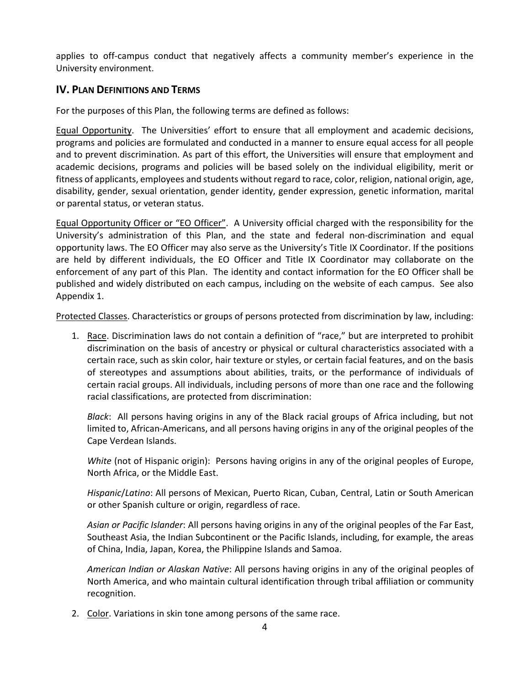applies to off-campus conduct that negatively affects a community member's experience in the University environment.

# <span id="page-5-0"></span>**IV. PLAN DEFINITIONS AND TERMS**

For the purposes of this Plan, the following terms are defined as follows:

Equal Opportunity. The Universities' effort to ensure that all employment and academic decisions, programs and policies are formulated and conducted in a manner to ensure equal access for all people and to prevent discrimination. As part of this effort, the Universities will ensure that employment and academic decisions, programs and policies will be based solely on the individual eligibility, merit or fitness of applicants, employees and students without regard to race, color, religion, national origin, age, disability, gender, sexual orientation, gender identity, gender expression, genetic information, marital or parental status, or veteran status.

Equal Opportunity Officer or "EO Officer". A University official charged with the responsibility for the University's administration of this Plan, and the state and federal non-discrimination and equal opportunity laws. The EO Officer may also serve as the University's Title IX Coordinator. If the positions are held by different individuals, the EO Officer and Title IX Coordinator may collaborate on the enforcement of any part of this Plan. The identity and contact information for the EO Officer shall be published and widely distributed on each campus, including on the website of each campus. See also Appendix 1.

Protected Classes. Characteristics or groups of persons protected from discrimination by law, including:

1. Race. Discrimination laws do not contain a definition of "race," but are interpreted to prohibit discrimination on the basis of ancestry or physical or cultural characteristics associated with a certain race, such as skin color, hair texture or styles, or certain facial features, and on the basis of stereotypes and assumptions about abilities, traits, or the performance of individuals of certain racial groups. All individuals, including persons of more than one race and the following racial classifications, are protected from discrimination:

*Black*: All persons having origins in any of the Black racial groups of Africa including, but not limited to, African-Americans, and all persons having origins in any of the original peoples of the Cape Verdean Islands.

*White* (not of Hispanic origin): Persons having origins in any of the original peoples of Europe, North Africa, or the Middle East.

*Hispanic*/*Latino*: All persons of Mexican, Puerto Rican, Cuban, Central, Latin or South American or other Spanish culture or origin, regardless of race.

*Asian or Pacific Islander*: All persons having origins in any of the original peoples of the Far East, Southeast Asia, the Indian Subcontinent or the Pacific Islands, including, for example, the areas of China, India, Japan, Korea, the Philippine Islands and Samoa.

*American Indian or Alaskan Native*: All persons having origins in any of the original peoples of North America, and who maintain cultural identification through tribal affiliation or community recognition.

2. Color. Variations in skin tone among persons of the same race.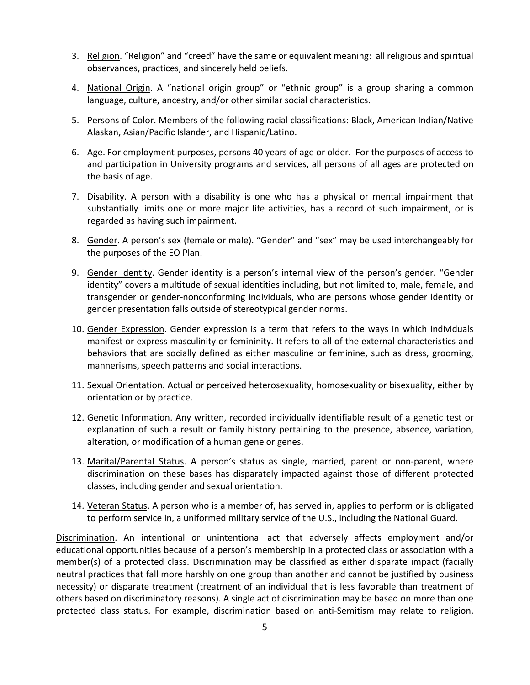- 3. Religion. "Religion" and "creed" have the same or equivalent meaning: all religious and spiritual observances, practices, and sincerely held beliefs.
- 4. National Origin. A "national origin group" or "ethnic group" is a group sharing a common language, culture, ancestry, and/or other similar social characteristics.
- 5. Persons of Color. Members of the following racial classifications: Black, American Indian/Native Alaskan, Asian/Pacific Islander, and Hispanic/Latino.
- 6. Age. For employment purposes, persons 40 years of age or older. For the purposes of access to and participation in University programs and services, all persons of all ages are protected on the basis of age.
- 7. Disability. A person with a disability is one who has a physical or mental impairment that substantially limits one or more major life activities, has a record of such impairment, or is regarded as having such impairment.
- 8. Gender. A person's sex (female or male). "Gender" and "sex" may be used interchangeably for the purposes of the EO Plan.
- 9. Gender Identity. Gender identity is a person's internal view of the person's gender. "Gender identity" covers a multitude of sexual identities including, but not limited to, male, female, and transgender or gender-nonconforming individuals, who are persons whose gender identity or gender presentation falls outside of stereotypical gender norms.
- 10. Gender Expression. Gender expression is a term that refers to the ways in which individuals manifest or express masculinity or femininity. It refers to all of the external characteristics and behaviors that are socially defined as either masculine or feminine, such as dress, grooming, mannerisms, speech patterns and social interactions.
- 11. Sexual Orientation. Actual or perceived heterosexuality, homosexuality or bisexuality, either by orientation or by practice.
- 12. Genetic Information. Any written, recorded individually identifiable result of a genetic test or explanation of such a result or family history pertaining to the presence, absence, variation, alteration, or modification of a human gene or genes.
- 13. Marital/Parental Status. A person's status as single, married, parent or non-parent, where discrimination on these bases has disparately impacted against those of different protected classes, including gender and sexual orientation.
- 14. Veteran Status. A person who is a member of, has served in, applies to perform or is obligated to perform service in, a uniformed military service of the U.S., including the National Guard.

Discrimination. An intentional or unintentional act that adversely affects employment and/or educational opportunities because of a person's membership in a protected class or association with a member(s) of a protected class. Discrimination may be classified as either disparate impact (facially neutral practices that fall more harshly on one group than another and cannot be justified by business necessity) or disparate treatment (treatment of an individual that is less favorable than treatment of others based on discriminatory reasons). A single act of discrimination may be based on more than one protected class status. For example, discrimination based on anti-Semitism may relate to religion,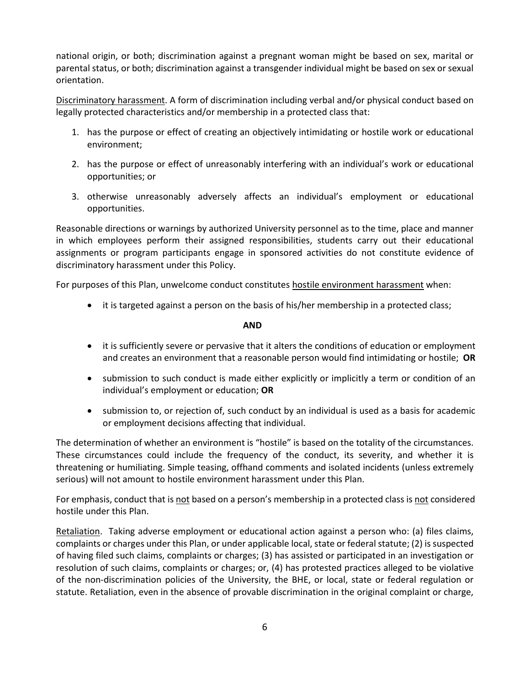national origin, or both; discrimination against a pregnant woman might be based on sex, marital or parental status, or both; discrimination against a transgender individual might be based on sex or sexual orientation.

Discriminatory harassment. A form of discrimination including verbal and/or physical conduct based on legally protected characteristics and/or membership in a protected class that:

- 1. has the purpose or effect of creating an objectively intimidating or hostile work or educational environment;
- 2. has the purpose or effect of unreasonably interfering with an individual's work or educational opportunities; or
- 3. otherwise unreasonably adversely affects an individual's employment or educational opportunities.

Reasonable directions or warnings by authorized University personnel as to the time, place and manner in which employees perform their assigned responsibilities, students carry out their educational assignments or program participants engage in sponsored activities do not constitute evidence of discriminatory harassment under this Policy.

For purposes of this Plan, unwelcome conduct constitutes hostile environment harassment when:

• it is targeted against a person on the basis of his/her membership in a protected class;

### **AND**

- it is sufficiently severe or pervasive that it alters the conditions of education or employment and creates an environment that a reasonable person would find intimidating or hostile; **OR**
- submission to such conduct is made either explicitly or implicitly a term or condition of an individual's employment or education; **OR**
- submission to, or rejection of, such conduct by an individual is used as a basis for academic or employment decisions affecting that individual.

The determination of whether an environment is "hostile" is based on the totality of the circumstances. These circumstances could include the frequency of the conduct, its severity, and whether it is threatening or humiliating. Simple teasing, offhand comments and isolated incidents (unless extremely serious) will not amount to hostile environment harassment under this Plan.

For emphasis, conduct that is not based on a person's membership in a protected class is not considered hostile under this Plan.

Retaliation. Taking adverse employment or educational action against a person who: (a) files claims, complaints or charges under this Plan, or under applicable local, state or federal statute; (2) is suspected of having filed such claims, complaints or charges; (3) has assisted or participated in an investigation or resolution of such claims, complaints or charges; or, (4) has protested practices alleged to be violative of the non-discrimination policies of the University, the BHE, or local, state or federal regulation or statute. Retaliation, even in the absence of provable discrimination in the original complaint or charge,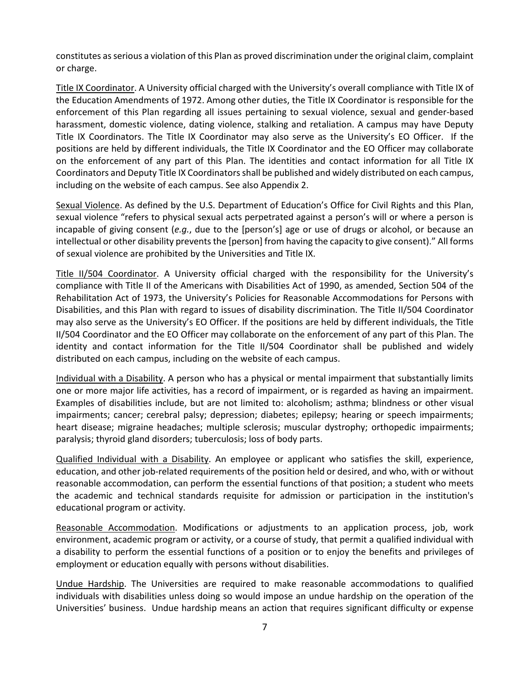constitutes as serious a violation of this Plan as proved discrimination under the original claim, complaint or charge.

Title IX Coordinator. A University official charged with the University's overall compliance with Title IX of the Education Amendments of 1972. Among other duties, the Title IX Coordinator is responsible for the enforcement of this Plan regarding all issues pertaining to sexual violence, sexual and gender-based harassment, domestic violence, dating violence, stalking and retaliation. A campus may have Deputy Title IX Coordinators. The Title IX Coordinator may also serve as the University's EO Officer. If the positions are held by different individuals, the Title IX Coordinator and the EO Officer may collaborate on the enforcement of any part of this Plan. The identities and contact information for all Title IX Coordinators and Deputy Title IX Coordinators shall be published and widely distributed on each campus, including on the website of each campus. See also Appendix 2.

Sexual Violence. As defined by the U.S. Department of Education's Office for Civil Rights and this Plan, sexual violence "refers to physical sexual acts perpetrated against a person's will or where a person is incapable of giving consent (*e.g.*, due to the [person's] age or use of drugs or alcohol, or because an intellectual or other disability prevents the [person] from having the capacity to give consent)." All forms of sexual violence are prohibited by the Universities and Title IX.

Title II/504 Coordinator. A University official charged with the responsibility for the University's compliance with Title II of the Americans with Disabilities Act of 1990, as amended, Section 504 of the Rehabilitation Act of 1973, the University's Policies for Reasonable Accommodations for Persons with Disabilities, and this Plan with regard to issues of disability discrimination. The Title II/504 Coordinator may also serve as the University's EO Officer. If the positions are held by different individuals, the Title II/504 Coordinator and the EO Officer may collaborate on the enforcement of any part of this Plan. The identity and contact information for the Title II/504 Coordinator shall be published and widely distributed on each campus, including on the website of each campus.

Individual with a Disability. A person who has a physical or mental impairment that substantially limits one or more major life activities, has a record of impairment, or is regarded as having an impairment. Examples of disabilities include, but are not limited to: alcoholism; asthma; blindness or other visual impairments; cancer; cerebral palsy; depression; diabetes; epilepsy; hearing or speech impairments; heart disease; migraine headaches; multiple sclerosis; muscular dystrophy; orthopedic impairments; paralysis; thyroid gland disorders; tuberculosis; loss of body parts.

Qualified Individual with a Disability. An employee or applicant who satisfies the skill, experience, education, and other job-related requirements of the position held or desired, and who, with or without reasonable accommodation, can perform the essential functions of that position; a student who meets the academic and technical standards requisite for admission or participation in the institution's educational program or activity.

Reasonable Accommodation. Modifications or adjustments to an application process, job, work environment, academic program or activity, or a course of study, that permit a qualified individual with a disability to perform the essential functions of a position or to enjoy the benefits and privileges of employment or education equally with persons without disabilities.

Undue Hardship. The Universities are required to make reasonable accommodations to qualified individuals with disabilities unless doing so would impose an undue hardship on the operation of the Universities' business. Undue hardship means an action that requires significant difficulty or expense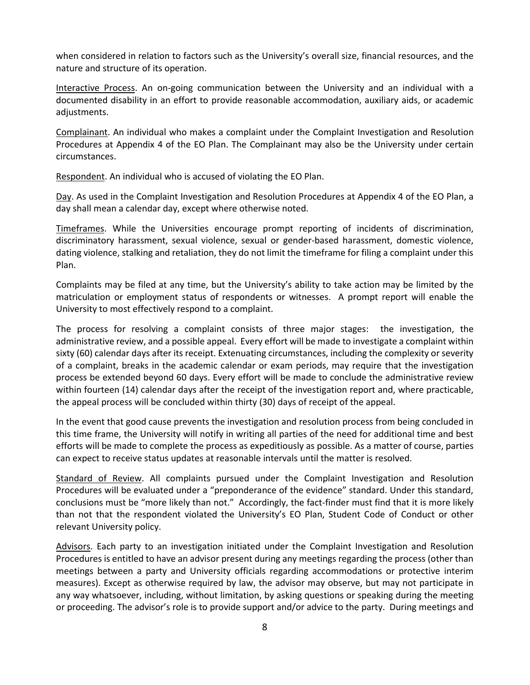when considered in relation to factors such as the University's overall size, financial resources, and the nature and structure of its operation.

Interactive Process. An on-going communication between the University and an individual with a documented disability in an effort to provide reasonable accommodation, auxiliary aids, or academic adjustments.

Complainant. An individual who makes a complaint under the Complaint Investigation and Resolution Procedures at Appendix 4 of the EO Plan. The Complainant may also be the University under certain circumstances.

Respondent. An individual who is accused of violating the EO Plan.

Day. As used in the Complaint Investigation and Resolution Procedures at Appendix 4 of the EO Plan, a day shall mean a calendar day, except where otherwise noted.

Timeframes. While the Universities encourage prompt reporting of incidents of discrimination, discriminatory harassment, sexual violence, sexual or gender-based harassment, domestic violence, dating violence, stalking and retaliation, they do not limit the timeframe for filing a complaint under this Plan.

Complaints may be filed at any time, but the University's ability to take action may be limited by the matriculation or employment status of respondents or witnesses. A prompt report will enable the University to most effectively respond to a complaint.

The process for resolving a complaint consists of three major stages: the investigation, the administrative review, and a possible appeal. Every effort will be made to investigate a complaint within sixty (60) calendar days after its receipt. Extenuating circumstances, including the complexity or severity of a complaint, breaks in the academic calendar or exam periods, may require that the investigation process be extended beyond 60 days. Every effort will be made to conclude the administrative review within fourteen (14) calendar days after the receipt of the investigation report and, where practicable, the appeal process will be concluded within thirty (30) days of receipt of the appeal.

In the event that good cause prevents the investigation and resolution process from being concluded in this time frame, the University will notify in writing all parties of the need for additional time and best efforts will be made to complete the process as expeditiously as possible. As a matter of course, parties can expect to receive status updates at reasonable intervals until the matter is resolved.

Standard of Review. All complaints pursued under the Complaint Investigation and Resolution Procedures will be evaluated under a "preponderance of the evidence" standard. Under this standard, conclusions must be "more likely than not." Accordingly, the fact-finder must find that it is more likely than not that the respondent violated the University's EO Plan, Student Code of Conduct or other relevant University policy.

Advisors. Each party to an investigation initiated under the Complaint Investigation and Resolution Procedures is entitled to have an advisor present during any meetings regarding the process (other than meetings between a party and University officials regarding accommodations or protective interim measures). Except as otherwise required by law, the advisor may observe, but may not participate in any way whatsoever, including, without limitation, by asking questions or speaking during the meeting or proceeding. The advisor's role is to provide support and/or advice to the party. During meetings and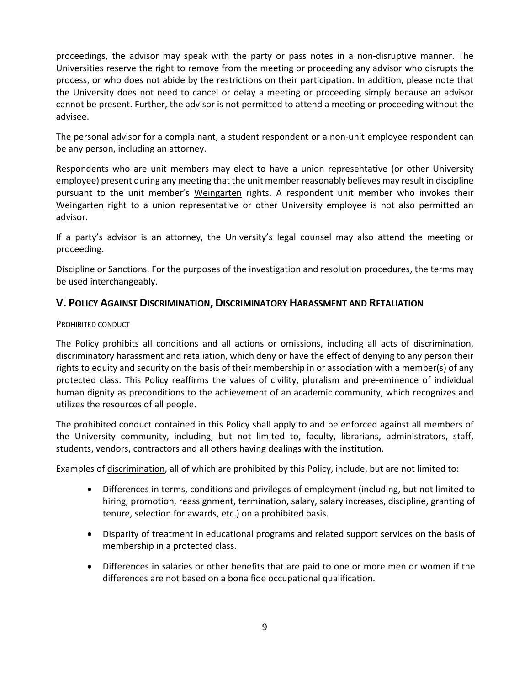proceedings, the advisor may speak with the party or pass notes in a non-disruptive manner. The Universities reserve the right to remove from the meeting or proceeding any advisor who disrupts the process, or who does not abide by the restrictions on their participation. In addition, please note that the University does not need to cancel or delay a meeting or proceeding simply because an advisor cannot be present. Further, the advisor is not permitted to attend a meeting or proceeding without the advisee.

The personal advisor for a complainant, a student respondent or a non-unit employee respondent can be any person, including an attorney.

Respondents who are unit members may elect to have a union representative (or other University employee) present during any meeting that the unit member reasonably believes may result in discipline pursuant to the unit member's Weingarten rights. A respondent unit member who invokes their Weingarten right to a union representative or other University employee is not also permitted an advisor.

If a party's advisor is an attorney, the University's legal counsel may also attend the meeting or proceeding.

Discipline or Sanctions. For the purposes of the investigation and resolution procedures, the terms may be used interchangeably.

# <span id="page-10-0"></span>**V. POLICY AGAINST DISCRIMINATION, DISCRIMINATORY HARASSMENT AND RETALIATION**

### PROHIBITED CONDUCT

The Policy prohibits all conditions and all actions or omissions, including all acts of discrimination, discriminatory harassment and retaliation, which deny or have the effect of denying to any person their rights to equity and security on the basis of their membership in or association with a member(s) of any protected class. This Policy reaffirms the values of civility, pluralism and pre-eminence of individual human dignity as preconditions to the achievement of an academic community, which recognizes and utilizes the resources of all people.

The prohibited conduct contained in this Policy shall apply to and be enforced against all members of the University community, including, but not limited to, faculty, librarians, administrators, staff, students, vendors, contractors and all others having dealings with the institution.

Examples of discrimination, all of which are prohibited by this Policy, include, but are not limited to:

- Differences in terms, conditions and privileges of employment (including, but not limited to hiring, promotion, reassignment, termination, salary, salary increases, discipline, granting of tenure, selection for awards, etc.) on a prohibited basis.
- Disparity of treatment in educational programs and related support services on the basis of membership in a protected class.
- Differences in salaries or other benefits that are paid to one or more men or women if the differences are not based on a bona fide occupational qualification.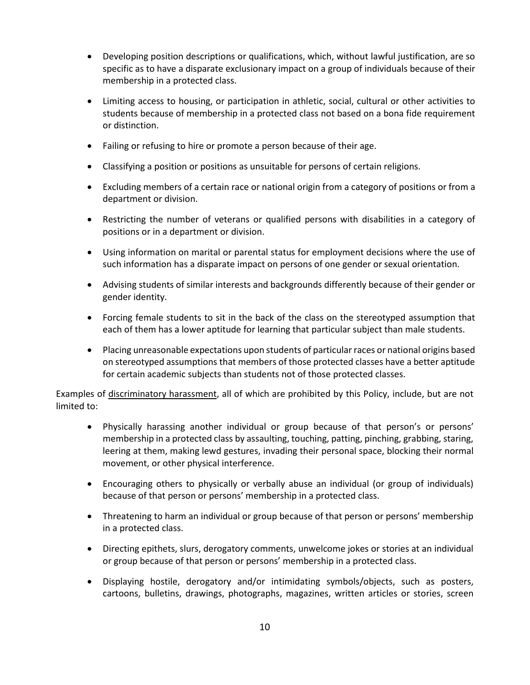- Developing position descriptions or qualifications, which, without lawful justification, are so specific as to have a disparate exclusionary impact on a group of individuals because of their membership in a protected class.
- Limiting access to housing, or participation in athletic, social, cultural or other activities to students because of membership in a protected class not based on a bona fide requirement or distinction.
- Failing or refusing to hire or promote a person because of their age.
- Classifying a position or positions as unsuitable for persons of certain religions.
- Excluding members of a certain race or national origin from a category of positions or from a department or division.
- Restricting the number of veterans or qualified persons with disabilities in a category of positions or in a department or division.
- Using information on marital or parental status for employment decisions where the use of such information has a disparate impact on persons of one gender or sexual orientation.
- Advising students of similar interests and backgrounds differently because of their gender or gender identity.
- Forcing female students to sit in the back of the class on the stereotyped assumption that each of them has a lower aptitude for learning that particular subject than male students.
- Placing unreasonable expectations upon students of particular races or national origins based on stereotyped assumptions that members of those protected classes have a better aptitude for certain academic subjects than students not of those protected classes.

Examples of discriminatory harassment, all of which are prohibited by this Policy, include, but are not limited to:

- Physically harassing another individual or group because of that person's or persons' membership in a protected class by assaulting, touching, patting, pinching, grabbing, staring, leering at them, making lewd gestures, invading their personal space, blocking their normal movement, or other physical interference.
- Encouraging others to physically or verbally abuse an individual (or group of individuals) because of that person or persons' membership in a protected class.
- Threatening to harm an individual or group because of that person or persons' membership in a protected class.
- Directing epithets, slurs, derogatory comments, unwelcome jokes or stories at an individual or group because of that person or persons' membership in a protected class.
- Displaying hostile, derogatory and/or intimidating symbols/objects, such as posters, cartoons, bulletins, drawings, photographs, magazines, written articles or stories, screen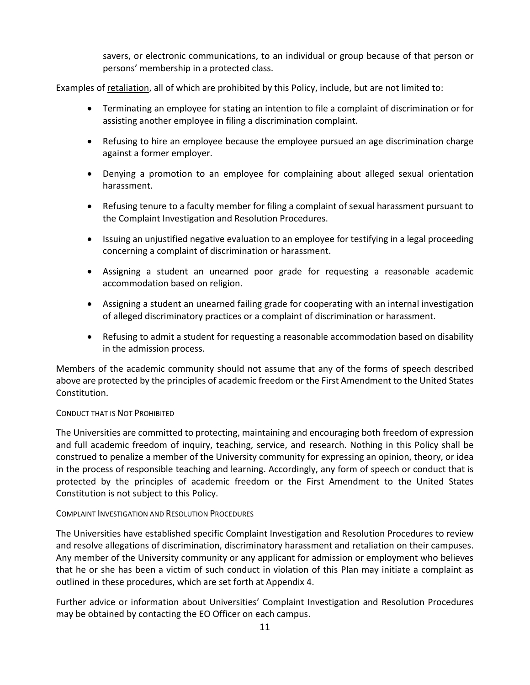savers, or electronic communications, to an individual or group because of that person or persons' membership in a protected class.

Examples of retaliation, all of which are prohibited by this Policy, include, but are not limited to:

- Terminating an employee for stating an intention to file a complaint of discrimination or for assisting another employee in filing a discrimination complaint.
- Refusing to hire an employee because the employee pursued an age discrimination charge against a former employer.
- Denying a promotion to an employee for complaining about alleged sexual orientation harassment.
- Refusing tenure to a faculty member for filing a complaint of sexual harassment pursuant to the Complaint Investigation and Resolution Procedures.
- Issuing an unjustified negative evaluation to an employee for testifying in a legal proceeding concerning a complaint of discrimination or harassment.
- Assigning a student an unearned poor grade for requesting a reasonable academic accommodation based on religion.
- Assigning a student an unearned failing grade for cooperating with an internal investigation of alleged discriminatory practices or a complaint of discrimination or harassment.
- Refusing to admit a student for requesting a reasonable accommodation based on disability in the admission process.

Members of the academic community should not assume that any of the forms of speech described above are protected by the principles of academic freedom or the First Amendment to the United States Constitution.

### CONDUCT THAT IS NOT PROHIBITED

The Universities are committed to protecting, maintaining and encouraging both freedom of expression and full academic freedom of inquiry, teaching, service, and research. Nothing in this Policy shall be construed to penalize a member of the University community for expressing an opinion, theory, or idea in the process of responsible teaching and learning. Accordingly, any form of speech or conduct that is protected by the principles of academic freedom or the First Amendment to the United States Constitution is not subject to this Policy.

### COMPLAINT INVESTIGATION AND RESOLUTION PROCEDURES

The Universities have established specific Complaint Investigation and Resolution Procedures to review and resolve allegations of discrimination, discriminatory harassment and retaliation on their campuses. Any member of the University community or any applicant for admission or employment who believes that he or she has been a victim of such conduct in violation of this Plan may initiate a complaint as outlined in these procedures, which are set forth at Appendix 4.

Further advice or information about Universities' Complaint Investigation and Resolution Procedures may be obtained by contacting the EO Officer on each campus.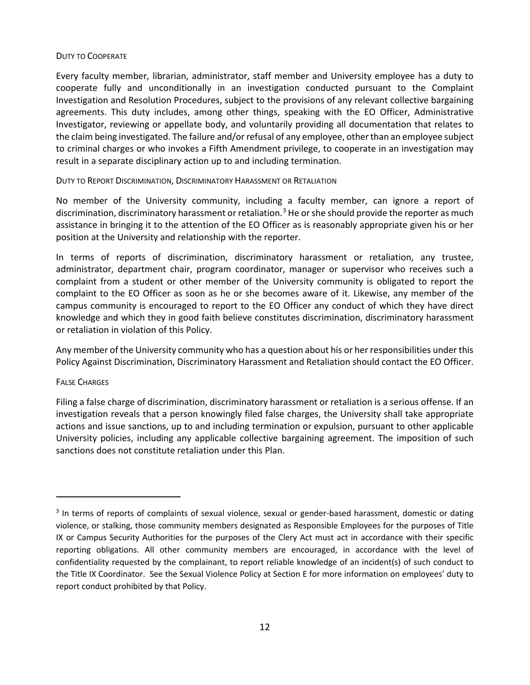### DUTY TO COOPERATE

Every faculty member, librarian, administrator, staff member and University employee has a duty to cooperate fully and unconditionally in an investigation conducted pursuant to the Complaint Investigation and Resolution Procedures, subject to the provisions of any relevant collective bargaining agreements. This duty includes, among other things, speaking with the EO Officer, Administrative Investigator, reviewing or appellate body, and voluntarily providing all documentation that relates to the claim being investigated. The failure and/or refusal of any employee, other than an employee subject to criminal charges or who invokes a Fifth Amendment privilege, to cooperate in an investigation may result in a separate disciplinary action up to and including termination.

DUTY TO REPORT DISCRIMINATION, DISCRIMINATORY HARASSMENT OR RETALIATION

No member of the University community, including a faculty member, can ignore a report of discrimination, discriminatory harassment or retaliation.<sup>[3](#page-13-0)</sup> He or she should provide the reporter as much assistance in bringing it to the attention of the EO Officer as is reasonably appropriate given his or her position at the University and relationship with the reporter.

In terms of reports of discrimination, discriminatory harassment or retaliation, any trustee, administrator, department chair, program coordinator, manager or supervisor who receives such a complaint from a student or other member of the University community is obligated to report the complaint to the EO Officer as soon as he or she becomes aware of it. Likewise, any member of the campus community is encouraged to report to the EO Officer any conduct of which they have direct knowledge and which they in good faith believe constitutes discrimination, discriminatory harassment or retaliation in violation of this Policy.

Any member of the University community who has a question about his or her responsibilities under this Policy Against Discrimination, Discriminatory Harassment and Retaliation should contact the EO Officer.

### FALSE CHARGES

 $\overline{a}$ 

Filing a false charge of discrimination, discriminatory harassment or retaliation is a serious offense. If an investigation reveals that a person knowingly filed false charges, the University shall take appropriate actions and issue sanctions, up to and including termination or expulsion, pursuant to other applicable University policies, including any applicable collective bargaining agreement. The imposition of such sanctions does not constitute retaliation under this Plan.

<span id="page-13-0"></span><sup>&</sup>lt;sup>3</sup> In terms of reports of complaints of sexual violence, sexual or gender-based harassment, domestic or dating violence, or stalking, those community members designated as Responsible Employees for the purposes of Title IX or Campus Security Authorities for the purposes of the Clery Act must act in accordance with their specific reporting obligations. All other community members are encouraged, in accordance with the level of confidentiality requested by the complainant, to report reliable knowledge of an incident(s) of such conduct to the Title IX Coordinator. See the Sexual Violence Policy at Section E for more information on employees' duty to report conduct prohibited by that Policy.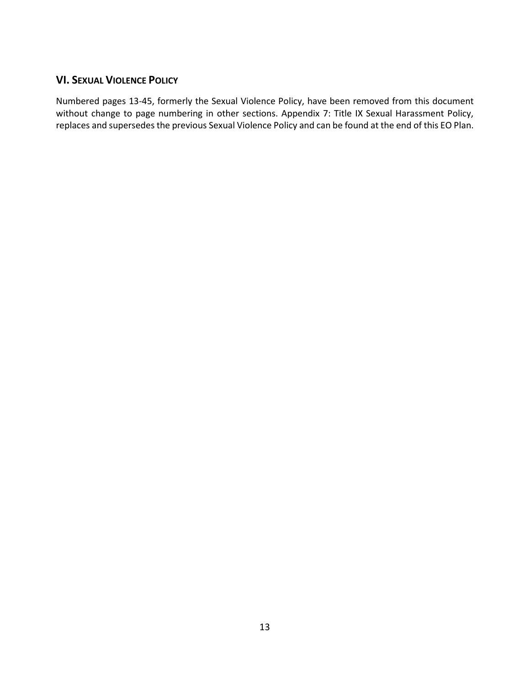# <span id="page-14-0"></span>**VI. SEXUAL VIOLENCE POLICY**

Numbered pages 13-45, formerly the Sexual Violence Policy, have been removed from this document without change to page numbering in other sections. Appendix 7: Title IX Sexual Harassment Policy, replaces and supersedes the previous Sexual Violence Policy and can be found at the end of this EO Plan.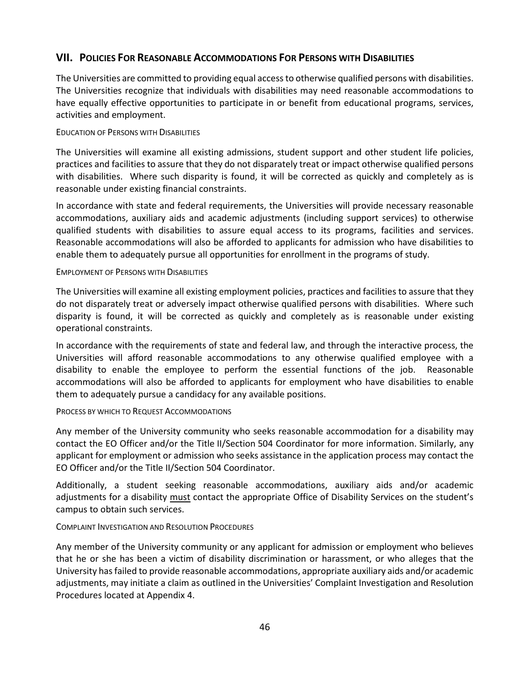# <span id="page-15-0"></span>**VII. POLICIES FOR REASONABLE ACCOMMODATIONS FOR PERSONS WITH DISABILITIES**

The Universities are committed to providing equal access to otherwise qualified persons with disabilities. The Universities recognize that individuals with disabilities may need reasonable accommodations to have equally effective opportunities to participate in or benefit from educational programs, services, activities and employment.

### EDUCATION OF PERSONS WITH DISABILITIES

The Universities will examine all existing admissions, student support and other student life policies, practices and facilities to assure that they do not disparately treat or impact otherwise qualified persons with disabilities. Where such disparity is found, it will be corrected as quickly and completely as is reasonable under existing financial constraints.

In accordance with state and federal requirements, the Universities will provide necessary reasonable accommodations, auxiliary aids and academic adjustments (including support services) to otherwise qualified students with disabilities to assure equal access to its programs, facilities and services. Reasonable accommodations will also be afforded to applicants for admission who have disabilities to enable them to adequately pursue all opportunities for enrollment in the programs of study.

### EMPLOYMENT OF PERSONS WITH DISABILITIES

The Universities will examine all existing employment policies, practices and facilities to assure that they do not disparately treat or adversely impact otherwise qualified persons with disabilities. Where such disparity is found, it will be corrected as quickly and completely as is reasonable under existing operational constraints.

In accordance with the requirements of state and federal law, and through the interactive process, the Universities will afford reasonable accommodations to any otherwise qualified employee with a disability to enable the employee to perform the essential functions of the job. Reasonable accommodations will also be afforded to applicants for employment who have disabilities to enable them to adequately pursue a candidacy for any available positions.

### PROCESS BY WHICH TO REQUEST ACCOMMODATIONS

Any member of the University community who seeks reasonable accommodation for a disability may contact the EO Officer and/or the Title II/Section 504 Coordinator for more information. Similarly, any applicant for employment or admission who seeks assistance in the application process may contact the EO Officer and/or the Title II/Section 504 Coordinator.

Additionally, a student seeking reasonable accommodations, auxiliary aids and/or academic adjustments for a disability must contact the appropriate Office of Disability Services on the student's campus to obtain such services.

### COMPLAINT INVESTIGATION AND RESOLUTION PROCEDURES

Any member of the University community or any applicant for admission or employment who believes that he or she has been a victim of disability discrimination or harassment, or who alleges that the University has failed to provide reasonable accommodations, appropriate auxiliary aids and/or academic adjustments, may initiate a claim as outlined in the Universities' Complaint Investigation and Resolution Procedures located at Appendix 4.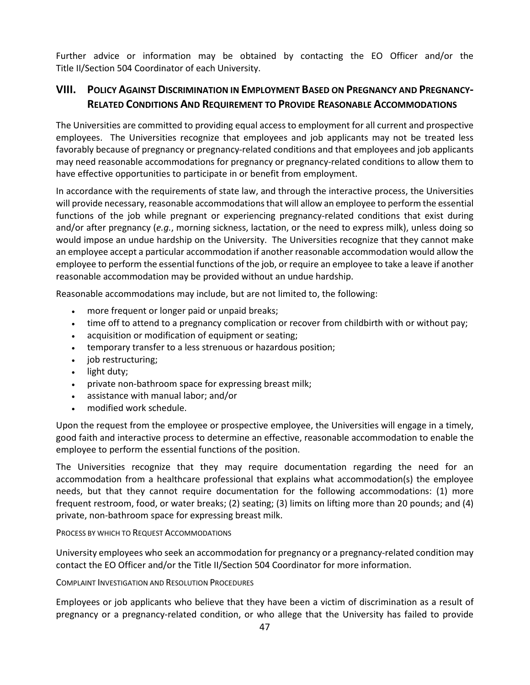Further advice or information may be obtained by contacting the EO Officer and/or the Title II/Section 504 Coordinator of each University.

# <span id="page-16-0"></span>**VIII. POLICY AGAINST DISCRIMINATION IN EMPLOYMENT BASED ON PREGNANCY AND PREGNANCY-RELATED CONDITIONS AND REQUIREMENT TO PROVIDE REASONABLE ACCOMMODATIONS**

The Universities are committed to providing equal access to employment for all current and prospective employees. The Universities recognize that employees and job applicants may not be treated less favorably because of pregnancy or pregnancy-related conditions and that employees and job applicants may need reasonable accommodations for pregnancy or pregnancy-related conditions to allow them to have effective opportunities to participate in or benefit from employment.

In accordance with the requirements of state law, and through the interactive process, the Universities will provide necessary, reasonable accommodations that will allow an employee to perform the essential functions of the job while pregnant or experiencing pregnancy-related conditions that exist during and/or after pregnancy (*e.g.*, morning sickness, lactation, or the need to express milk), unless doing so would impose an undue hardship on the University. The Universities recognize that they cannot make an employee accept a particular accommodation if another reasonable accommodation would allow the employee to perform the essential functions of the job, or require an employee to take a leave if another reasonable accommodation may be provided without an undue hardship.

Reasonable accommodations may include, but are not limited to, the following:

- more frequent or longer paid or unpaid breaks;
- time off to attend to a pregnancy complication or recover from childbirth with or without pay;
- acquisition or modification of equipment or seating;
- temporary transfer to a less strenuous or hazardous position;
- job restructuring;
- light duty;
- private non-bathroom space for expressing breast milk;
- assistance with manual labor; and/or
- modified work schedule.

Upon the request from the employee or prospective employee, the Universities will engage in a timely, good faith and interactive process to determine an effective, reasonable accommodation to enable the employee to perform the essential functions of the position.

The Universities recognize that they may require documentation regarding the need for an accommodation from a healthcare professional that explains what accommodation(s) the employee needs, but that they cannot require documentation for the following accommodations: (1) more frequent restroom, food, or water breaks; (2) seating; (3) limits on lifting more than 20 pounds; and (4) private, non-bathroom space for expressing breast milk.

PROCESS BY WHICH TO REQUEST ACCOMMODATIONS

University employees who seek an accommodation for pregnancy or a pregnancy-related condition may contact the EO Officer and/or the Title II/Section 504 Coordinator for more information.

COMPLAINT INVESTIGATION AND RESOLUTION PROCEDURES

Employees or job applicants who believe that they have been a victim of discrimination as a result of pregnancy or a pregnancy-related condition, or who allege that the University has failed to provide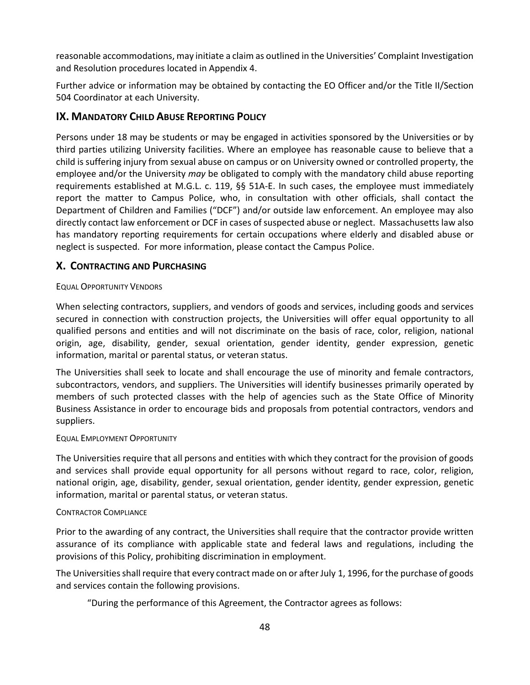reasonable accommodations, may initiate a claim as outlined in the Universities' Complaint Investigation and Resolution procedures located in Appendix 4.

Further advice or information may be obtained by contacting the EO Officer and/or the Title II/Section 504 Coordinator at each University.

# <span id="page-17-0"></span>**IX. MANDATORY CHILD ABUSE REPORTING POLICY**

Persons under 18 may be students or may be engaged in activities sponsored by the Universities or by third parties utilizing University facilities. Where an employee has reasonable cause to believe that a child is suffering injury from sexual abuse on campus or on University owned or controlled property, the employee and/or the University *may* be obligated to comply with the mandatory child abuse reporting requirements established at M.G.L. c. 119, §§ 51A-E. In such cases, the employee must immediately report the matter to Campus Police, who, in consultation with other officials, shall contact the Department of Children and Families ("DCF") and/or outside law enforcement. An employee may also directly contact law enforcement or DCF in cases of suspected abuse or neglect. Massachusetts law also has mandatory reporting requirements for certain occupations where elderly and disabled abuse or neglect is suspected. For more information, please contact the Campus Police.

# <span id="page-17-1"></span>**X. CONTRACTING AND PURCHASING**

### EQUAL OPPORTUNITY VENDORS

When selecting contractors, suppliers, and vendors of goods and services, including goods and services secured in connection with construction projects, the Universities will offer equal opportunity to all qualified persons and entities and will not discriminate on the basis of race, color, religion, national origin, age, disability, gender, sexual orientation, gender identity, gender expression, genetic information, marital or parental status, or veteran status.

The Universities shall seek to locate and shall encourage the use of minority and female contractors, subcontractors, vendors, and suppliers. The Universities will identify businesses primarily operated by members of such protected classes with the help of agencies such as the State Office of Minority Business Assistance in order to encourage bids and proposals from potential contractors, vendors and suppliers.

### EQUAL EMPLOYMENT OPPORTUNITY

The Universities require that all persons and entities with which they contract for the provision of goods and services shall provide equal opportunity for all persons without regard to race, color, religion, national origin, age, disability, gender, sexual orientation, gender identity, gender expression, genetic information, marital or parental status, or veteran status.

### CONTRACTOR COMPLIANCE

Prior to the awarding of any contract, the Universities shall require that the contractor provide written assurance of its compliance with applicable state and federal laws and regulations, including the provisions of this Policy, prohibiting discrimination in employment.

The Universities shall require that every contract made on or after July 1, 1996, for the purchase of goods and services contain the following provisions.

"During the performance of this Agreement, the Contractor agrees as follows: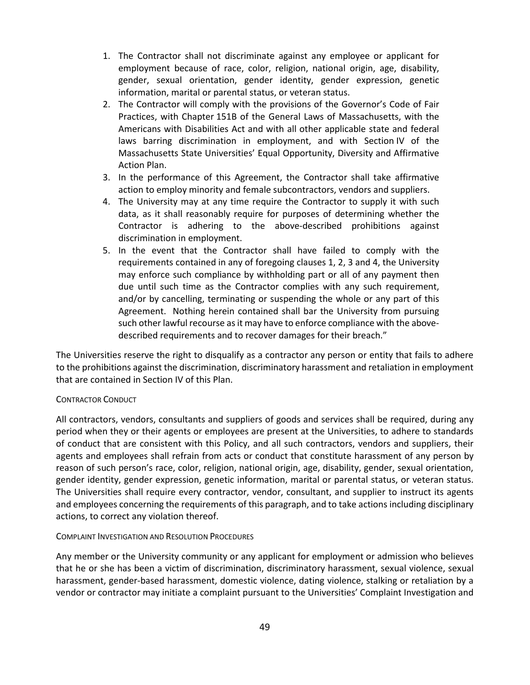- 1. The Contractor shall not discriminate against any employee or applicant for employment because of race, color, religion, national origin, age, disability, gender, sexual orientation, gender identity, gender expression, genetic information, marital or parental status, or veteran status.
- 2. The Contractor will comply with the provisions of the Governor's Code of Fair Practices, with Chapter 151B of the General Laws of Massachusetts, with the Americans with Disabilities Act and with all other applicable state and federal laws barring discrimination in employment, and with Section IV of the Massachusetts State Universities' Equal Opportunity, Diversity and Affirmative Action Plan.
- 3. In the performance of this Agreement, the Contractor shall take affirmative action to employ minority and female subcontractors, vendors and suppliers.
- 4. The University may at any time require the Contractor to supply it with such data, as it shall reasonably require for purposes of determining whether the Contractor is adhering to the above-described prohibitions against discrimination in employment.
- 5. In the event that the Contractor shall have failed to comply with the requirements contained in any of foregoing clauses 1, 2, 3 and 4, the University may enforce such compliance by withholding part or all of any payment then due until such time as the Contractor complies with any such requirement, and/or by cancelling, terminating or suspending the whole or any part of this Agreement. Nothing herein contained shall bar the University from pursuing such other lawful recourse as it may have to enforce compliance with the abovedescribed requirements and to recover damages for their breach."

The Universities reserve the right to disqualify as a contractor any person or entity that fails to adhere to the prohibitions against the discrimination, discriminatory harassment and retaliation in employment that are contained in Section IV of this Plan.

### CONTRACTOR CONDUCT

All contractors, vendors, consultants and suppliers of goods and services shall be required, during any period when they or their agents or employees are present at the Universities, to adhere to standards of conduct that are consistent with this Policy, and all such contractors, vendors and suppliers, their agents and employees shall refrain from acts or conduct that constitute harassment of any person by reason of such person's race, color, religion, national origin, age, disability, gender, sexual orientation, gender identity, gender expression, genetic information, marital or parental status, or veteran status. The Universities shall require every contractor, vendor, consultant, and supplier to instruct its agents and employees concerning the requirements of this paragraph, and to take actions including disciplinary actions, to correct any violation thereof.

#### COMPLAINT INVESTIGATION AND RESOLUTION PROCEDURES

Any member or the University community or any applicant for employment or admission who believes that he or she has been a victim of discrimination, discriminatory harassment, sexual violence, sexual harassment, gender-based harassment, domestic violence, dating violence, stalking or retaliation by a vendor or contractor may initiate a complaint pursuant to the Universities' Complaint Investigation and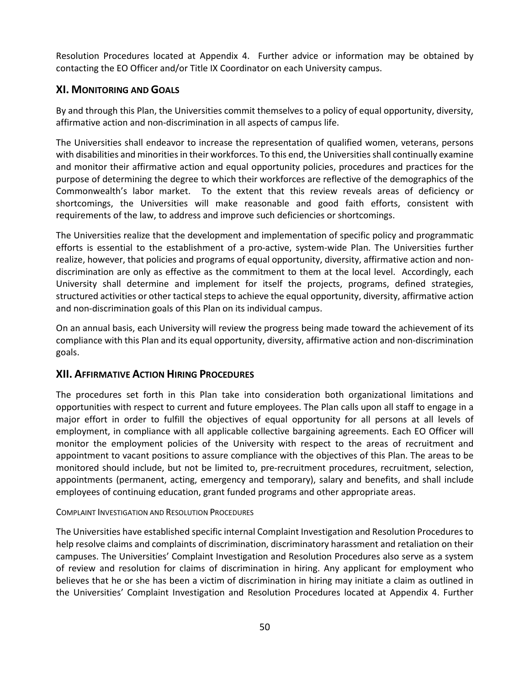Resolution Procedures located at Appendix 4. Further advice or information may be obtained by contacting the EO Officer and/or Title IX Coordinator on each University campus.

# <span id="page-19-0"></span>**XI. MONITORING AND GOALS**

By and through this Plan, the Universities commit themselves to a policy of equal opportunity, diversity, affirmative action and non-discrimination in all aspects of campus life.

The Universities shall endeavor to increase the representation of qualified women, veterans, persons with disabilities and minorities in their workforces. To this end, the Universities shall continually examine and monitor their affirmative action and equal opportunity policies, procedures and practices for the purpose of determining the degree to which their workforces are reflective of the demographics of the Commonwealth's labor market. To the extent that this review reveals areas of deficiency or shortcomings, the Universities will make reasonable and good faith efforts, consistent with requirements of the law, to address and improve such deficiencies or shortcomings.

The Universities realize that the development and implementation of specific policy and programmatic efforts is essential to the establishment of a pro-active, system-wide Plan. The Universities further realize, however, that policies and programs of equal opportunity, diversity, affirmative action and nondiscrimination are only as effective as the commitment to them at the local level. Accordingly, each University shall determine and implement for itself the projects, programs, defined strategies, structured activities or other tactical steps to achieve the equal opportunity, diversity, affirmative action and non-discrimination goals of this Plan on its individual campus.

On an annual basis, each University will review the progress being made toward the achievement of its compliance with this Plan and its equal opportunity, diversity, affirmative action and non-discrimination goals.

# <span id="page-19-1"></span>**XII. AFFIRMATIVE ACTION HIRING PROCEDURES**

The procedures set forth in this Plan take into consideration both organizational limitations and opportunities with respect to current and future employees. The Plan calls upon all staff to engage in a major effort in order to fulfill the objectives of equal opportunity for all persons at all levels of employment, in compliance with all applicable collective bargaining agreements. Each EO Officer will monitor the employment policies of the University with respect to the areas of recruitment and appointment to vacant positions to assure compliance with the objectives of this Plan. The areas to be monitored should include, but not be limited to, pre-recruitment procedures, recruitment, selection, appointments (permanent, acting, emergency and temporary), salary and benefits, and shall include employees of continuing education, grant funded programs and other appropriate areas.

### COMPLAINT INVESTIGATION AND RESOLUTION PROCEDURES

The Universities have established specific internal Complaint Investigation and Resolution Procedures to help resolve claims and complaints of discrimination, discriminatory harassment and retaliation on their campuses. The Universities' Complaint Investigation and Resolution Procedures also serve as a system of review and resolution for claims of discrimination in hiring. Any applicant for employment who believes that he or she has been a victim of discrimination in hiring may initiate a claim as outlined in the Universities' Complaint Investigation and Resolution Procedures located at Appendix 4. Further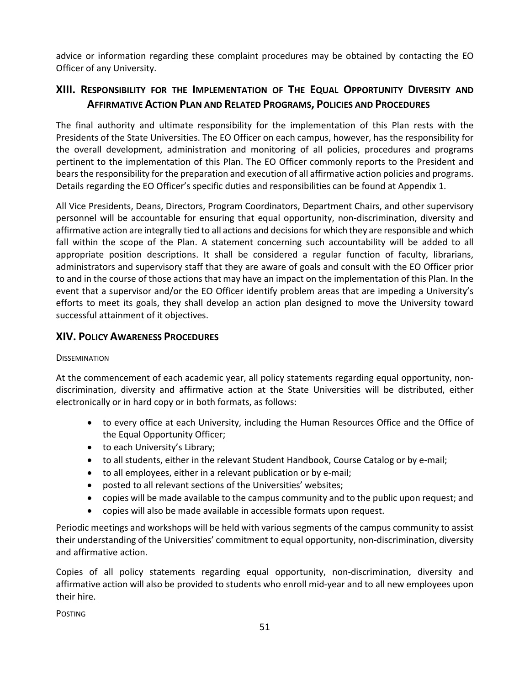advice or information regarding these complaint procedures may be obtained by contacting the EO Officer of any University.

# <span id="page-20-0"></span>**XIII. RESPONSIBILITY FOR THE IMPLEMENTATION OF THE EQUAL OPPORTUNITY DIVERSITY AND AFFIRMATIVE ACTION PLAN AND RELATED PROGRAMS, POLICIES AND PROCEDURES**

The final authority and ultimate responsibility for the implementation of this Plan rests with the Presidents of the State Universities. The EO Officer on each campus, however, has the responsibility for the overall development, administration and monitoring of all policies, procedures and programs pertinent to the implementation of this Plan. The EO Officer commonly reports to the President and bears the responsibility for the preparation and execution of all affirmative action policies and programs. Details regarding the EO Officer's specific duties and responsibilities can be found at Appendix 1.

All Vice Presidents, Deans, Directors, Program Coordinators, Department Chairs, and other supervisory personnel will be accountable for ensuring that equal opportunity, non-discrimination, diversity and affirmative action are integrally tied to all actions and decisions for which they are responsible and which fall within the scope of the Plan. A statement concerning such accountability will be added to all appropriate position descriptions. It shall be considered a regular function of faculty, librarians, administrators and supervisory staff that they are aware of goals and consult with the EO Officer prior to and in the course of those actions that may have an impact on the implementation of this Plan. In the event that a supervisor and/or the EO Officer identify problem areas that are impeding a University's efforts to meet its goals, they shall develop an action plan designed to move the University toward successful attainment of it objectives.

# <span id="page-20-1"></span>**XIV. POLICY AWARENESS PROCEDURES**

# **DISSEMINATION**

At the commencement of each academic year, all policy statements regarding equal opportunity, nondiscrimination, diversity and affirmative action at the State Universities will be distributed, either electronically or in hard copy or in both formats, as follows:

- to every office at each University, including the Human Resources Office and the Office of the Equal Opportunity Officer;
- to each University's Library;
- to all students, either in the relevant Student Handbook, Course Catalog or by e-mail;
- to all employees, either in a relevant publication or by e-mail;
- posted to all relevant sections of the Universities' websites;
- copies will be made available to the campus community and to the public upon request; and
- copies will also be made available in accessible formats upon request.

Periodic meetings and workshops will be held with various segments of the campus community to assist their understanding of the Universities' commitment to equal opportunity, non-discrimination, diversity and affirmative action.

Copies of all policy statements regarding equal opportunity, non-discrimination, diversity and affirmative action will also be provided to students who enroll mid-year and to all new employees upon their hire.

POSTING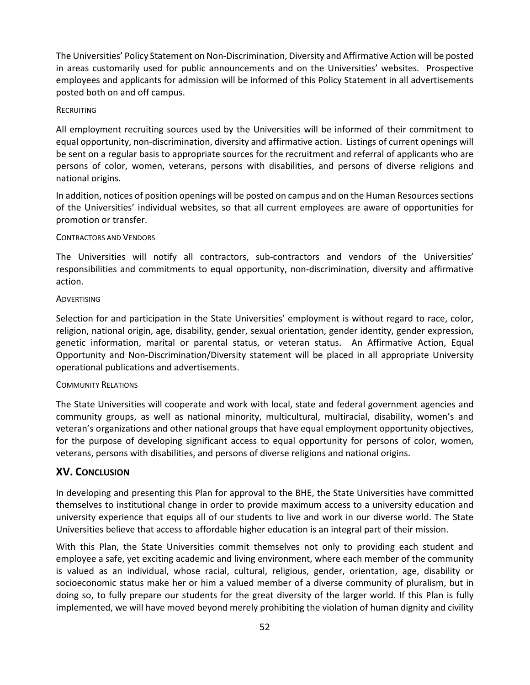The Universities' Policy Statement on Non-Discrimination, Diversity and Affirmative Action will be posted in areas customarily used for public announcements and on the Universities' websites*.* Prospective employees and applicants for admission will be informed of this Policy Statement in all advertisements posted both on and off campus.

### **RECRUITING**

All employment recruiting sources used by the Universities will be informed of their commitment to equal opportunity, non-discrimination, diversity and affirmative action. Listings of current openings will be sent on a regular basis to appropriate sources for the recruitment and referral of applicants who are persons of color, women, veterans, persons with disabilities, and persons of diverse religions and national origins.

In addition, notices of position openings will be posted on campus and on the Human Resources sections of the Universities' individual websites, so that all current employees are aware of opportunities for promotion or transfer.

### CONTRACTORS AND VENDORS

The Universities will notify all contractors, sub-contractors and vendors of the Universities' responsibilities and commitments to equal opportunity, non-discrimination, diversity and affirmative action.

### **ADVERTISING**

Selection for and participation in the State Universities' employment is without regard to race, color, religion, national origin, age, disability, gender, sexual orientation, gender identity, gender expression, genetic information, marital or parental status, or veteran status. An Affirmative Action, Equal Opportunity and Non-Discrimination/Diversity statement will be placed in all appropriate University operational publications and advertisements.

### COMMUNITY RELATIONS

The State Universities will cooperate and work with local, state and federal government agencies and community groups, as well as national minority, multicultural, multiracial, disability, women's and veteran's organizations and other national groups that have equal employment opportunity objectives, for the purpose of developing significant access to equal opportunity for persons of color, women, veterans, persons with disabilities, and persons of diverse religions and national origins.

# <span id="page-21-0"></span>**XV. CONCLUSION**

In developing and presenting this Plan for approval to the BHE, the State Universities have committed themselves to institutional change in order to provide maximum access to a university education and university experience that equips all of our students to live and work in our diverse world. The State Universities believe that access to affordable higher education is an integral part of their mission.

With this Plan, the State Universities commit themselves not only to providing each student and employee a safe, yet exciting academic and living environment, where each member of the community is valued as an individual, whose racial, cultural, religious, gender, orientation, age, disability or socioeconomic status make her or him a valued member of a diverse community of pluralism, but in doing so, to fully prepare our students for the great diversity of the larger world. If this Plan is fully implemented, we will have moved beyond merely prohibiting the violation of human dignity and civility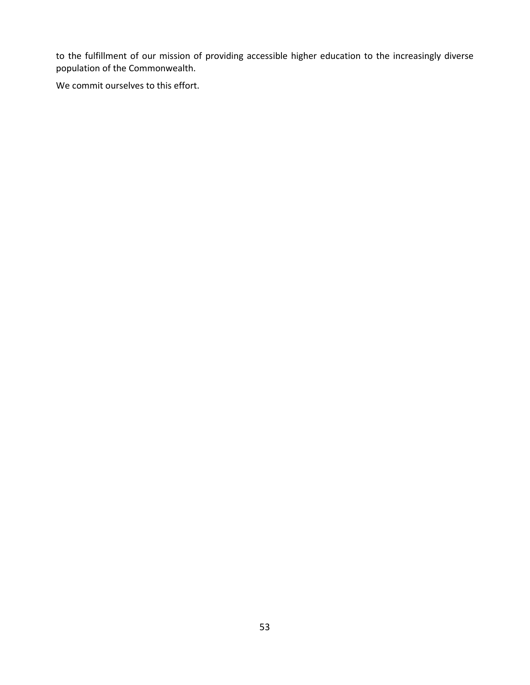to the fulfillment of our mission of providing accessible higher education to the increasingly diverse population of the Commonwealth.

We commit ourselves to this effort.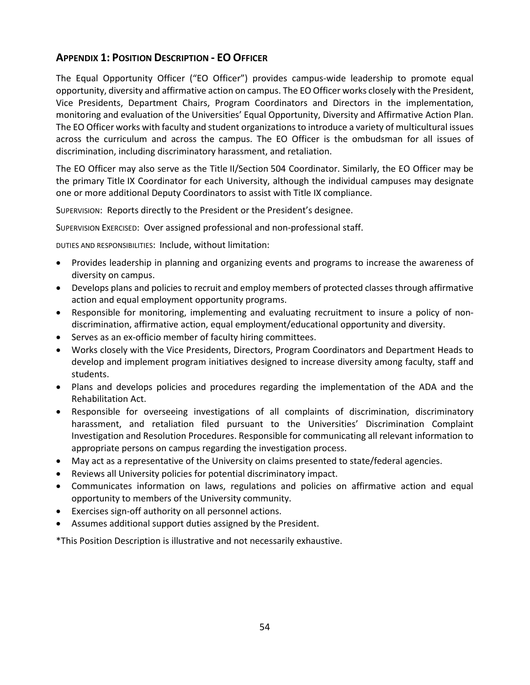# <span id="page-23-0"></span>**APPENDIX 1: POSITION DESCRIPTION - EO OFFICER**

The Equal Opportunity Officer ("EO Officer") provides campus-wide leadership to promote equal opportunity, diversity and affirmative action on campus. The EO Officer works closely with the President, Vice Presidents, Department Chairs, Program Coordinators and Directors in the implementation, monitoring and evaluation of the Universities' Equal Opportunity, Diversity and Affirmative Action Plan. The EO Officer works with faculty and student organizations to introduce a variety of multicultural issues across the curriculum and across the campus. The EO Officer is the ombudsman for all issues of discrimination, including discriminatory harassment, and retaliation.

The EO Officer may also serve as the Title II/Section 504 Coordinator. Similarly, the EO Officer may be the primary Title IX Coordinator for each University, although the individual campuses may designate one or more additional Deputy Coordinators to assist with Title IX compliance.

SUPERVISION: Reports directly to the President or the President's designee.

SUPERVISION EXERCISED: Over assigned professional and non-professional staff.

DUTIES AND RESPONSIBILITIES: Include, without limitation:

- Provides leadership in planning and organizing events and programs to increase the awareness of diversity on campus.
- Develops plans and policies to recruit and employ members of protected classes through affirmative action and equal employment opportunity programs.
- Responsible for monitoring, implementing and evaluating recruitment to insure a policy of nondiscrimination, affirmative action, equal employment/educational opportunity and diversity.
- Serves as an ex-officio member of faculty hiring committees.
- Works closely with the Vice Presidents, Directors, Program Coordinators and Department Heads to develop and implement program initiatives designed to increase diversity among faculty, staff and students.
- Plans and develops policies and procedures regarding the implementation of the ADA and the Rehabilitation Act.
- Responsible for overseeing investigations of all complaints of discrimination, discriminatory harassment, and retaliation filed pursuant to the Universities' Discrimination Complaint Investigation and Resolution Procedures. Responsible for communicating all relevant information to appropriate persons on campus regarding the investigation process.
- May act as a representative of the University on claims presented to state/federal agencies.
- Reviews all University policies for potential discriminatory impact.
- Communicates information on laws, regulations and policies on affirmative action and equal opportunity to members of the University community.
- Exercises sign-off authority on all personnel actions.
- Assumes additional support duties assigned by the President.

\*This Position Description is illustrative and not necessarily exhaustive.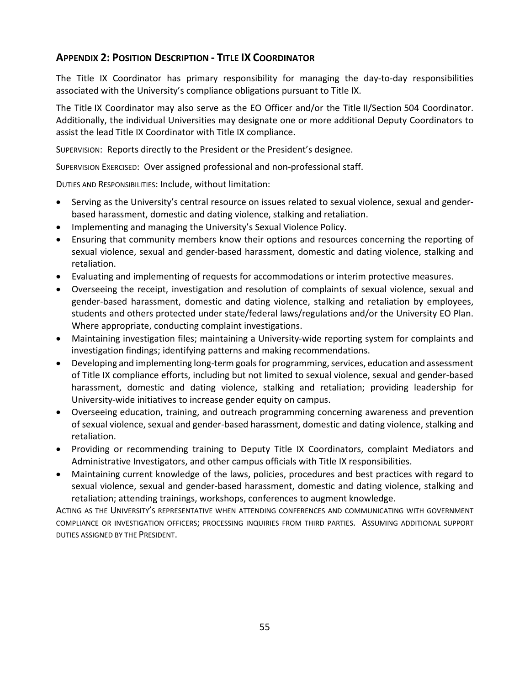# <span id="page-24-0"></span>**APPENDIX 2: POSITION DESCRIPTION - TITLE IX COORDINATOR**

The Title IX Coordinator has primary responsibility for managing the day-to-day responsibilities associated with the University's compliance obligations pursuant to Title IX.

The Title IX Coordinator may also serve as the EO Officer and/or the Title II/Section 504 Coordinator. Additionally, the individual Universities may designate one or more additional Deputy Coordinators to assist the lead Title IX Coordinator with Title IX compliance.

SUPERVISION: Reports directly to the President or the President's designee.

SUPERVISION EXERCISED: Over assigned professional and non-professional staff.

DUTIES AND RESPONSIBILITIES: Include, without limitation:

- Serving as the University's central resource on issues related to sexual violence, sexual and genderbased harassment, domestic and dating violence, stalking and retaliation.
- Implementing and managing the University's Sexual Violence Policy.
- Ensuring that community members know their options and resources concerning the reporting of sexual violence, sexual and gender-based harassment, domestic and dating violence, stalking and retaliation.
- Evaluating and implementing of requests for accommodations or interim protective measures.
- Overseeing the receipt, investigation and resolution of complaints of sexual violence, sexual and gender-based harassment, domestic and dating violence, stalking and retaliation by employees, students and others protected under state/federal laws/regulations and/or the University EO Plan. Where appropriate, conducting complaint investigations.
- Maintaining investigation files; maintaining a University-wide reporting system for complaints and investigation findings; identifying patterns and making recommendations.
- Developing and implementing long-term goals for programming, services, education and assessment of Title IX compliance efforts, including but not limited to sexual violence, sexual and gender-based harassment, domestic and dating violence, stalking and retaliation; providing leadership for University-wide initiatives to increase gender equity on campus.
- Overseeing education, training, and outreach programming concerning awareness and prevention of sexual violence, sexual and gender-based harassment, domestic and dating violence, stalking and retaliation.
- Providing or recommending training to Deputy Title IX Coordinators, complaint Mediators and Administrative Investigators, and other campus officials with Title IX responsibilities.
- Maintaining current knowledge of the laws, policies, procedures and best practices with regard to sexual violence, sexual and gender-based harassment, domestic and dating violence, stalking and retaliation; attending trainings, workshops, conferences to augment knowledge.

ACTING AS THE UNIVERSITY'S REPRESENTATIVE WHEN ATTENDING CONFERENCES AND COMMUNICATING WITH GOVERNMENT COMPLIANCE OR INVESTIGATION OFFICERS; PROCESSING INQUIRIES FROM THIRD PARTIES. ASSUMING ADDITIONAL SUPPORT DUTIES ASSIGNED BY THE PRESIDENT.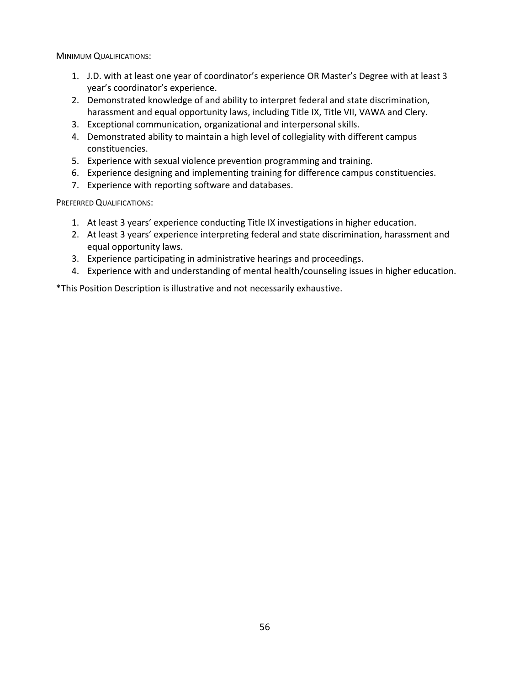MINIMUM QUALIFICATIONS:

- 1. J.D. with at least one year of coordinator's experience OR Master's Degree with at least 3 year's coordinator's experience.
- 2. Demonstrated knowledge of and ability to interpret federal and state discrimination, harassment and equal opportunity laws, including Title IX, Title VII, VAWA and Clery.
- 3. Exceptional communication, organizational and interpersonal skills.
- 4. Demonstrated ability to maintain a high level of collegiality with different campus constituencies.
- 5. Experience with sexual violence prevention programming and training.
- 6. Experience designing and implementing training for difference campus constituencies.
- 7. Experience with reporting software and databases.

PREFERRED QUALIFICATIONS:

- 1. At least 3 years' experience conducting Title IX investigations in higher education.
- 2. At least 3 years' experience interpreting federal and state discrimination, harassment and equal opportunity laws.
- 3. Experience participating in administrative hearings and proceedings.
- 4. Experience with and understanding of mental health/counseling issues in higher education.

\*This Position Description is illustrative and not necessarily exhaustive.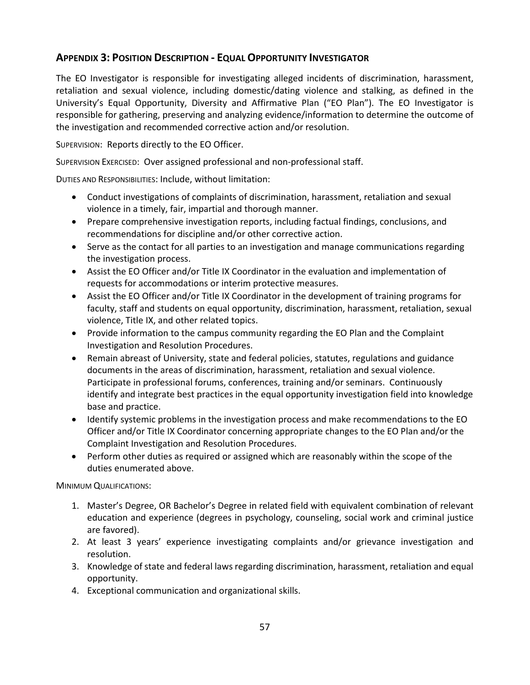# <span id="page-26-0"></span>**APPENDIX 3: POSITION DESCRIPTION - EQUAL OPPORTUNITY INVESTIGATOR**

The EO Investigator is responsible for investigating alleged incidents of discrimination, harassment, retaliation and sexual violence, including domestic/dating violence and stalking, as defined in the University's Equal Opportunity, Diversity and Affirmative Plan ("EO Plan"). The EO Investigator is responsible for gathering, preserving and analyzing evidence/information to determine the outcome of the investigation and recommended corrective action and/or resolution.

SUPERVISION: Reports directly to the EO Officer.

SUPERVISION EXERCISED: Over assigned professional and non-professional staff.

DUTIES AND RESPONSIBILITIES: Include, without limitation:

- Conduct investigations of complaints of discrimination, harassment, retaliation and sexual violence in a timely, fair, impartial and thorough manner.
- Prepare comprehensive investigation reports, including factual findings, conclusions, and recommendations for discipline and/or other corrective action.
- Serve as the contact for all parties to an investigation and manage communications regarding the investigation process.
- Assist the EO Officer and/or Title IX Coordinator in the evaluation and implementation of requests for accommodations or interim protective measures.
- Assist the EO Officer and/or Title IX Coordinator in the development of training programs for faculty, staff and students on equal opportunity, discrimination, harassment, retaliation, sexual violence, Title IX, and other related topics.
- Provide information to the campus community regarding the EO Plan and the Complaint Investigation and Resolution Procedures.
- Remain abreast of University, state and federal policies, statutes, regulations and guidance documents in the areas of discrimination, harassment, retaliation and sexual violence. Participate in professional forums, conferences, training and/or seminars. Continuously identify and integrate best practices in the equal opportunity investigation field into knowledge base and practice.
- Identify systemic problems in the investigation process and make recommendations to the EO Officer and/or Title IX Coordinator concerning appropriate changes to the EO Plan and/or the Complaint Investigation and Resolution Procedures.
- Perform other duties as required or assigned which are reasonably within the scope of the duties enumerated above.

MINIMUM QUALIFICATIONS:

- 1. Master's Degree, OR Bachelor's Degree in related field with equivalent combination of relevant education and experience (degrees in psychology, counseling, social work and criminal justice are favored).
- 2. At least 3 years' experience investigating complaints and/or grievance investigation and resolution.
- 3. Knowledge of state and federal laws regarding discrimination, harassment, retaliation and equal opportunity.
- 4. Exceptional communication and organizational skills.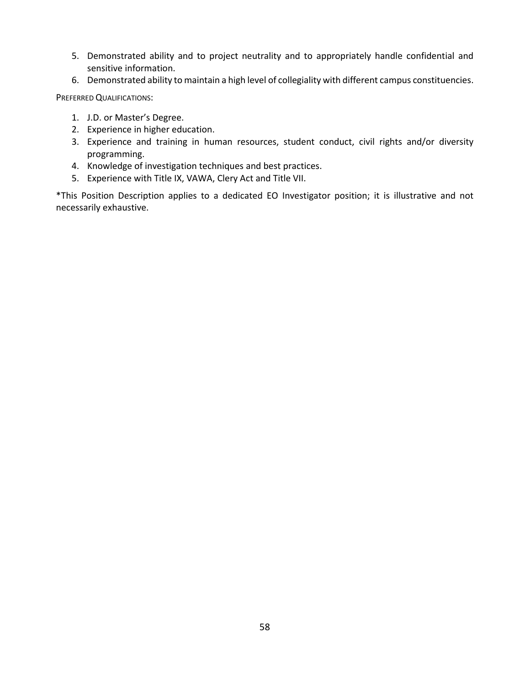- 5. Demonstrated ability and to project neutrality and to appropriately handle confidential and sensitive information.
- 6. Demonstrated ability to maintain a high level of collegiality with different campus constituencies.

PREFERRED QUALIFICATIONS:

- 1. J.D. or Master's Degree.
- 2. Experience in higher education.
- 3. Experience and training in human resources, student conduct, civil rights and/or diversity programming.
- 4. Knowledge of investigation techniques and best practices.
- 5. Experience with Title IX, VAWA, Clery Act and Title VII.

\*This Position Description applies to a dedicated EO Investigator position; it is illustrative and not necessarily exhaustive.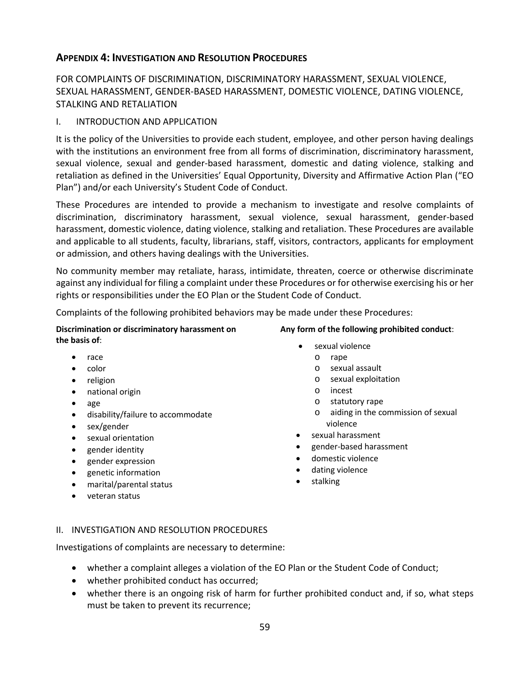# <span id="page-28-0"></span>**APPENDIX 4: INVESTIGATION AND RESOLUTION PROCEDURES**

# FOR COMPLAINTS OF DISCRIMINATION, DISCRIMINATORY HARASSMENT, SEXUAL VIOLENCE, SEXUAL HARASSMENT, GENDER-BASED HARASSMENT, DOMESTIC VIOLENCE, DATING VIOLENCE, STALKING AND RETALIATION

### I. INTRODUCTION AND APPLICATION

It is the policy of the Universities to provide each student, employee, and other person having dealings with the institutions an environment free from all forms of discrimination, discriminatory harassment, sexual violence, sexual and gender-based harassment, domestic and dating violence, stalking and retaliation as defined in the Universities' Equal Opportunity, Diversity and Affirmative Action Plan ("EO Plan") and/or each University's Student Code of Conduct.

These Procedures are intended to provide a mechanism to investigate and resolve complaints of discrimination, discriminatory harassment, sexual violence, sexual harassment, gender-based harassment, domestic violence, dating violence, stalking and retaliation. These Procedures are available and applicable to all students, faculty, librarians, staff, visitors, contractors, applicants for employment or admission, and others having dealings with the Universities.

No community member may retaliate, harass, intimidate, threaten, coerce or otherwise discriminate against any individual for filing a complaint under these Procedures or for otherwise exercising his or her rights or responsibilities under the EO Plan or the Student Code of Conduct.

Complaints of the following prohibited behaviors may be made under these Procedures:

### **Discrimination or discriminatory harassment on the basis of**:

- race
- color
- religion
- national origin
- age
- disability/failure to accommodate
- sex/gender
- sexual orientation
- gender identity
- gender expression
- genetic information
- marital/parental status
- veteran status

### **Any form of the following prohibited conduct**:

- sexual violence
	- o rape
	- o sexual assault
	- o sexual exploitation
	- o incest
	- o statutory rape
	- o aiding in the commission of sexual violence
- sexual harassment
- gender-based harassment
- domestic violence
- dating violence
- stalking

# II. INVESTIGATION AND RESOLUTION PROCEDURES

Investigations of complaints are necessary to determine:

- whether a complaint alleges a violation of the EO Plan or the Student Code of Conduct;
- whether prohibited conduct has occurred;
- whether there is an ongoing risk of harm for further prohibited conduct and, if so, what steps must be taken to prevent its recurrence;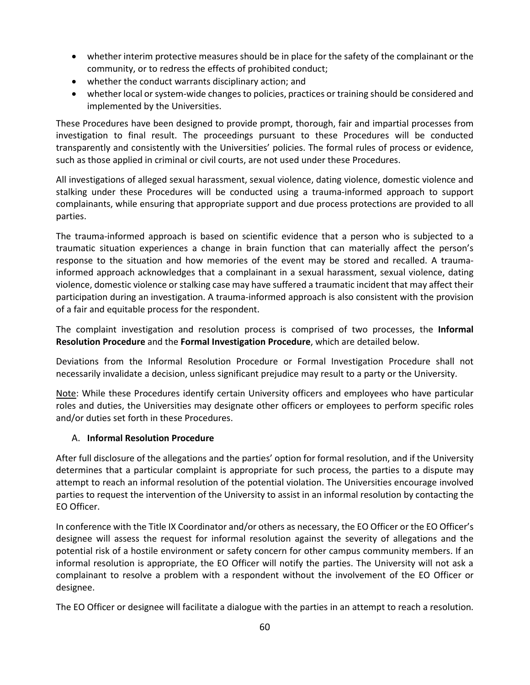- whether interim protective measures should be in place for the safety of the complainant or the community, or to redress the effects of prohibited conduct;
- whether the conduct warrants disciplinary action; and
- whether local or system-wide changes to policies, practices or training should be considered and implemented by the Universities.

These Procedures have been designed to provide prompt, thorough, fair and impartial processes from investigation to final result. The proceedings pursuant to these Procedures will be conducted transparently and consistently with the Universities' policies. The formal rules of process or evidence, such as those applied in criminal or civil courts, are not used under these Procedures.

All investigations of alleged sexual harassment, sexual violence, dating violence, domestic violence and stalking under these Procedures will be conducted using a trauma-informed approach to support complainants, while ensuring that appropriate support and due process protections are provided to all parties.

The trauma-informed approach is based on scientific evidence that a person who is subjected to a traumatic situation experiences a change in brain function that can materially affect the person's response to the situation and how memories of the event may be stored and recalled. A traumainformed approach acknowledges that a complainant in a sexual harassment, sexual violence, dating violence, domestic violence or stalking case may have suffered a traumatic incident that may affect their participation during an investigation. A trauma-informed approach is also consistent with the provision of a fair and equitable process for the respondent.

The complaint investigation and resolution process is comprised of two processes, the **Informal Resolution Procedure** and the **Formal Investigation Procedure**, which are detailed below.

Deviations from the Informal Resolution Procedure or Formal Investigation Procedure shall not necessarily invalidate a decision, unless significant prejudice may result to a party or the University.

Note: While these Procedures identify certain University officers and employees who have particular roles and duties, the Universities may designate other officers or employees to perform specific roles and/or duties set forth in these Procedures.

# A. **Informal Resolution Procedure**

After full disclosure of the allegations and the parties' option for formal resolution, and if the University determines that a particular complaint is appropriate for such process, the parties to a dispute may attempt to reach an informal resolution of the potential violation. The Universities encourage involved parties to request the intervention of the University to assist in an informal resolution by contacting the EO Officer.

In conference with the Title IX Coordinator and/or others as necessary, the EO Officer or the EO Officer's designee will assess the request for informal resolution against the severity of allegations and the potential risk of a hostile environment or safety concern for other campus community members. If an informal resolution is appropriate, the EO Officer will notify the parties. The University will not ask a complainant to resolve a problem with a respondent without the involvement of the EO Officer or designee.

The EO Officer or designee will facilitate a dialogue with the parties in an attempt to reach a resolution.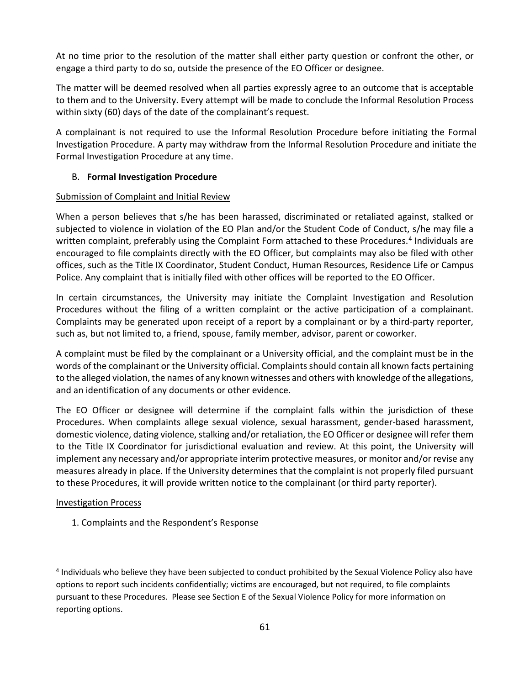At no time prior to the resolution of the matter shall either party question or confront the other, or engage a third party to do so, outside the presence of the EO Officer or designee.

The matter will be deemed resolved when all parties expressly agree to an outcome that is acceptable to them and to the University. Every attempt will be made to conclude the Informal Resolution Process within sixty (60) days of the date of the complainant's request.

A complainant is not required to use the Informal Resolution Procedure before initiating the Formal Investigation Procedure. A party may withdraw from the Informal Resolution Procedure and initiate the Formal Investigation Procedure at any time.

# B. **Formal Investigation Procedure**

### Submission of Complaint and Initial Review

When a person believes that s/he has been harassed, discriminated or retaliated against, stalked or subjected to violence in violation of the EO Plan and/or the Student Code of Conduct, s/he may file a written complaint, preferably using the Complaint Form attached to these Procedures.<sup>[4](#page-30-0)</sup> Individuals are encouraged to file complaints directly with the EO Officer, but complaints may also be filed with other offices, such as the Title IX Coordinator, Student Conduct, Human Resources, Residence Life or Campus Police. Any complaint that is initially filed with other offices will be reported to the EO Officer.

In certain circumstances, the University may initiate the Complaint Investigation and Resolution Procedures without the filing of a written complaint or the active participation of a complainant. Complaints may be generated upon receipt of a report by a complainant or by a third-party reporter, such as, but not limited to, a friend, spouse, family member, advisor, parent or coworker.

A complaint must be filed by the complainant or a University official, and the complaint must be in the words of the complainant or the University official. Complaints should contain all known facts pertaining to the alleged violation, the names of any known witnesses and others with knowledge of the allegations, and an identification of any documents or other evidence.

The EO Officer or designee will determine if the complaint falls within the jurisdiction of these Procedures. When complaints allege sexual violence, sexual harassment, gender-based harassment, domestic violence, dating violence, stalking and/or retaliation, the EO Officer or designee will refer them to the Title IX Coordinator for jurisdictional evaluation and review. At this point, the University will implement any necessary and/or appropriate interim protective measures, or monitor and/or revise any measures already in place. If the University determines that the complaint is not properly filed pursuant to these Procedures, it will provide written notice to the complainant (or third party reporter).

### Investigation Process

 $\overline{a}$ 

1. Complaints and the Respondent's Response

<span id="page-30-0"></span><sup>4</sup> Individuals who believe they have been subjected to conduct prohibited by the Sexual Violence Policy also have options to report such incidents confidentially; victims are encouraged, but not required, to file complaints pursuant to these Procedures. Please see Section E of the Sexual Violence Policy for more information on reporting options.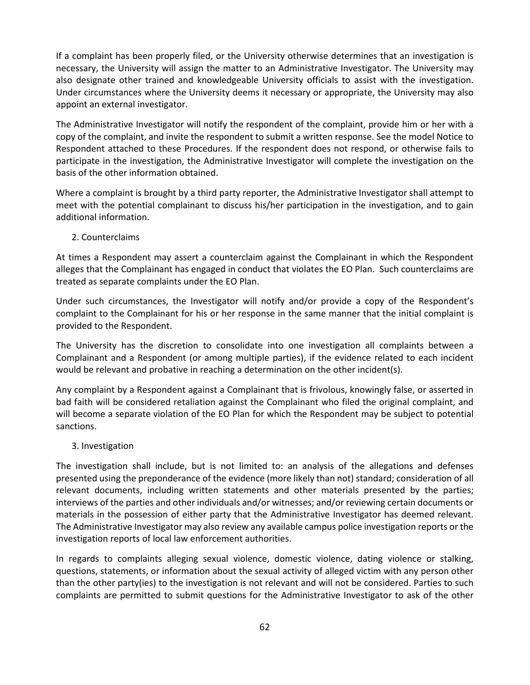If a complaint has been properly filed, or the University otherwise determines that an investigation is necessary, the University will assign the matter to an Administrative Investigator. The University may also designate other trained and knowledgeable University officials to assist with the investigation. Under circumstances where the University deems it necessary or appropriate, the University may also appoint an external investigator.

The Administrative Investigator will notify the respondent of the complaint, provide him or her with a copy of the complaint, and invite the respondent to submit a written response. See the model Notice to Respondent attached to these Procedures. If the respondent does not respond, or otherwise fails to participate in the investigation, the Administrative Investigator will complete the investigation on the basis of the other information obtained.

Where a complaint is brought by a third party reporter, the Administrative Investigator shall attempt to meet with the potential complainant to discuss his/her participation in the investigation, and to gain additional information.

2. Counterclaims

At times a Respondent may assert a counterclaim against the Complainant in which the Respondent alleges that the Complainant has engaged in conduct that violates the EO Plan. Such counterclaims are treated as separate complaints under the EO Plan.

Under such circumstances, the Investigator will notify and/or provide a copy of the Respondent's complaint to the Complainant for his or her response in the same manner that the initial complaint is provided to the Respondent.

The University has the discretion to consolidate into one investigation all complaints between a Complainant and a Respondent (or among multiple parties), if the evidence related to each incident would be relevant and probative in reaching a determination on the other incident(s).

Any complaint by a Respondent against a Complainant that is frivolous, knowingly false, or asserted in bad faith will be considered retaliation against the Complainant who filed the original complaint, and will become a separate violation of the EO Plan for which the Respondent may be subject to potential sanctions.

3. Investigation

The investigation shall include, but is not limited to: an analysis of the allegations and defenses presented using the preponderance of the evidence (more likely than not) standard; consideration of all relevant documents, including written statements and other materials presented by the parties; interviews of the parties and other individuals and/or witnesses; and/or reviewing certain documents or materials in the possession of either party that the Administrative Investigator has deemed relevant. The Administrative Investigator may also review any available campus police investigation reports or the investigation reports of local law enforcement authorities.

In regards to complaints alleging sexual violence, domestic violence, dating violence or stalking, questions, statements, or information about the sexual activity of alleged victim with any person other than the other party(ies) to the investigation is not relevant and will not be considered. Parties to such complaints are permitted to submit questions for the Administrative Investigator to ask of the other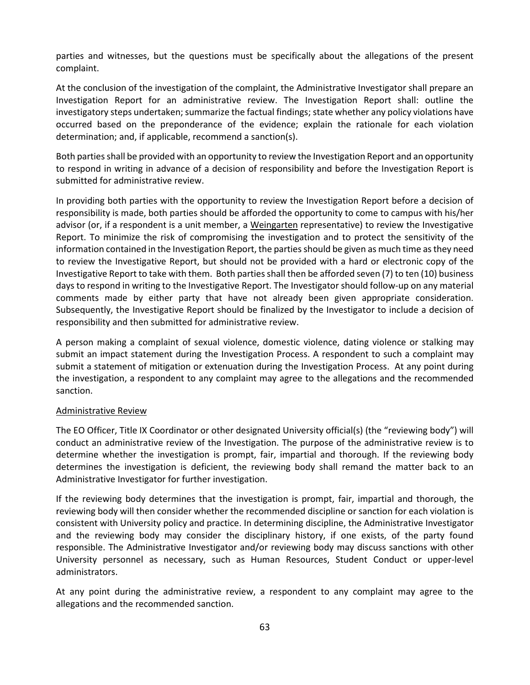parties and witnesses, but the questions must be specifically about the allegations of the present complaint.

At the conclusion of the investigation of the complaint, the Administrative Investigator shall prepare an Investigation Report for an administrative review. The Investigation Report shall: outline the investigatory steps undertaken; summarize the factual findings; state whether any policy violations have occurred based on the preponderance of the evidence; explain the rationale for each violation determination; and, if applicable, recommend a sanction(s).

Both parties shall be provided with an opportunity to review the Investigation Report and an opportunity to respond in writing in advance of a decision of responsibility and before the Investigation Report is submitted for administrative review.

In providing both parties with the opportunity to review the Investigation Report before a decision of responsibility is made, both parties should be afforded the opportunity to come to campus with his/her advisor (or, if a respondent is a unit member, a Weingarten representative) to review the Investigative Report. To minimize the risk of compromising the investigation and to protect the sensitivity of the information contained in the Investigation Report, the parties should be given as much time as they need to review the Investigative Report, but should not be provided with a hard or electronic copy of the Investigative Report to take with them. Both parties shall then be afforded seven (7) to ten (10) business days to respond in writing to the Investigative Report. The Investigator should follow-up on any material comments made by either party that have not already been given appropriate consideration. Subsequently, the Investigative Report should be finalized by the Investigator to include a decision of responsibility and then submitted for administrative review.

A person making a complaint of sexual violence, domestic violence, dating violence or stalking may submit an impact statement during the Investigation Process. A respondent to such a complaint may submit a statement of mitigation or extenuation during the Investigation Process. At any point during the investigation, a respondent to any complaint may agree to the allegations and the recommended sanction.

### Administrative Review

The EO Officer, Title IX Coordinator or other designated University official(s) (the "reviewing body") will conduct an administrative review of the Investigation. The purpose of the administrative review is to determine whether the investigation is prompt, fair, impartial and thorough. If the reviewing body determines the investigation is deficient, the reviewing body shall remand the matter back to an Administrative Investigator for further investigation.

If the reviewing body determines that the investigation is prompt, fair, impartial and thorough, the reviewing body will then consider whether the recommended discipline or sanction for each violation is consistent with University policy and practice. In determining discipline, the Administrative Investigator and the reviewing body may consider the disciplinary history, if one exists, of the party found responsible. The Administrative Investigator and/or reviewing body may discuss sanctions with other University personnel as necessary, such as Human Resources, Student Conduct or upper-level administrators.

At any point during the administrative review, a respondent to any complaint may agree to the allegations and the recommended sanction.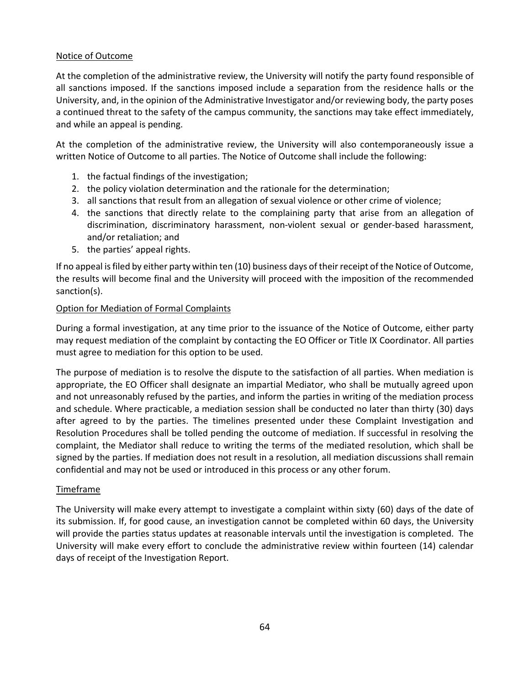### Notice of Outcome

At the completion of the administrative review, the University will notify the party found responsible of all sanctions imposed. If the sanctions imposed include a separation from the residence halls or the University, and, in the opinion of the Administrative Investigator and/or reviewing body, the party poses a continued threat to the safety of the campus community, the sanctions may take effect immediately, and while an appeal is pending.

At the completion of the administrative review, the University will also contemporaneously issue a written Notice of Outcome to all parties. The Notice of Outcome shall include the following:

- 1. the factual findings of the investigation;
- 2. the policy violation determination and the rationale for the determination;
- 3. all sanctions that result from an allegation of sexual violence or other crime of violence;
- 4. the sanctions that directly relate to the complaining party that arise from an allegation of discrimination, discriminatory harassment, non-violent sexual or gender-based harassment, and/or retaliation; and
- 5. the parties' appeal rights.

If no appeal is filed by either party within ten (10) business days of their receipt of the Notice of Outcome, the results will become final and the University will proceed with the imposition of the recommended sanction(s).

### Option for Mediation of Formal Complaints

During a formal investigation, at any time prior to the issuance of the Notice of Outcome, either party may request mediation of the complaint by contacting the EO Officer or Title IX Coordinator. All parties must agree to mediation for this option to be used.

The purpose of mediation is to resolve the dispute to the satisfaction of all parties. When mediation is appropriate, the EO Officer shall designate an impartial Mediator, who shall be mutually agreed upon and not unreasonably refused by the parties, and inform the parties in writing of the mediation process and schedule. Where practicable, a mediation session shall be conducted no later than thirty (30) days after agreed to by the parties. The timelines presented under these Complaint Investigation and Resolution Procedures shall be tolled pending the outcome of mediation. If successful in resolving the complaint, the Mediator shall reduce to writing the terms of the mediated resolution, which shall be signed by the parties. If mediation does not result in a resolution, all mediation discussions shall remain confidential and may not be used or introduced in this process or any other forum.

# Timeframe

The University will make every attempt to investigate a complaint within sixty (60) days of the date of its submission. If, for good cause, an investigation cannot be completed within 60 days, the University will provide the parties status updates at reasonable intervals until the investigation is completed. The University will make every effort to conclude the administrative review within fourteen (14) calendar days of receipt of the Investigation Report.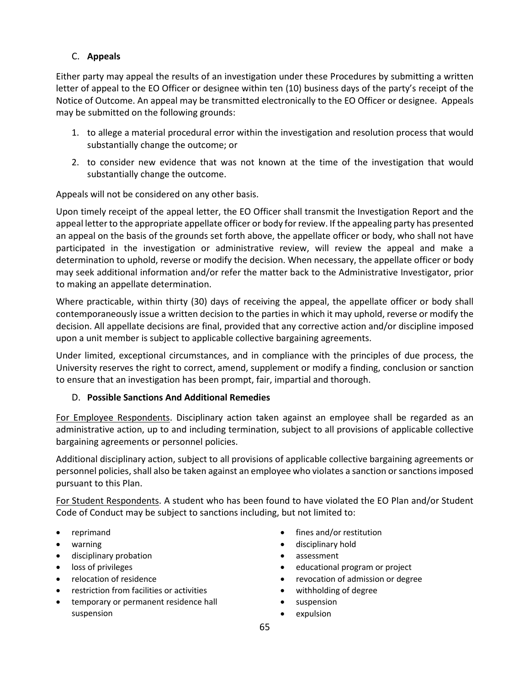# C. **Appeals**

Either party may appeal the results of an investigation under these Procedures by submitting a written letter of appeal to the EO Officer or designee within ten (10) business days of the party's receipt of the Notice of Outcome. An appeal may be transmitted electronically to the EO Officer or designee. Appeals may be submitted on the following grounds:

- 1. to allege a material procedural error within the investigation and resolution process that would substantially change the outcome; or
- 2. to consider new evidence that was not known at the time of the investigation that would substantially change the outcome.

Appeals will not be considered on any other basis.

Upon timely receipt of the appeal letter, the EO Officer shall transmit the Investigation Report and the appeal letter to the appropriate appellate officer or body for review. If the appealing party has presented an appeal on the basis of the grounds set forth above, the appellate officer or body, who shall not have participated in the investigation or administrative review, will review the appeal and make a determination to uphold, reverse or modify the decision. When necessary, the appellate officer or body may seek additional information and/or refer the matter back to the Administrative Investigator, prior to making an appellate determination.

Where practicable, within thirty (30) days of receiving the appeal, the appellate officer or body shall contemporaneously issue a written decision to the parties in which it may uphold, reverse or modify the decision. All appellate decisions are final, provided that any corrective action and/or discipline imposed upon a unit member is subject to applicable collective bargaining agreements.

Under limited, exceptional circumstances, and in compliance with the principles of due process, the University reserves the right to correct, amend, supplement or modify a finding, conclusion or sanction to ensure that an investigation has been prompt, fair, impartial and thorough.

# D. **Possible Sanctions And Additional Remedies**

For Employee Respondents. Disciplinary action taken against an employee shall be regarded as an administrative action, up to and including termination, subject to all provisions of applicable collective bargaining agreements or personnel policies.

Additional disciplinary action, subject to all provisions of applicable collective bargaining agreements or personnel policies, shall also be taken against an employee who violates a sanction or sanctions imposed pursuant to this Plan.

For Student Respondents. A student who has been found to have violated the EO Plan and/or Student Code of Conduct may be subject to sanctions including, but not limited to:

- reprimand
- warning
- disciplinary probation
- loss of privileges
- relocation of residence
- restriction from facilities or activities
- temporary or permanent residence hall suspension
- fines and/or restitution
- disciplinary hold
- assessment
- educational program or project
- revocation of admission or degree
- withholding of degree
- suspension
- expulsion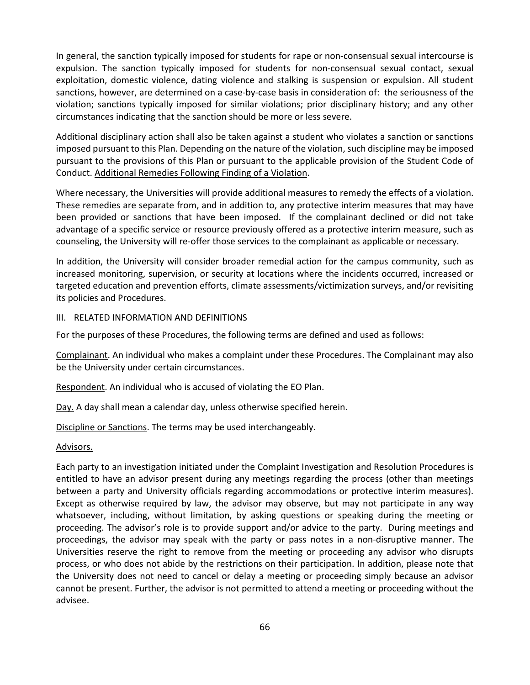In general, the sanction typically imposed for students for rape or non-consensual sexual intercourse is expulsion. The sanction typically imposed for students for non-consensual sexual contact, sexual exploitation, domestic violence, dating violence and stalking is suspension or expulsion. All student sanctions, however, are determined on a case-by-case basis in consideration of: the seriousness of the violation; sanctions typically imposed for similar violations; prior disciplinary history; and any other circumstances indicating that the sanction should be more or less severe.

Additional disciplinary action shall also be taken against a student who violates a sanction or sanctions imposed pursuant to this Plan. Depending on the nature of the violation, such discipline may be imposed pursuant to the provisions of this Plan or pursuant to the applicable provision of the Student Code of Conduct. Additional Remedies Following Finding of a Violation.

Where necessary, the Universities will provide additional measures to remedy the effects of a violation. These remedies are separate from, and in addition to, any protective interim measures that may have been provided or sanctions that have been imposed. If the complainant declined or did not take advantage of a specific service or resource previously offered as a protective interim measure, such as counseling, the University will re-offer those services to the complainant as applicable or necessary.

In addition, the University will consider broader remedial action for the campus community, such as increased monitoring, supervision, or security at locations where the incidents occurred, increased or targeted education and prevention efforts, climate assessments/victimization surveys, and/or revisiting its policies and Procedures.

### III. RELATED INFORMATION AND DEFINITIONS

For the purposes of these Procedures, the following terms are defined and used as follows:

Complainant. An individual who makes a complaint under these Procedures. The Complainant may also be the University under certain circumstances.

Respondent. An individual who is accused of violating the EO Plan.

Day. A day shall mean a calendar day, unless otherwise specified herein.

Discipline or Sanctions. The terms may be used interchangeably.

### Advisors.

Each party to an investigation initiated under the Complaint Investigation and Resolution Procedures is entitled to have an advisor present during any meetings regarding the process (other than meetings between a party and University officials regarding accommodations or protective interim measures). Except as otherwise required by law, the advisor may observe, but may not participate in any way whatsoever, including, without limitation, by asking questions or speaking during the meeting or proceeding. The advisor's role is to provide support and/or advice to the party. During meetings and proceedings, the advisor may speak with the party or pass notes in a non-disruptive manner. The Universities reserve the right to remove from the meeting or proceeding any advisor who disrupts process, or who does not abide by the restrictions on their participation. In addition, please note that the University does not need to cancel or delay a meeting or proceeding simply because an advisor cannot be present. Further, the advisor is not permitted to attend a meeting or proceeding without the advisee.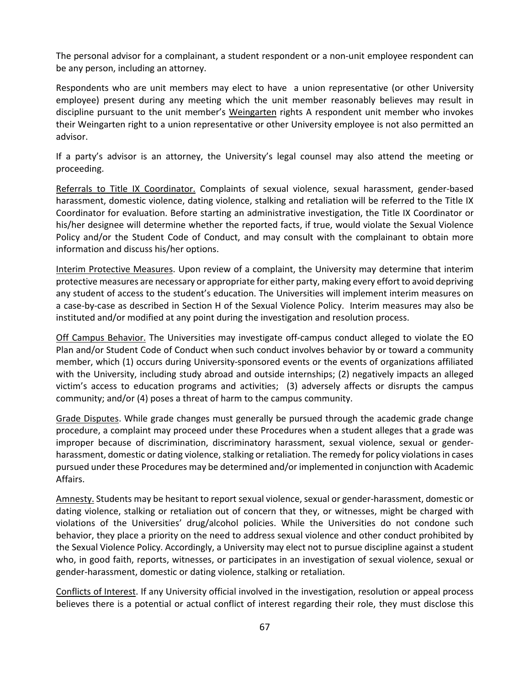The personal advisor for a complainant, a student respondent or a non-unit employee respondent can be any person, including an attorney.

Respondents who are unit members may elect to have a union representative (or other University employee) present during any meeting which the unit member reasonably believes may result in discipline pursuant to the unit member's Weingarten rights A respondent unit member who invokes their Weingarten right to a union representative or other University employee is not also permitted an advisor.

If a party's advisor is an attorney, the University's legal counsel may also attend the meeting or proceeding.

Referrals to Title IX Coordinator. Complaints of sexual violence, sexual harassment, gender-based harassment, domestic violence, dating violence, stalking and retaliation will be referred to the Title IX Coordinator for evaluation. Before starting an administrative investigation, the Title IX Coordinator or his/her designee will determine whether the reported facts, if true, would violate the Sexual Violence Policy and/or the Student Code of Conduct, and may consult with the complainant to obtain more information and discuss his/her options.

Interim Protective Measures. Upon review of a complaint, the University may determine that interim protective measures are necessary or appropriate for either party, making every effort to avoid depriving any student of access to the student's education. The Universities will implement interim measures on a case-by-case as described in Section H of the Sexual Violence Policy. Interim measures may also be instituted and/or modified at any point during the investigation and resolution process.

Off Campus Behavior. The Universities may investigate off-campus conduct alleged to violate the EO Plan and/or Student Code of Conduct when such conduct involves behavior by or toward a community member, which (1) occurs during University-sponsored events or the events of organizations affiliated with the University, including study abroad and outside internships; (2) negatively impacts an alleged victim's access to education programs and activities; (3) adversely affects or disrupts the campus community; and/or (4) poses a threat of harm to the campus community.

Grade Disputes. While grade changes must generally be pursued through the academic grade change procedure, a complaint may proceed under these Procedures when a student alleges that a grade was improper because of discrimination, discriminatory harassment, sexual violence, sexual or genderharassment, domestic or dating violence, stalking or retaliation. The remedy for policy violations in cases pursued under these Procedures may be determined and/or implemented in conjunction with Academic Affairs.

Amnesty. Students may be hesitant to report sexual violence, sexual or gender-harassment, domestic or dating violence, stalking or retaliation out of concern that they, or witnesses, might be charged with violations of the Universities' drug/alcohol policies. While the Universities do not condone such behavior, they place a priority on the need to address sexual violence and other conduct prohibited by the Sexual Violence Policy. Accordingly, a University may elect not to pursue discipline against a student who, in good faith, reports, witnesses, or participates in an investigation of sexual violence, sexual or gender-harassment, domestic or dating violence, stalking or retaliation.

Conflicts of Interest. If any University official involved in the investigation, resolution or appeal process believes there is a potential or actual conflict of interest regarding their role, they must disclose this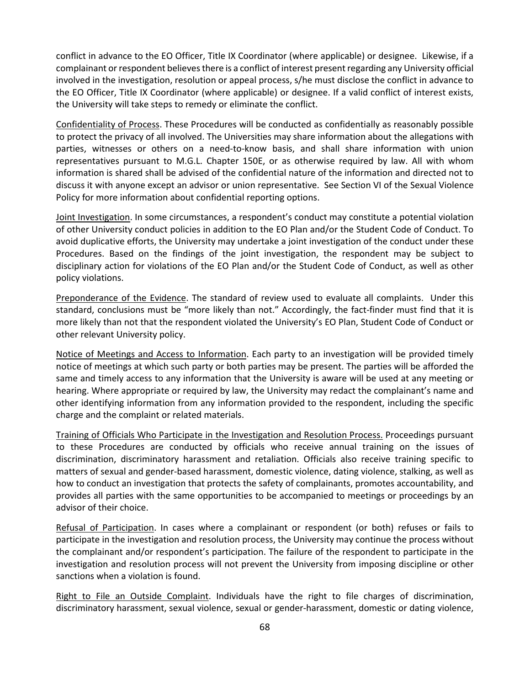conflict in advance to the EO Officer, Title IX Coordinator (where applicable) or designee. Likewise, if a complainant or respondent believes there is a conflict of interest present regarding any University official involved in the investigation, resolution or appeal process, s/he must disclose the conflict in advance to the EO Officer, Title IX Coordinator (where applicable) or designee. If a valid conflict of interest exists, the University will take steps to remedy or eliminate the conflict.

Confidentiality of Process. These Procedures will be conducted as confidentially as reasonably possible to protect the privacy of all involved. The Universities may share information about the allegations with parties, witnesses or others on a need-to-know basis, and shall share information with union representatives pursuant to M.G.L. Chapter 150E, or as otherwise required by law. All with whom information is shared shall be advised of the confidential nature of the information and directed not to discuss it with anyone except an advisor or union representative. See Section VI of the Sexual Violence Policy for more information about confidential reporting options.

Joint Investigation. In some circumstances, a respondent's conduct may constitute a potential violation of other University conduct policies in addition to the EO Plan and/or the Student Code of Conduct. To avoid duplicative efforts, the University may undertake a joint investigation of the conduct under these Procedures. Based on the findings of the joint investigation, the respondent may be subject to disciplinary action for violations of the EO Plan and/or the Student Code of Conduct, as well as other policy violations.

Preponderance of the Evidence. The standard of review used to evaluate all complaints. Under this standard, conclusions must be "more likely than not." Accordingly, the fact-finder must find that it is more likely than not that the respondent violated the University's EO Plan, Student Code of Conduct or other relevant University policy.

Notice of Meetings and Access to Information. Each party to an investigation will be provided timely notice of meetings at which such party or both parties may be present. The parties will be afforded the same and timely access to any information that the University is aware will be used at any meeting or hearing. Where appropriate or required by law, the University may redact the complainant's name and other identifying information from any information provided to the respondent, including the specific charge and the complaint or related materials.

Training of Officials Who Participate in the Investigation and Resolution Process. Proceedings pursuant to these Procedures are conducted by officials who receive annual training on the issues of discrimination, discriminatory harassment and retaliation. Officials also receive training specific to matters of sexual and gender-based harassment, domestic violence, dating violence, stalking, as well as how to conduct an investigation that protects the safety of complainants, promotes accountability, and provides all parties with the same opportunities to be accompanied to meetings or proceedings by an advisor of their choice.

Refusal of Participation. In cases where a complainant or respondent (or both) refuses or fails to participate in the investigation and resolution process, the University may continue the process without the complainant and/or respondent's participation. The failure of the respondent to participate in the investigation and resolution process will not prevent the University from imposing discipline or other sanctions when a violation is found.

Right to File an Outside Complaint. Individuals have the right to file charges of discrimination, discriminatory harassment, sexual violence, sexual or gender-harassment, domestic or dating violence,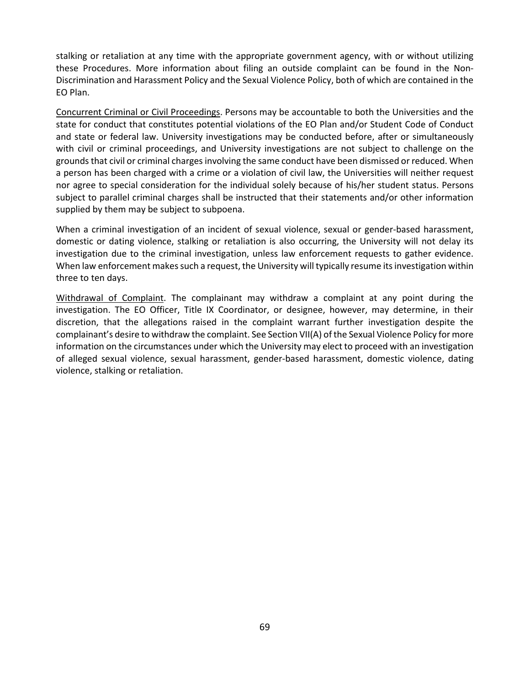stalking or retaliation at any time with the appropriate government agency, with or without utilizing these Procedures. More information about filing an outside complaint can be found in the Non-Discrimination and Harassment Policy and the Sexual Violence Policy, both of which are contained in the EO Plan.

Concurrent Criminal or Civil Proceedings. Persons may be accountable to both the Universities and the state for conduct that constitutes potential violations of the EO Plan and/or Student Code of Conduct and state or federal law. University investigations may be conducted before, after or simultaneously with civil or criminal proceedings, and University investigations are not subject to challenge on the grounds that civil or criminal charges involving the same conduct have been dismissed or reduced. When a person has been charged with a crime or a violation of civil law, the Universities will neither request nor agree to special consideration for the individual solely because of his/her student status. Persons subject to parallel criminal charges shall be instructed that their statements and/or other information supplied by them may be subject to subpoena.

When a criminal investigation of an incident of sexual violence, sexual or gender-based harassment, domestic or dating violence, stalking or retaliation is also occurring, the University will not delay its investigation due to the criminal investigation, unless law enforcement requests to gather evidence. When law enforcement makes such a request, the University will typically resume its investigation within three to ten days.

Withdrawal of Complaint. The complainant may withdraw a complaint at any point during the investigation. The EO Officer, Title IX Coordinator, or designee, however, may determine, in their discretion, that the allegations raised in the complaint warrant further investigation despite the complainant's desire to withdraw the complaint. See Section VII(A) of the Sexual Violence Policy for more information on the circumstances under which the University may elect to proceed with an investigation of alleged sexual violence, sexual harassment, gender-based harassment, domestic violence, dating violence, stalking or retaliation.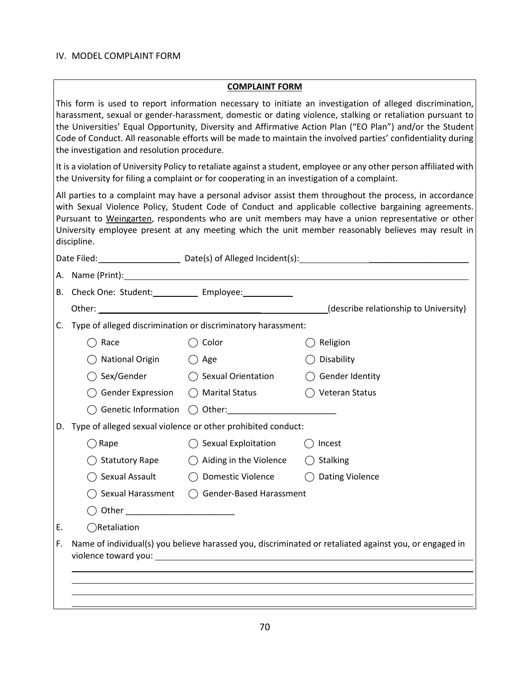#### IV. MODEL COMPLAINT FORM

#### **COMPLAINT FORM**

This form is used to report information necessary to initiate an investigation of alleged discrimination, harassment, sexual or gender-harassment, domestic or dating violence, stalking or retaliation pursuant to the Universities' Equal Opportunity, Diversity and Affirmative Action Plan ("EO Plan") and/or the Student Code of Conduct. All reasonable efforts will be made to maintain the involved parties' confidentiality during the investigation and resolution procedure.

It is a violation of University Policy to retaliate against a student, employee or any other person affiliated with the University for filing a complaint or for cooperating in an investigation of a complaint.

All parties to a complaint may have a personal advisor assist them throughout the process, in accordance with Sexual Violence Policy, Student Code of Conduct and applicable collective bargaining agreements. Pursuant to Weingarten, respondents who are unit members may have a union representative or other University employee present at any meeting which the unit member reasonably believes may result in discipline.

|    | A. Name (Print): 2008 2010 2020 2020 2020 2021 2021 2022 2021 2022 2021 2022 2022 2022 2022 2022 2022 2022 20 |                                      |                                       |  |  |  |  |
|----|---------------------------------------------------------------------------------------------------------------|--------------------------------------|---------------------------------------|--|--|--|--|
| В. | Check One: Student: __________ Employee: __________                                                           |                                      |                                       |  |  |  |  |
|    |                                                                                                               |                                      | (describe relationship to University) |  |  |  |  |
| C. | Type of alleged discrimination or discriminatory harassment:                                                  |                                      |                                       |  |  |  |  |
|    | Race                                                                                                          | Color                                | Religion                              |  |  |  |  |
|    | National Origin                                                                                               | Age                                  | Disability                            |  |  |  |  |
|    | Sex/Gender                                                                                                    | $\bigcirc$ Sexual Orientation        | Gender Identity                       |  |  |  |  |
|    | <b>Gender Expression</b>                                                                                      | $\bigcap$ Marital Status             | $\bigcirc$ Veteran Status             |  |  |  |  |
|    |                                                                                                               | Genetic Information ( Other:         |                                       |  |  |  |  |
| D. | Type of alleged sexual violence or other prohibited conduct:                                                  |                                      |                                       |  |  |  |  |
|    | $\bigcirc$ Rape                                                                                               | Sexual Exploitation                  | Incest                                |  |  |  |  |
|    | <b>Statutory Rape</b>                                                                                         | Aiding in the Violence               | Stalking                              |  |  |  |  |
|    | Sexual Assault                                                                                                | <b>Domestic Violence</b><br>( )      | ◯ Dating Violence                     |  |  |  |  |
|    | Sexual Harassment                                                                                             | $\bigcap$<br>Gender-Based Harassment |                                       |  |  |  |  |
|    |                                                                                                               |                                      |                                       |  |  |  |  |
| Ε. | ◯Retaliation                                                                                                  |                                      |                                       |  |  |  |  |
| F. | Name of individual(s) you believe harassed you, discriminated or retaliated against you, or engaged in        |                                      |                                       |  |  |  |  |
|    |                                                                                                               |                                      |                                       |  |  |  |  |
|    |                                                                                                               |                                      |                                       |  |  |  |  |
|    |                                                                                                               |                                      |                                       |  |  |  |  |
|    |                                                                                                               |                                      |                                       |  |  |  |  |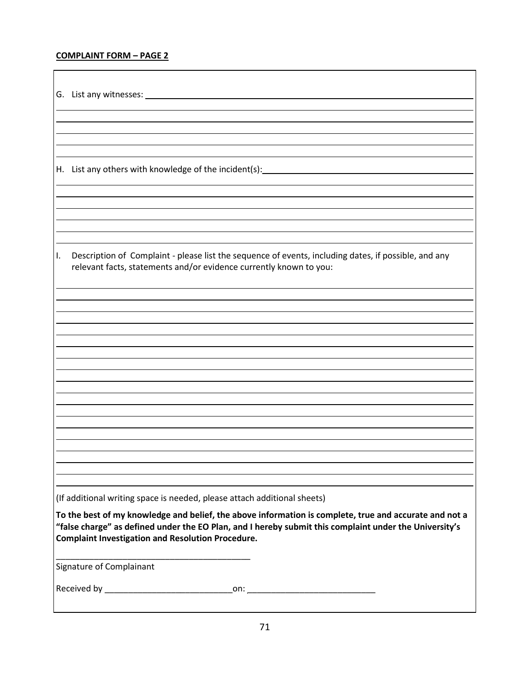#### **COMPLAINT FORM – PAGE 2**

G. List any witnesses:

H. List any others with knowledge of the incident(s): 1. The manuscription of the incident of the manuscription

I. Description of Complaint - please list the sequence of events, including dates, if possible, and any relevant facts, statements and/or evidence currently known to you:

(If additional writing space is needed, please attach additional sheets)

\_\_\_\_\_\_\_\_\_\_\_\_\_\_\_\_\_\_\_\_\_\_\_\_\_\_\_\_\_\_\_\_\_\_\_\_\_\_\_\_\_

**To the best of my knowledge and belief, the above information is complete, true and accurate and not a "false charge" as defined under the EO Plan, and I hereby submit this complaint under the University's Complaint Investigation and Resolution Procedure.**

Signature of Complainant

Received by \_\_\_\_\_\_\_\_\_\_\_\_\_\_\_\_\_\_\_\_\_\_\_\_\_\_\_on: \_\_\_\_\_\_\_\_\_\_\_\_\_\_\_\_\_\_\_\_\_\_\_\_\_\_\_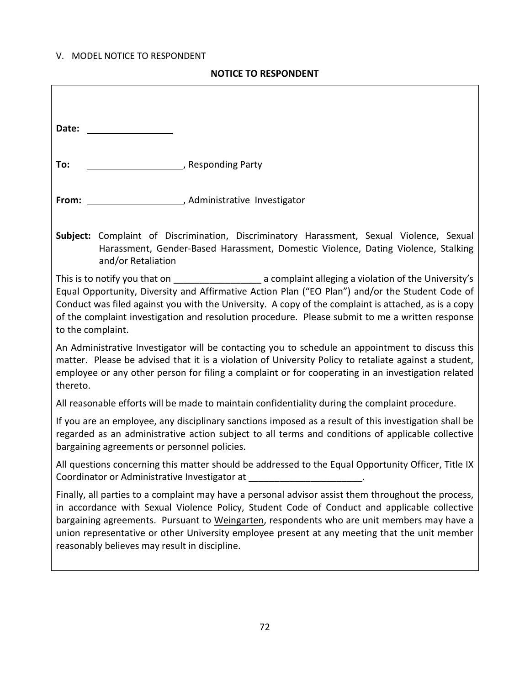#### V. MODEL NOTICE TO RESPONDENT

| Date:                                                                                                                                                                                                                                                                                                                                                                                                                                               |  |  |  |  |  |
|-----------------------------------------------------------------------------------------------------------------------------------------------------------------------------------------------------------------------------------------------------------------------------------------------------------------------------------------------------------------------------------------------------------------------------------------------------|--|--|--|--|--|
| Sure Barty Responding Party<br>To:                                                                                                                                                                                                                                                                                                                                                                                                                  |  |  |  |  |  |
| From:<br>SAdministrative Investigator                                                                                                                                                                                                                                                                                                                                                                                                               |  |  |  |  |  |
| Subject: Complaint of Discrimination, Discriminatory Harassment, Sexual Violence, Sexual<br>Harassment, Gender-Based Harassment, Domestic Violence, Dating Violence, Stalking<br>and/or Retaliation                                                                                                                                                                                                                                                 |  |  |  |  |  |
| Equal Opportunity, Diversity and Affirmative Action Plan ("EO Plan") and/or the Student Code of<br>Conduct was filed against you with the University. A copy of the complaint is attached, as is a copy<br>of the complaint investigation and resolution procedure. Please submit to me a written response<br>to the complaint.                                                                                                                     |  |  |  |  |  |
| An Administrative Investigator will be contacting you to schedule an appointment to discuss this<br>matter. Please be advised that it is a violation of University Policy to retaliate against a student,<br>employee or any other person for filing a complaint or for cooperating in an investigation related<br>thereto.                                                                                                                         |  |  |  |  |  |
| All reasonable efforts will be made to maintain confidentiality during the complaint procedure.                                                                                                                                                                                                                                                                                                                                                     |  |  |  |  |  |
| If you are an employee, any disciplinary sanctions imposed as a result of this investigation shall be<br>regarded as an administrative action subject to all terms and conditions of applicable collective<br>bargaining agreements or personnel policies.                                                                                                                                                                                          |  |  |  |  |  |
| All questions concerning this matter should be addressed to the Equal Opportunity Officer, Title IX<br>Coordinator or Administrative Investigator at ______________________.                                                                                                                                                                                                                                                                        |  |  |  |  |  |
| Finally, all parties to a complaint may have a personal advisor assist them throughout the process,<br>in accordance with Sexual Violence Policy, Student Code of Conduct and applicable collective<br>bargaining agreements. Pursuant to Weingarten, respondents who are unit members may have a<br>union representative or other University employee present at any meeting that the unit member<br>reasonably believes may result in discipline. |  |  |  |  |  |
|                                                                                                                                                                                                                                                                                                                                                                                                                                                     |  |  |  |  |  |

# **NOTICE TO RESPONDENT**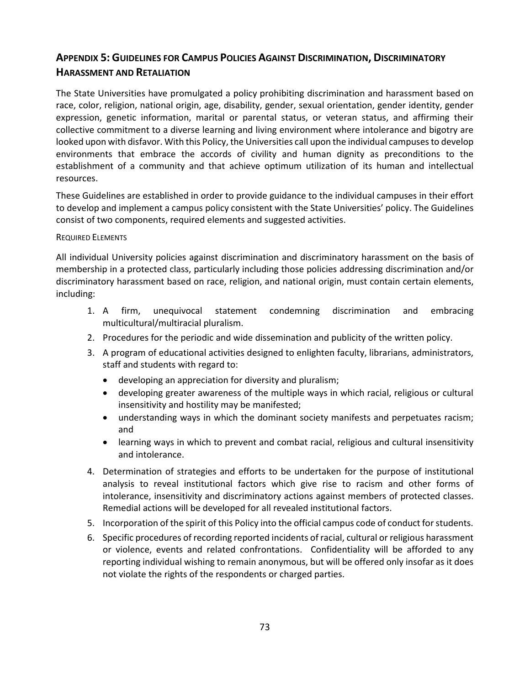# **APPENDIX 5: GUIDELINES FOR CAMPUS POLICIES AGAINST DISCRIMINATION, DISCRIMINATORY HARASSMENT AND RETALIATION**

The State Universities have promulgated a policy prohibiting discrimination and harassment based on race, color, religion, national origin, age, disability, gender, sexual orientation, gender identity, gender expression, genetic information, marital or parental status, or veteran status, and affirming their collective commitment to a diverse learning and living environment where intolerance and bigotry are looked upon with disfavor. With this Policy, the Universities call upon the individual campuses to develop environments that embrace the accords of civility and human dignity as preconditions to the establishment of a community and that achieve optimum utilization of its human and intellectual resources.

These Guidelines are established in order to provide guidance to the individual campuses in their effort to develop and implement a campus policy consistent with the State Universities' policy. The Guidelines consist of two components, required elements and suggested activities.

#### REQUIRED ELEMENTS

All individual University policies against discrimination and discriminatory harassment on the basis of membership in a protected class, particularly including those policies addressing discrimination and/or discriminatory harassment based on race, religion, and national origin, must contain certain elements, including:

- 1. A firm, unequivocal statement condemning discrimination and embracing multicultural/multiracial pluralism.
- 2. Procedures for the periodic and wide dissemination and publicity of the written policy.
- 3. A program of educational activities designed to enlighten faculty, librarians, administrators, staff and students with regard to:
	- developing an appreciation for diversity and pluralism;
	- developing greater awareness of the multiple ways in which racial, religious or cultural insensitivity and hostility may be manifested;
	- understanding ways in which the dominant society manifests and perpetuates racism; and
	- learning ways in which to prevent and combat racial, religious and cultural insensitivity and intolerance.
- 4. Determination of strategies and efforts to be undertaken for the purpose of institutional analysis to reveal institutional factors which give rise to racism and other forms of intolerance, insensitivity and discriminatory actions against members of protected classes. Remedial actions will be developed for all revealed institutional factors.
- 5. Incorporation of the spirit of this Policy into the official campus code of conduct for students.
- 6. Specific procedures of recording reported incidents of racial, cultural or religious harassment or violence, events and related confrontations. Confidentiality will be afforded to any reporting individual wishing to remain anonymous, but will be offered only insofar as it does not violate the rights of the respondents or charged parties.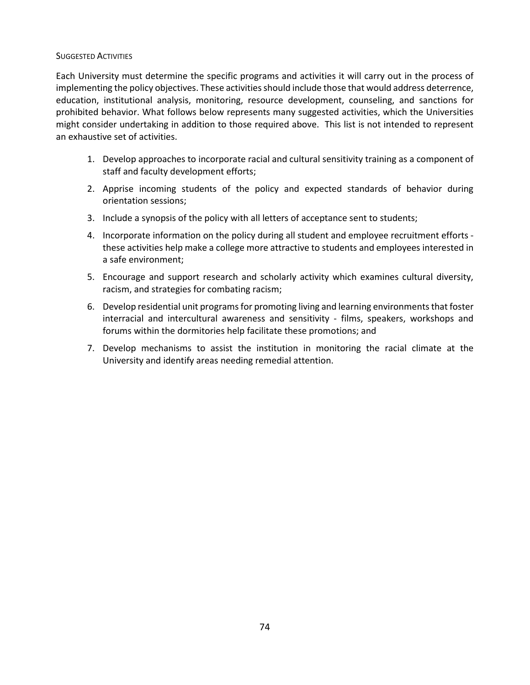#### SUGGESTED ACTIVITIES

Each University must determine the specific programs and activities it will carry out in the process of implementing the policy objectives. These activities should include those that would address deterrence, education, institutional analysis, monitoring, resource development, counseling, and sanctions for prohibited behavior. What follows below represents many suggested activities, which the Universities might consider undertaking in addition to those required above. This list is not intended to represent an exhaustive set of activities.

- 1. Develop approaches to incorporate racial and cultural sensitivity training as a component of staff and faculty development efforts;
- 2. Apprise incoming students of the policy and expected standards of behavior during orientation sessions;
- 3. Include a synopsis of the policy with all letters of acceptance sent to students;
- 4. Incorporate information on the policy during all student and employee recruitment efforts these activities help make a college more attractive to students and employees interested in a safe environment;
- 5. Encourage and support research and scholarly activity which examines cultural diversity, racism, and strategies for combating racism;
- 6. Develop residential unit programs for promoting living and learning environments that foster interracial and intercultural awareness and sensitivity - films, speakers, workshops and forums within the dormitories help facilitate these promotions; and
- 7. Develop mechanisms to assist the institution in monitoring the racial climate at the University and identify areas needing remedial attention.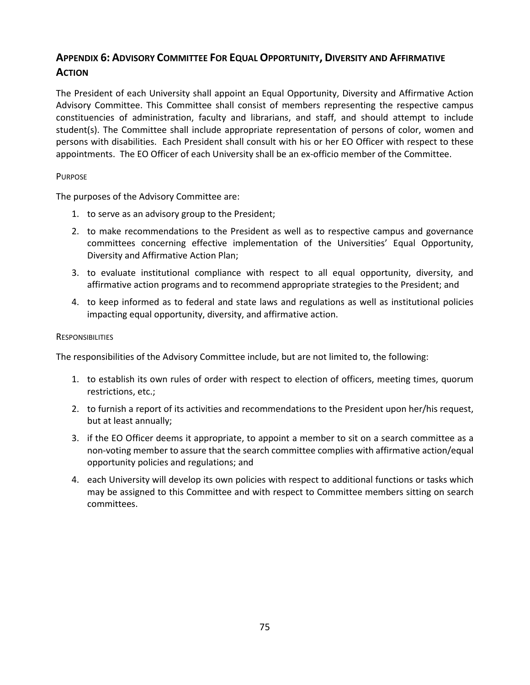# **APPENDIX 6: ADVISORY COMMITTEE FOR EQUAL OPPORTUNITY, DIVERSITY AND AFFIRMATIVE ACTION**

The President of each University shall appoint an Equal Opportunity, Diversity and Affirmative Action Advisory Committee. This Committee shall consist of members representing the respective campus constituencies of administration, faculty and librarians, and staff, and should attempt to include student(s). The Committee shall include appropriate representation of persons of color, women and persons with disabilities. Each President shall consult with his or her EO Officer with respect to these appointments. The EO Officer of each University shall be an ex-officio member of the Committee.

#### PURPOSE

The purposes of the Advisory Committee are:

- 1. to serve as an advisory group to the President;
- 2. to make recommendations to the President as well as to respective campus and governance committees concerning effective implementation of the Universities' Equal Opportunity, Diversity and Affirmative Action Plan;
- 3. to evaluate institutional compliance with respect to all equal opportunity, diversity, and affirmative action programs and to recommend appropriate strategies to the President; and
- 4. to keep informed as to federal and state laws and regulations as well as institutional policies impacting equal opportunity, diversity, and affirmative action.

#### **RESPONSIBILITIES**

The responsibilities of the Advisory Committee include, but are not limited to, the following:

- 1. to establish its own rules of order with respect to election of officers, meeting times, quorum restrictions, etc.;
- 2. to furnish a report of its activities and recommendations to the President upon her/his request, but at least annually;
- 3. if the EO Officer deems it appropriate, to appoint a member to sit on a search committee as a non-voting member to assure that the search committee complies with affirmative action/equal opportunity policies and regulations; and
- 4. each University will develop its own policies with respect to additional functions or tasks which may be assigned to this Committee and with respect to Committee members sitting on search committees.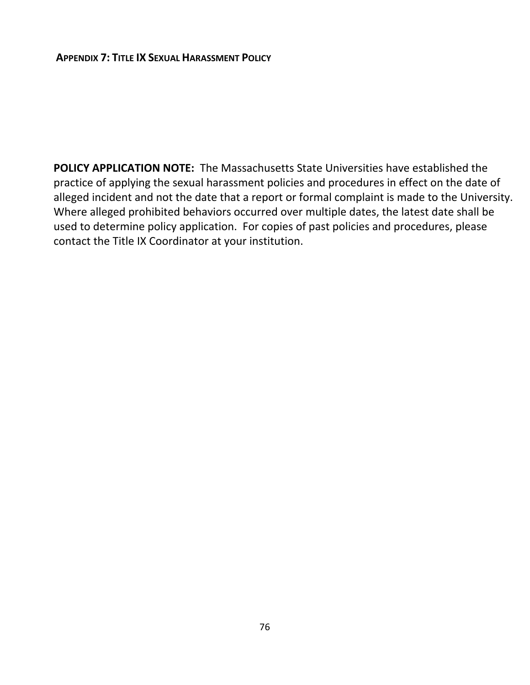**POLICY APPLICATION NOTE:** The Massachusetts State Universities have established the practice of applying the sexual harassment policies and procedures in effect on the date of alleged incident and not the date that a report or formal complaint is made to the University. Where alleged prohibited behaviors occurred over multiple dates, the latest date shall be used to determine policy application. For copies of past policies and procedures, please contact the Title IX Coordinator at your institution.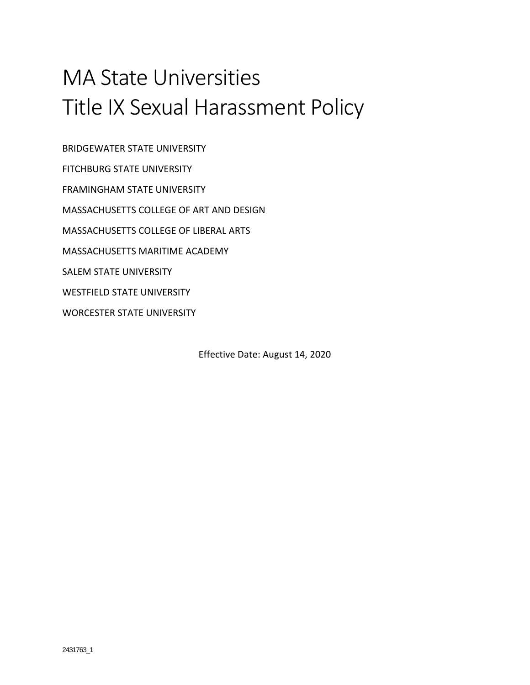# MA State Universities Title IX Sexual Harassment Policy

BRIDGEWATER STATE UNIVERSITY FITCHBURG STATE UNIVERSITY FRAMINGHAM STATE UNIVERSITY MASSACHUSETTS COLLEGE OF ART AND DESIGN MASSACHUSETTS COLLEGE OF LIBERAL ARTS MASSACHUSETTS MARITIME ACADEMY SALEM STATE UNIVERSITY WESTFIELD STATE UNIVERSITY WORCESTER STATE UNIVERSITY

Effective Date: August 14, 2020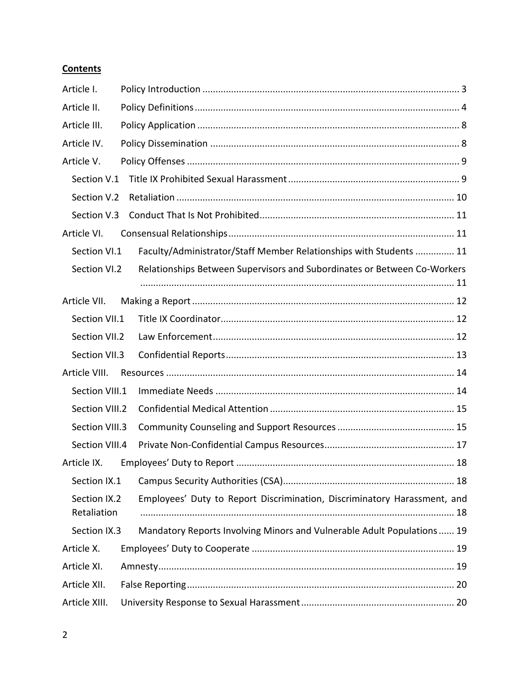# **Contents**

| Article I.                  |                                                                          |  |  |  |  |
|-----------------------------|--------------------------------------------------------------------------|--|--|--|--|
| Article II.                 |                                                                          |  |  |  |  |
| Article III.                |                                                                          |  |  |  |  |
| Article IV.                 |                                                                          |  |  |  |  |
| Article V.                  |                                                                          |  |  |  |  |
| Section V.1                 |                                                                          |  |  |  |  |
| Section V.2                 |                                                                          |  |  |  |  |
| Section V.3                 |                                                                          |  |  |  |  |
| Article VI.                 |                                                                          |  |  |  |  |
| Section VI.1                | Faculty/Administrator/Staff Member Relationships with Students  11       |  |  |  |  |
| Section VI.2                | Relationships Between Supervisors and Subordinates or Between Co-Workers |  |  |  |  |
|                             |                                                                          |  |  |  |  |
| Article VII.                |                                                                          |  |  |  |  |
| Section VII.1               |                                                                          |  |  |  |  |
| Section VII.2               |                                                                          |  |  |  |  |
| Section VII.3               |                                                                          |  |  |  |  |
| Article VIII.               |                                                                          |  |  |  |  |
| Section VIII.1              |                                                                          |  |  |  |  |
| Section VIII.2              |                                                                          |  |  |  |  |
| Section VIII.3              |                                                                          |  |  |  |  |
| Section VIII.4              |                                                                          |  |  |  |  |
| Article IX.                 |                                                                          |  |  |  |  |
| Section IX.1                |                                                                          |  |  |  |  |
| Section IX.2<br>Retaliation | Employees' Duty to Report Discrimination, Discriminatory Harassment, and |  |  |  |  |
| Section IX.3                | Mandatory Reports Involving Minors and Vulnerable Adult Populations 19   |  |  |  |  |
| Article X.                  |                                                                          |  |  |  |  |
| Article XI.                 |                                                                          |  |  |  |  |
| Article XII.                |                                                                          |  |  |  |  |
| Article XIII.               |                                                                          |  |  |  |  |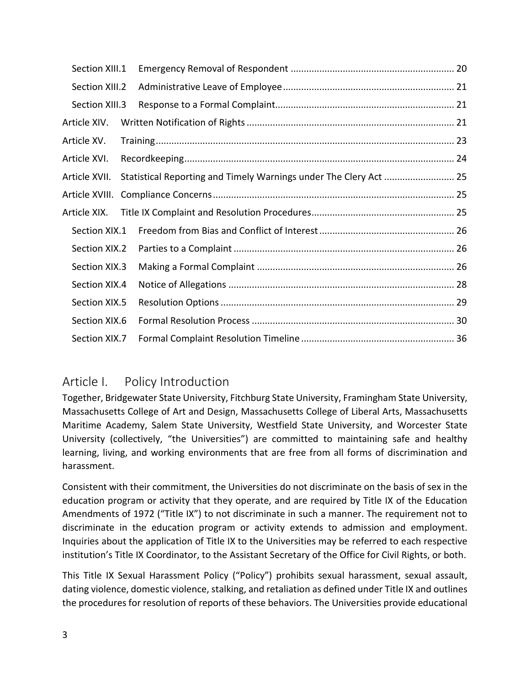| Section XIII.1 |  |                                                                   |  |
|----------------|--|-------------------------------------------------------------------|--|
| Section XIII.2 |  |                                                                   |  |
| Section XIII.3 |  |                                                                   |  |
| Article XIV.   |  |                                                                   |  |
| Article XV.    |  |                                                                   |  |
| Article XVI.   |  |                                                                   |  |
| Article XVII.  |  | Statistical Reporting and Timely Warnings under The Clery Act  25 |  |
| Article XVIII. |  |                                                                   |  |
| Article XIX.   |  |                                                                   |  |
| Section XIX.1  |  |                                                                   |  |
| Section XIX.2  |  |                                                                   |  |
| Section XIX.3  |  |                                                                   |  |
| Section XIX.4  |  |                                                                   |  |
| Section XIX.5  |  |                                                                   |  |
| Section XIX.6  |  |                                                                   |  |
| Section XIX.7  |  |                                                                   |  |

# <span id="page-48-0"></span>Article I. Policy Introduction

Together, Bridgewater State University, Fitchburg State University, Framingham State University, Massachusetts College of Art and Design, Massachusetts College of Liberal Arts, Massachusetts Maritime Academy, Salem State University, Westfield State University, and Worcester State University (collectively, "the Universities") are committed to maintaining safe and healthy learning, living, and working environments that are free from all forms of discrimination and harassment.

Consistent with their commitment, the Universities do not discriminate on the basis of sex in the education program or activity that they operate, and are required by Title IX of the Education Amendments of 1972 ("Title IX") to not discriminate in such a manner. The requirement not to discriminate in the education program or activity extends to admission and employment. Inquiries about the application of Title IX to the Universities may be referred to each respective institution's Title IX Coordinator, to the Assistant Secretary of the Office for Civil Rights, or both.

This Title IX Sexual Harassment Policy ("Policy") prohibits sexual harassment, sexual assault, dating violence, domestic violence, stalking, and retaliation as defined under Title IX and outlines the procedures for resolution of reports of these behaviors. The Universities provide educational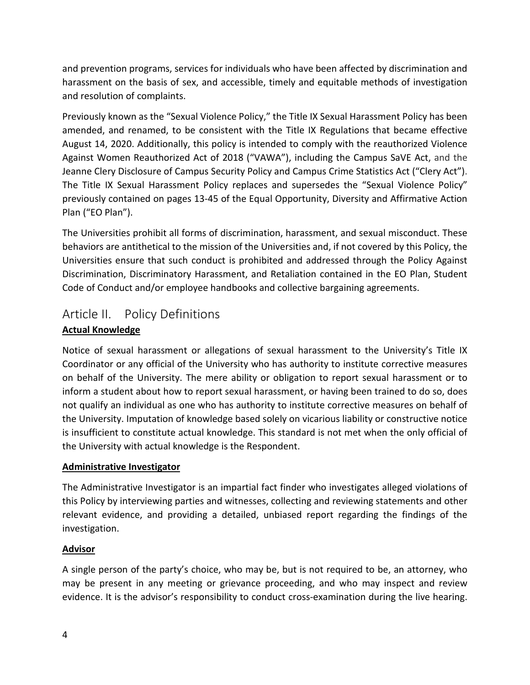and prevention programs, services for individuals who have been affected by discrimination and harassment on the basis of sex, and accessible, timely and equitable methods of investigation and resolution of complaints.

Previously known as the "Sexual Violence Policy," the Title IX Sexual Harassment Policy has been amended, and renamed, to be consistent with the Title IX Regulations that became effective August 14, 2020. Additionally, this policy is intended to comply with the reauthorized Violence Against Women Reauthorized Act of 2018 ("VAWA"), including the Campus SaVE Act, and the Jeanne Clery Disclosure of Campus Security Policy and Campus Crime Statistics Act ("Clery Act"). The Title IX Sexual Harassment Policy replaces and supersedes the "Sexual Violence Policy" previously contained on pages 13-45 of the Equal Opportunity, Diversity and Affirmative Action Plan ("EO Plan").

The Universities prohibit all forms of discrimination, harassment, and sexual misconduct. These behaviors are antithetical to the mission of the Universities and, if not covered by this Policy, the Universities ensure that such conduct is prohibited and addressed through the Policy Against Discrimination, Discriminatory Harassment, and Retaliation contained in the EO Plan, Student Code of Conduct and/or employee handbooks and collective bargaining agreements.

# <span id="page-49-0"></span>Article II. Policy Definitions

# **Actual Knowledge**

Notice of sexual harassment or allegations of sexual harassment to the University's Title IX Coordinator or any official of the University who has authority to institute corrective measures on behalf of the University. The mere ability or obligation to report sexual harassment or to inform a student about how to report sexual harassment, or having been trained to do so, does not qualify an individual as one who has authority to institute corrective measures on behalf of the University. Imputation of knowledge based solely on vicarious liability or constructive notice is insufficient to constitute actual knowledge. This standard is not met when the only official of the University with actual knowledge is the Respondent.

### **Administrative Investigator**

The Administrative Investigator is an impartial fact finder who investigates alleged violations of this Policy by interviewing parties and witnesses, collecting and reviewing statements and other relevant evidence, and providing a detailed, unbiased report regarding the findings of the investigation.

### **Advisor**

A single person of the party's choice, who may be, but is not required to be, an attorney, who may be present in any meeting or grievance proceeding, and who may inspect and review evidence. It is the advisor's responsibility to conduct cross-examination during the live hearing.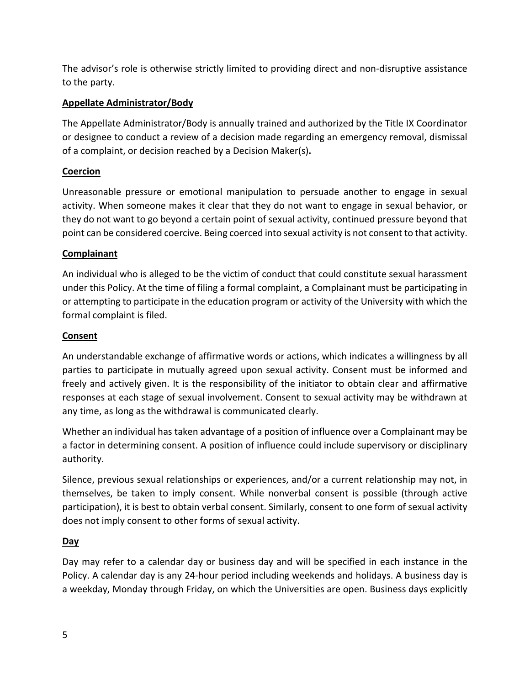The advisor's role is otherwise strictly limited to providing direct and non-disruptive assistance to the party.

### **Appellate Administrator/Body**

The Appellate Administrator/Body is annually trained and authorized by the Title IX Coordinator or designee to conduct a review of a decision made regarding an emergency removal, dismissal of a complaint, or decision reached by a Decision Maker(s)**.**

### **Coercion**

Unreasonable pressure or emotional manipulation to persuade another to engage in sexual activity. When someone makes it clear that they do not want to engage in sexual behavior, or they do not want to go beyond a certain point of sexual activity, continued pressure beyond that point can be considered coercive. Being coerced into sexual activity is not consent to that activity.

### **Complainant**

An individual who is alleged to be the victim of conduct that could constitute sexual harassment under this Policy. At the time of filing a formal complaint, a Complainant must be participating in or attempting to participate in the education program or activity of the University with which the formal complaint is filed.

### **Consent**

An understandable exchange of affirmative words or actions, which indicates a willingness by all parties to participate in mutually agreed upon sexual activity. Consent must be informed and freely and actively given. It is the responsibility of the initiator to obtain clear and affirmative responses at each stage of sexual involvement. Consent to sexual activity may be withdrawn at any time, as long as the withdrawal is communicated clearly.

Whether an individual has taken advantage of a position of influence over a Complainant may be a factor in determining consent. A position of influence could include supervisory or disciplinary authority.

Silence, previous sexual relationships or experiences, and/or a current relationship may not, in themselves, be taken to imply consent. While nonverbal consent is possible (through active participation), it is best to obtain verbal consent. Similarly, consent to one form of sexual activity does not imply consent to other forms of sexual activity.

### **Day**

Day may refer to a calendar day or business day and will be specified in each instance in the Policy. A calendar day is any 24-hour period including weekends and holidays. A business day is a weekday, Monday through Friday, on which the Universities are open. Business days explicitly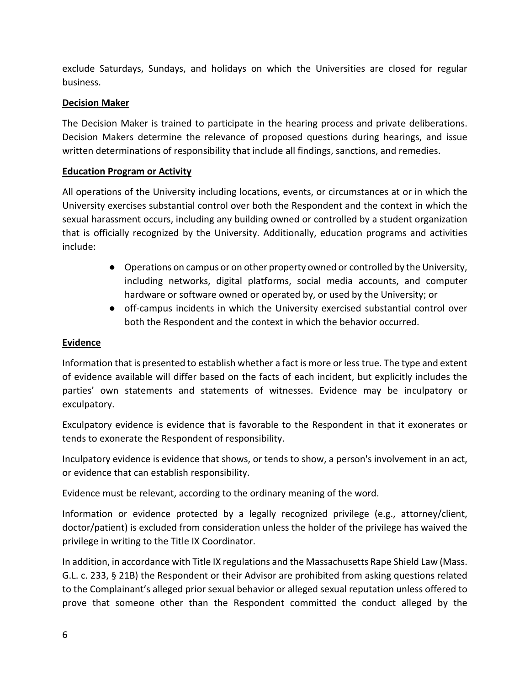exclude Saturdays, Sundays, and holidays on which the Universities are closed for regular business.

### **Decision Maker**

The Decision Maker is trained to participate in the hearing process and private deliberations. Decision Makers determine the relevance of proposed questions during hearings, and issue written determinations of responsibility that include all findings, sanctions, and remedies.

### **Education Program or Activity**

All operations of the University including locations, events, or circumstances at or in which the University exercises substantial control over both the Respondent and the context in which the sexual harassment occurs, including any building owned or controlled by a student organization that is officially recognized by the University. Additionally, education programs and activities include:

- Operations on campus or on other property owned or controlled by the University, including networks, digital platforms, social media accounts, and computer hardware or software owned or operated by, or used by the University; or
- off-campus incidents in which the University exercised substantial control over both the Respondent and the context in which the behavior occurred.

### **Evidence**

Information that is presented to establish whether a fact is more or less true. The type and extent of evidence available will differ based on the facts of each incident, but explicitly includes the parties' own statements and statements of witnesses. Evidence may be inculpatory or exculpatory.

Exculpatory evidence is evidence that is favorable to the Respondent in that it exonerates or tends to exonerate the Respondent of responsibility.

Inculpatory evidence is evidence that shows, or tends to show, a person's involvement in an act, or evidence that can establish responsibility.

Evidence must be relevant, according to the ordinary meaning of the word.

Information or evidence protected by a legally recognized privilege (e.g., attorney/client, doctor/patient) is excluded from consideration unless the holder of the privilege has waived the privilege in writing to the Title IX Coordinator.

In addition, in accordance with Title IX regulations and the Massachusetts Rape Shield Law (Mass. G.L. c. 233, § 21B) the Respondent or their Advisor are prohibited from asking questions related to the Complainant's alleged prior sexual behavior or alleged sexual reputation unless offered to prove that someone other than the Respondent committed the conduct alleged by the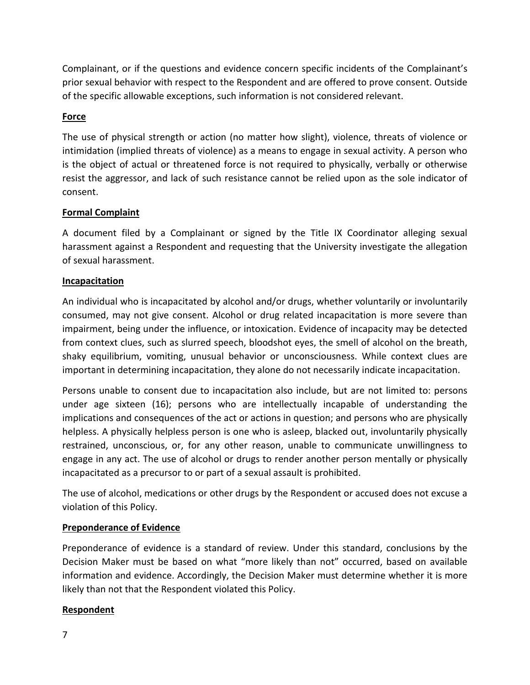Complainant, or if the questions and evidence concern specific incidents of the Complainant's prior sexual behavior with respect to the Respondent and are offered to prove consent. Outside of the specific allowable exceptions, such information is not considered relevant.

### **Force**

The use of physical strength or action (no matter how slight), violence, threats of violence or intimidation (implied threats of violence) as a means to engage in sexual activity. A person who is the object of actual or threatened force is not required to physically, verbally or otherwise resist the aggressor, and lack of such resistance cannot be relied upon as the sole indicator of consent.

### **Formal Complaint**

A document filed by a Complainant or signed by the Title IX Coordinator alleging sexual harassment against a Respondent and requesting that the University investigate the allegation of sexual harassment.

#### **Incapacitation**

An individual who is incapacitated by alcohol and/or drugs, whether voluntarily or involuntarily consumed, may not give consent. Alcohol or drug related incapacitation is more severe than impairment, being under the influence, or intoxication. Evidence of incapacity may be detected from context clues, such as slurred speech, bloodshot eyes, the smell of alcohol on the breath, shaky equilibrium, vomiting, unusual behavior or unconsciousness. While context clues are important in determining incapacitation, they alone do not necessarily indicate incapacitation.

Persons unable to consent due to incapacitation also include, but are not limited to: persons under age sixteen (16); persons who are intellectually incapable of understanding the implications and consequences of the act or actions in question; and persons who are physically helpless. A physically helpless person is one who is asleep, blacked out, involuntarily physically restrained, unconscious, or, for any other reason, unable to communicate unwillingness to engage in any act. The use of alcohol or drugs to render another person mentally or physically incapacitated as a precursor to or part of a sexual assault is prohibited.

The use of alcohol, medications or other drugs by the Respondent or accused does not excuse a violation of this Policy.

### **Preponderance of Evidence**

Preponderance of evidence is a standard of review. Under this standard, conclusions by the Decision Maker must be based on what "more likely than not" occurred, based on available information and evidence. Accordingly, the Decision Maker must determine whether it is more likely than not that the Respondent violated this Policy.

#### **Respondent**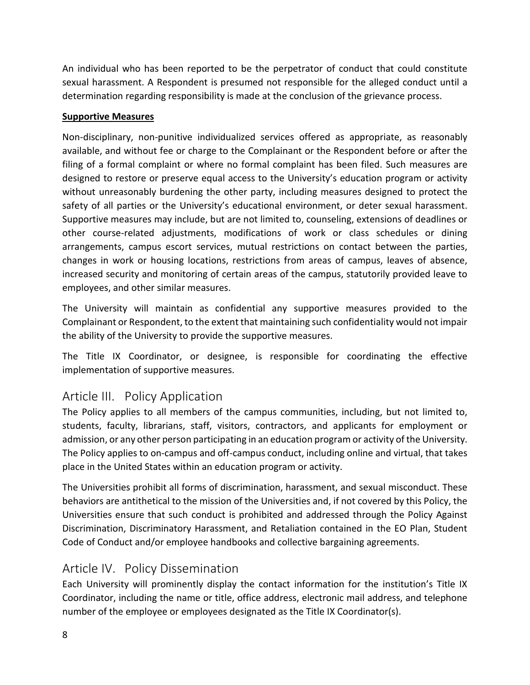An individual who has been reported to be the perpetrator of conduct that could constitute sexual harassment. A Respondent is presumed not responsible for the alleged conduct until a determination regarding responsibility is made at the conclusion of the grievance process.

### **Supportive Measures**

Non-disciplinary, non-punitive individualized services offered as appropriate, as reasonably available, and without fee or charge to the Complainant or the Respondent before or after the filing of a formal complaint or where no formal complaint has been filed. Such measures are designed to restore or preserve equal access to the University's education program or activity without unreasonably burdening the other party, including measures designed to protect the safety of all parties or the University's educational environment, or deter sexual harassment. Supportive measures may include, but are not limited to, counseling, extensions of deadlines or other course-related adjustments, modifications of work or class schedules or dining arrangements, campus escort services, mutual restrictions on contact between the parties, changes in work or housing locations, restrictions from areas of campus, leaves of absence, increased security and monitoring of certain areas of the campus, statutorily provided leave to employees, and other similar measures.

The University will maintain as confidential any supportive measures provided to the Complainant or Respondent, to the extent that maintaining such confidentiality would not impair the ability of the University to provide the supportive measures.

The Title IX Coordinator, or designee, is responsible for coordinating the effective implementation of supportive measures.

# <span id="page-53-0"></span>Article III. Policy Application

The Policy applies to all members of the campus communities, including, but not limited to, students, faculty, librarians, staff, visitors, contractors, and applicants for employment or admission, or any other person participating in an education program or activity of the University. The Policy applies to on-campus and off-campus conduct, including online and virtual, that takes place in the United States within an education program or activity.

The Universities prohibit all forms of discrimination, harassment, and sexual misconduct. These behaviors are antithetical to the mission of the Universities and, if not covered by this Policy, the Universities ensure that such conduct is prohibited and addressed through the Policy Against Discrimination, Discriminatory Harassment, and Retaliation contained in the EO Plan, Student Code of Conduct and/or employee handbooks and collective bargaining agreements.

# <span id="page-53-1"></span>Article IV. Policy Dissemination

Each University will prominently display the contact information for the institution's Title IX Coordinator, including the name or title, office address, electronic mail address, and telephone number of the employee or employees designated as the Title IX Coordinator(s).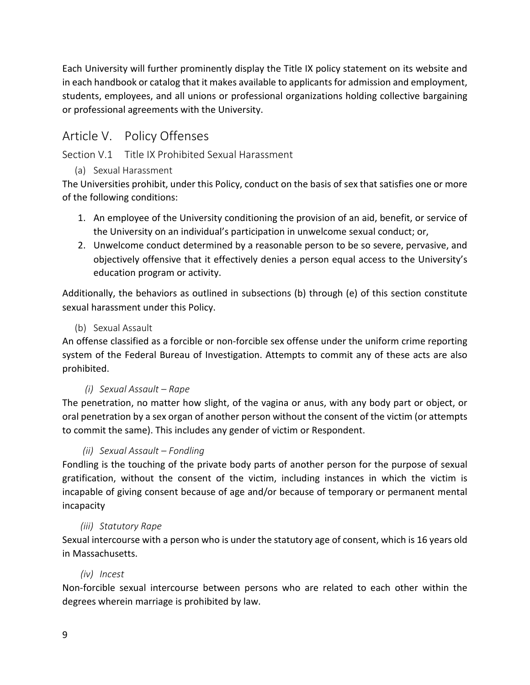Each University will further prominently display the Title IX policy statement on its website and in each handbook or catalog that it makes available to applicants for admission and employment, students, employees, and all unions or professional organizations holding collective bargaining or professional agreements with the University.

# <span id="page-54-0"></span>Article V. Policy Offenses

<span id="page-54-1"></span>Section V.1 Title IX Prohibited Sexual Harassment

(a) Sexual Harassment

The Universities prohibit, under this Policy, conduct on the basis of sex that satisfies one or more of the following conditions:

- 1. An employee of the University conditioning the provision of an aid, benefit, or service of the University on an individual's participation in unwelcome sexual conduct; or,
- 2. Unwelcome conduct determined by a reasonable person to be so severe, pervasive, and objectively offensive that it effectively denies a person equal access to the University's education program or activity.

Additionally, the behaviors as outlined in subsections (b) through (e) of this section constitute sexual harassment under this Policy.

### (b) Sexual Assault

An offense classified as a forcible or non-forcible sex offense under the uniform crime reporting system of the Federal Bureau of Investigation. Attempts to commit any of these acts are also prohibited.

### *(i) Sexual Assault – Rape*

The penetration, no matter how slight, of the vagina or anus, with any body part or object, or oral penetration by a sex organ of another person without the consent of the victim (or attempts to commit the same). This includes any gender of victim or Respondent.

### *(ii) Sexual Assault – Fondling*

Fondling is the touching of the private body parts of another person for the purpose of sexual gratification, without the consent of the victim, including instances in which the victim is incapable of giving consent because of age and/or because of temporary or permanent mental incapacity

### *(iii) Statutory Rape*

Sexual intercourse with a person who is under the statutory age of consent, which is 16 years old in Massachusetts.

### *(iv) Incest*

Non-forcible sexual intercourse between persons who are related to each other within the degrees wherein marriage is prohibited by law.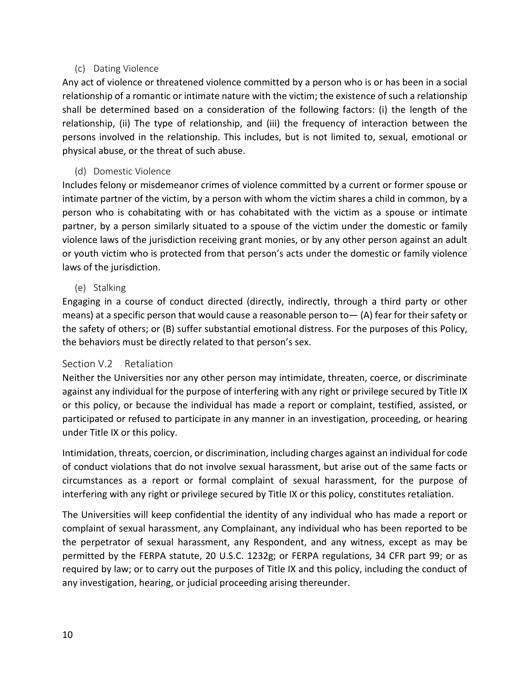### (c) Dating Violence

Any act of violence or threatened violence committed by a person who is or has been in a social relationship of a romantic or intimate nature with the victim; the existence of such a relationship shall be determined based on a consideration of the following factors: (i) the length of the relationship, (ii) The type of relationship, and (iii) the frequency of interaction between the persons involved in the relationship. This includes, but is not limited to, sexual, emotional or physical abuse, or the threat of such abuse.

#### (d) Domestic Violence

Includes felony or misdemeanor crimes of violence committed by a current or former spouse or intimate partner of the victim, by a person with whom the victim shares a child in common, by a person who is cohabitating with or has cohabitated with the victim as a spouse or intimate partner, by a person similarly situated to a spouse of the victim under the domestic or family violence laws of the jurisdiction receiving grant monies, or by any other person against an adult or youth victim who is protected from that person's acts under the domestic or family violence laws of the jurisdiction.

### (e) Stalking

Engaging in a course of conduct directed (directly, indirectly, through a third party or other means) at a specific person that would cause a reasonable person to  $-$  (A) fear for their safety or the safety of others; or (B) suffer substantial emotional distress. For the purposes of this Policy, the behaviors must be directly related to that person's sex.

### <span id="page-55-0"></span>Section V.2 Retaliation

Neither the Universities nor any other person may intimidate, threaten, coerce, or discriminate against any individual for the purpose of interfering with any right or privilege secured by Title IX or this policy, or because the individual has made a report or complaint, testified, assisted, or participated or refused to participate in any manner in an investigation, proceeding, or hearing under Title IX or this policy.

Intimidation, threats, coercion, or discrimination, including charges against an individual for code of conduct violations that do not involve sexual harassment, but arise out of the same facts or circumstances as a report or formal complaint of sexual harassment, for the purpose of interfering with any right or privilege secured by Title IX or this policy, constitutes retaliation.

The Universities will keep confidential the identity of any individual who has made a report or complaint of sexual harassment, any Complainant, any individual who has been reported to be the perpetrator of sexual harassment, any Respondent, and any witness, except as may be permitted by the FERPA statute, 20 U.S.C. 1232g; or FERPA regulations, 34 CFR part 99; or as required by law; or to carry out the purposes of Title IX and this policy, including the conduct of any investigation, hearing, or judicial proceeding arising thereunder.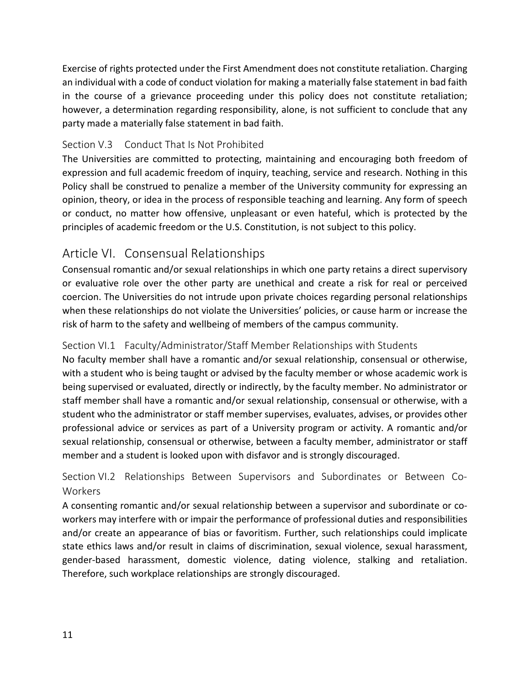Exercise of rights protected under the First Amendment does not constitute retaliation. Charging an individual with a code of conduct violation for making a materially false statement in bad faith in the course of a grievance proceeding under this policy does not constitute retaliation; however, a determination regarding responsibility, alone, is not sufficient to conclude that any party made a materially false statement in bad faith.

# <span id="page-56-0"></span>Section V.3 Conduct That Is Not Prohibited

The Universities are committed to protecting, maintaining and encouraging both freedom of expression and full academic freedom of inquiry, teaching, service and research. Nothing in this Policy shall be construed to penalize a member of the University community for expressing an opinion, theory, or idea in the process of responsible teaching and learning. Any form of speech or conduct, no matter how offensive, unpleasant or even hateful, which is protected by the principles of academic freedom or the U.S. Constitution, is not subject to this policy.

# <span id="page-56-1"></span>Article VI. Consensual Relationships

Consensual romantic and/or sexual relationships in which one party retains a direct supervisory or evaluative role over the other party are unethical and create a risk for real or perceived coercion. The Universities do not intrude upon private choices regarding personal relationships when these relationships do not violate the Universities' policies, or cause harm or increase the risk of harm to the safety and wellbeing of members of the campus community.

### <span id="page-56-2"></span>Section VI.1 Faculty/Administrator/Staff Member Relationships with Students

No faculty member shall have a romantic and/or sexual relationship, consensual or otherwise, with a student who is being taught or advised by the faculty member or whose academic work is being supervised or evaluated, directly or indirectly, by the faculty member. No administrator or staff member shall have a romantic and/or sexual relationship, consensual or otherwise, with a student who the administrator or staff member supervises, evaluates, advises, or provides other professional advice or services as part of a University program or activity. A romantic and/or sexual relationship, consensual or otherwise, between a faculty member, administrator or staff member and a student is looked upon with disfavor and is strongly discouraged.

# <span id="page-56-3"></span>Section VI.2 Relationships Between Supervisors and Subordinates or Between Co-Workers

A consenting romantic and/or sexual relationship between a supervisor and subordinate or coworkers may interfere with or impair the performance of professional duties and responsibilities and/or create an appearance of bias or favoritism. Further, such relationships could implicate state ethics laws and/or result in claims of discrimination, sexual violence, sexual harassment, gender-based harassment, domestic violence, dating violence, stalking and retaliation. Therefore, such workplace relationships are strongly discouraged.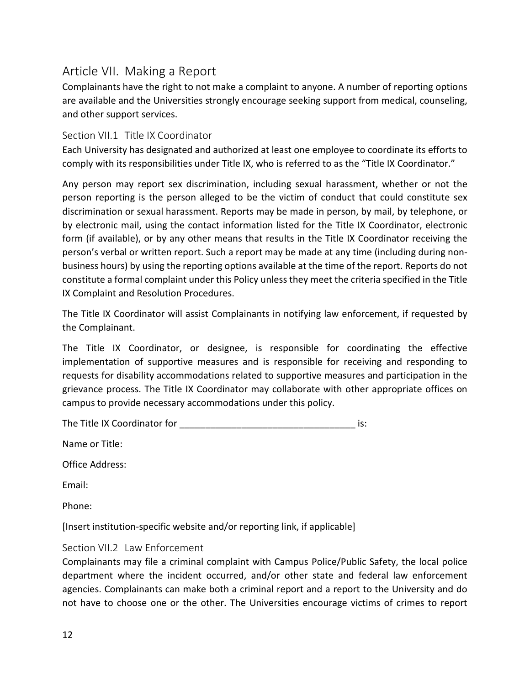# <span id="page-57-0"></span>Article VII. Making a Report

Complainants have the right to not make a complaint to anyone. A number of reporting options are available and the Universities strongly encourage seeking support from medical, counseling, and other support services.

#### <span id="page-57-1"></span>Section VII.1 Title IX Coordinator

Each University has designated and authorized at least one employee to coordinate its efforts to comply with its responsibilities under Title IX, who is referred to as the "Title IX Coordinator."

Any person may report sex discrimination, including sexual harassment, whether or not the person reporting is the person alleged to be the victim of conduct that could constitute sex discrimination or sexual harassment. Reports may be made in person, by mail, by telephone, or by electronic mail, using the contact information listed for the Title IX Coordinator, electronic form (if available), or by any other means that results in the Title IX Coordinator receiving the person's verbal or written report. Such a report may be made at any time (including during nonbusiness hours) by using the reporting options available at the time of the report. Reports do not constitute a formal complaint under this Policy unless they meet the criteria specified in the Title IX Complaint and Resolution Procedures.

The Title IX Coordinator will assist Complainants in notifying law enforcement, if requested by the Complainant.

The Title IX Coordinator, or designee, is responsible for coordinating the effective implementation of supportive measures and is responsible for receiving and responding to requests for disability accommodations related to supportive measures and participation in the grievance process. The Title IX Coordinator may collaborate with other appropriate offices on campus to provide necessary accommodations under this policy.

The Title IX Coordinator for **Example 20** is:

Name or Title:

Office Address:

Email:

Phone:

[Insert institution-specific website and/or reporting link, if applicable]

### <span id="page-57-2"></span>Section VII.2 Law Enforcement

Complainants may file a criminal complaint with Campus Police/Public Safety, the local police department where the incident occurred, and/or other state and federal law enforcement agencies. Complainants can make both a criminal report and a report to the University and do not have to choose one or the other. The Universities encourage victims of crimes to report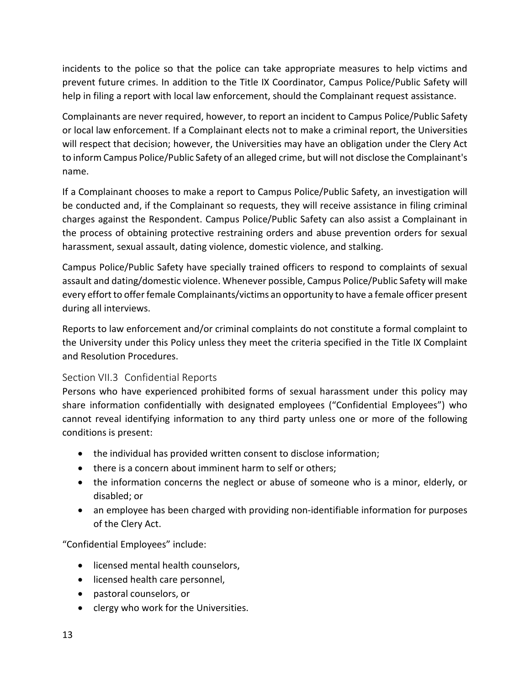incidents to the police so that the police can take appropriate measures to help victims and prevent future crimes. In addition to the Title IX Coordinator, Campus Police/Public Safety will help in filing a report with local law enforcement, should the Complainant request assistance.

Complainants are never required, however, to report an incident to Campus Police/Public Safety or local law enforcement. If a Complainant elects not to make a criminal report, the Universities will respect that decision; however, the Universities may have an obligation under the Clery Act to inform Campus Police/Public Safety of an alleged crime, but will not disclose the Complainant's name.

If a Complainant chooses to make a report to Campus Police/Public Safety, an investigation will be conducted and, if the Complainant so requests, they will receive assistance in filing criminal charges against the Respondent. Campus Police/Public Safety can also assist a Complainant in the process of obtaining protective restraining orders and abuse prevention orders for sexual harassment, sexual assault, dating violence, domestic violence, and stalking.

Campus Police/Public Safety have specially trained officers to respond to complaints of sexual assault and dating/domestic violence. Whenever possible, Campus Police/Public Safety will make every effort to offer female Complainants/victims an opportunity to have a female officer present during all interviews.

Reports to law enforcement and/or criminal complaints do not constitute a formal complaint to the University under this Policy unless they meet the criteria specified in the Title IX Complaint and Resolution Procedures.

### <span id="page-58-0"></span>Section VII.3 Confidential Reports

Persons who have experienced prohibited forms of sexual harassment under this policy may share information confidentially with designated employees ("Confidential Employees") who cannot reveal identifying information to any third party unless one or more of the following conditions is present:

- the individual has provided written consent to disclose information;
- there is a concern about imminent harm to self or others;
- the information concerns the neglect or abuse of someone who is a minor, elderly, or disabled; or
- an employee has been charged with providing non-identifiable information for purposes of the Clery Act.

"Confidential Employees" include:

- licensed mental health counselors,
- licensed health care personnel,
- pastoral counselors, or
- clergy who work for the Universities.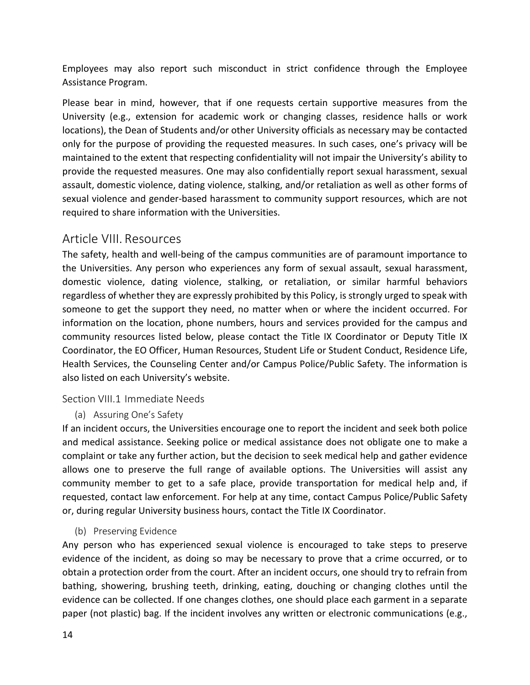Employees may also report such misconduct in strict confidence through the Employee Assistance Program.

Please bear in mind, however, that if one requests certain supportive measures from the University (e.g., extension for academic work or changing classes, residence halls or work locations), the Dean of Students and/or other University officials as necessary may be contacted only for the purpose of providing the requested measures. In such cases, one's privacy will be maintained to the extent that respecting confidentiality will not impair the University's ability to provide the requested measures. One may also confidentially report sexual harassment, sexual assault, domestic violence, dating violence, stalking, and/or retaliation as well as other forms of sexual violence and gender-based harassment to community support resources, which are not required to share information with the Universities.

# <span id="page-59-0"></span>Article VIII. Resources

The safety, health and well-being of the campus communities are of paramount importance to the Universities. Any person who experiences any form of sexual assault, sexual harassment, domestic violence, dating violence, stalking, or retaliation, or similar harmful behaviors regardless of whether they are expressly prohibited by this Policy, is strongly urged to speak with someone to get the support they need, no matter when or where the incident occurred. For information on the location, phone numbers, hours and services provided for the campus and community resources listed below, please contact the Title IX Coordinator or Deputy Title IX Coordinator, the EO Officer, Human Resources, Student Life or Student Conduct, Residence Life, Health Services, the Counseling Center and/or Campus Police/Public Safety. The information is also listed on each University's website.

### <span id="page-59-1"></span>Section VIII.1 Immediate Needs

(a) Assuring One's Safety

If an incident occurs, the Universities encourage one to report the incident and seek both police and medical assistance. Seeking police or medical assistance does not obligate one to make a complaint or take any further action, but the decision to seek medical help and gather evidence allows one to preserve the full range of available options. The Universities will assist any community member to get to a safe place, provide transportation for medical help and, if requested, contact law enforcement. For help at any time, contact Campus Police/Public Safety or, during regular University business hours, contact the Title IX Coordinator.

### (b) Preserving Evidence

Any person who has experienced sexual violence is encouraged to take steps to preserve evidence of the incident, as doing so may be necessary to prove that a crime occurred, or to obtain a protection order from the court. After an incident occurs, one should try to refrain from bathing, showering, brushing teeth, drinking, eating, douching or changing clothes until the evidence can be collected. If one changes clothes, one should place each garment in a separate paper (not plastic) bag. If the incident involves any written or electronic communications (e.g.,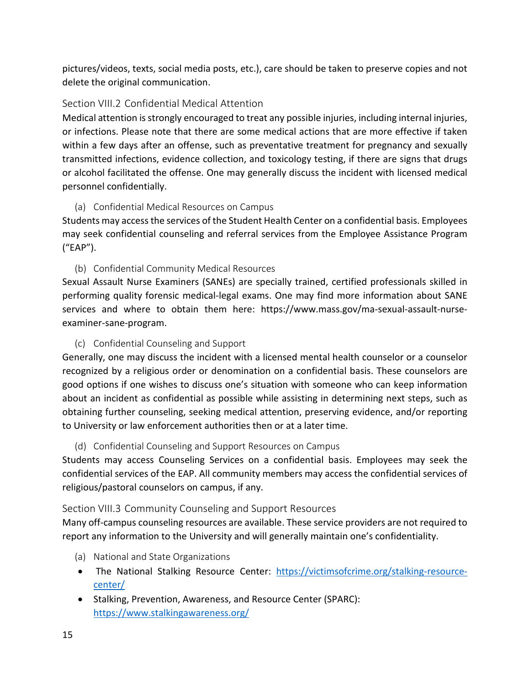pictures/videos, texts, social media posts, etc.), care should be taken to preserve copies and not delete the original communication.

### <span id="page-60-0"></span>Section VIII.2 Confidential Medical Attention

Medical attention is strongly encouraged to treat any possible injuries, including internal injuries, or infections. Please note that there are some medical actions that are more effective if taken within a few days after an offense, such as preventative treatment for pregnancy and sexually transmitted infections, evidence collection, and toxicology testing, if there are signs that drugs or alcohol facilitated the offense. One may generally discuss the incident with licensed medical personnel confidentially.

### (a) Confidential Medical Resources on Campus

Students may access the services of the Student Health Center on a confidential basis. Employees may seek confidential counseling and referral services from the Employee Assistance Program ("EAP").

### (b) Confidential Community Medical Resources

Sexual Assault Nurse Examiners (SANEs) are specially trained, certified professionals skilled in performing quality forensic medical-legal exams. One may find more information about SANE services and where to obtain them here: https://www.mass.gov/ma-sexual-assault-nurseexaminer-sane-program.

### (c) Confidential Counseling and Support

Generally, one may discuss the incident with a licensed mental health counselor or a counselor recognized by a religious order or denomination on a confidential basis. These counselors are good options if one wishes to discuss one's situation with someone who can keep information about an incident as confidential as possible while assisting in determining next steps, such as obtaining further counseling, seeking medical attention, preserving evidence, and/or reporting to University or law enforcement authorities then or at a later time.

### (d) Confidential Counseling and Support Resources on Campus

Students may access Counseling Services on a confidential basis. Employees may seek the confidential services of the EAP. All community members may access the confidential services of religious/pastoral counselors on campus, if any.

### <span id="page-60-1"></span>Section VIII.3 Community Counseling and Support Resources

Many off-campus counseling resources are available. These service providers are not required to report any information to the University and will generally maintain one's confidentiality.

- (a) National and State Organizations
- The National Stalking Resource Center: [https://victimsofcrime.org/stalking-resource](https://victimsofcrime.org/stalking-resource-center/)[center/](https://victimsofcrime.org/stalking-resource-center/)
- Stalking, Prevention, Awareness, and Resource Center (SPARC): <https://www.stalkingawareness.org/>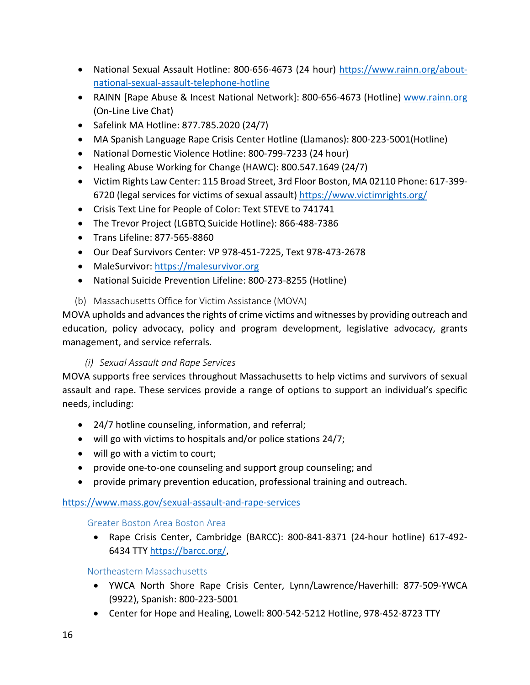- National Sexual Assault Hotline: 800-656-4673 (24 hour) [https://www.rainn.org/about](https://www.rainn.org/about-national-sexual-assault-telephone-hotline)[national-sexual-assault-telephone-hotline](https://www.rainn.org/about-national-sexual-assault-telephone-hotline)
- RAINN [Rape Abuse & Incest National Network]: 800-656-4673 (Hotline) [www.rainn.org](http://www.rainn.org/) (On-Line Live Chat)
- Safelink MA Hotline: 877.785.2020 (24/7)
- MA Spanish Language Rape Crisis Center Hotline (Llamanos): 800-223-5001(Hotline)
- National Domestic Violence Hotline: 800-799-7233 (24 hour)
- Healing Abuse Working for Change (HAWC): 800.547.1649 (24/7)
- Victim Rights Law Center: 115 Broad Street, 3rd Floor Boston, MA 02110 Phone: 617-399- 6720 (legal services for victims of sexual assault)<https://www.victimrights.org/>
- Crisis Text Line for People of Color: Text STEVE to 741741
- The Trevor Project (LGBTQ Suicide Hotline): 866-488-7386
- Trans Lifeline: 877-565-8860
- Our Deaf Survivors Center: VP 978-451-7225, Text 978-473-2678
- MaleSurvivor: [https://malesurvivor.org](https://malesurvivor.org/)
- National Suicide Prevention Lifeline: 800-273-8255 (Hotline)
- (b) Massachusetts Office for Victim Assistance (MOVA)

MOVA upholds and advances the rights of crime victims and witnesses by providing outreach and education, policy advocacy, policy and program development, legislative advocacy, grants management, and service referrals.

### *(i) Sexual Assault and Rape Services*

MOVA supports free services throughout Massachusetts to help victims and survivors of sexual assault and rape. These services provide a range of options to support an individual's specific needs, including:

- 24/7 hotline counseling, information, and referral;
- will go with victims to hospitals and/or police stations 24/7;
- will go with a victim to court;
- provide one-to-one counseling and support group counseling; and
- provide primary prevention education, professional training and outreach.

### <https://www.mass.gov/sexual-assault-and-rape-services>

### Greater Boston Area Boston Area

• Rape Crisis Center, Cambridge (BARCC): 800-841-8371 (24-hour hotline) 617-492- 6434 TTY [https://barcc.org/,](https://barcc.org/)

### Northeastern Massachusetts

- YWCA North Shore Rape Crisis Center, Lynn/Lawrence/Haverhill: 877-509-YWCA (9922), Spanish: 800-223-5001
- Center for Hope and Healing, Lowell: 800-542-5212 Hotline, 978-452-8723 TTY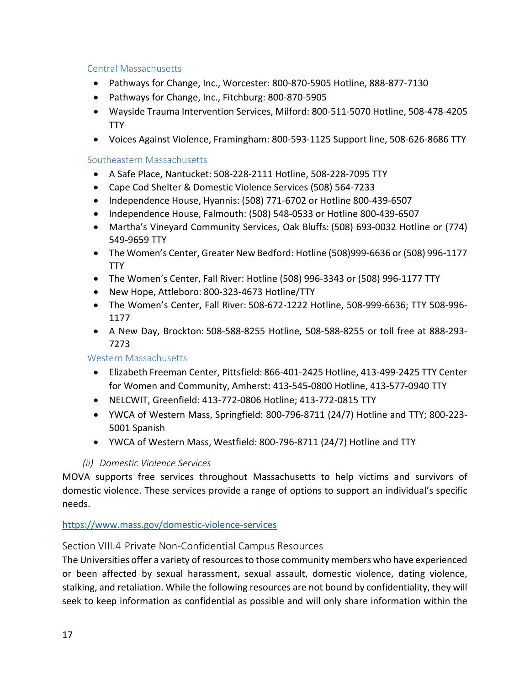### Central Massachusetts

- Pathways for Change, Inc., Worcester: 800-870-5905 Hotline, 888-877-7130
- Pathways for Change, Inc., Fitchburg: 800-870-5905
- Wayside Trauma Intervention Services, Milford: 800-511-5070 Hotline, 508-478-4205 **TTY**
- Voices Against Violence, Framingham: 800-593-1125 Support line, 508-626-8686 TTY

### Southeastern Massachusetts

- A Safe Place, Nantucket: 508-228-2111 Hotline, 508-228-7095 TTY
- Cape Cod Shelter & Domestic Violence Services (508) 564-7233
- Independence House, Hyannis: (508) 771-6702 or Hotline 800-439-6507
- Independence House, Falmouth: (508) 548-0533 or Hotline 800-439-6507
- Martha's Vineyard Community Services, Oak Bluffs: (508) 693-0032 Hotline or (774) 549-9659 TTY
- The Women's Center, Greater New Bedford: Hotline (508)999-6636 or (508) 996-1177 TTY
- The Women's Center, Fall River: Hotline (508) 996-3343 or (508) 996-1177 TTY
- New Hope, Attleboro: 800-323-4673 Hotline/TTY
- The Women's Center, Fall River: 508-672-1222 Hotline, 508-999-6636; TTY 508-996- 1177
- A New Day, Brockton: 508-588-8255 Hotline, 508-588-8255 or toll free at 888-293- 7273

#### Western Massachusetts

- Elizabeth Freeman Center, Pittsfield: 866-401-2425 Hotline, 413-499-2425 TTY Center for Women and Community, Amherst: 413-545-0800 Hotline, 413-577-0940 TTY
- NELCWIT, Greenfield: 413-772-0806 Hotline; 413-772-0815 TTY
- YWCA of Western Mass, Springfield: 800-796-8711 (24/7) Hotline and TTY; 800-223- 5001 Spanish
- YWCA of Western Mass, Westfield: 800-796-8711 (24/7) Hotline and TTY

*(ii) Domestic Violence Services*

MOVA supports free services throughout Massachusetts to help victims and survivors of domestic violence. These services provide a range of options to support an individual's specific needs.

### <https://www.mass.gov/domestic-violence-services>

### <span id="page-62-0"></span>Section VIII.4 Private Non-Confidential Campus Resources

The Universities offer a variety of resources to those community members who have experienced or been affected by sexual harassment, sexual assault, domestic violence, dating violence, stalking, and retaliation. While the following resources are not bound by confidentiality, they will seek to keep information as confidential as possible and will only share information within the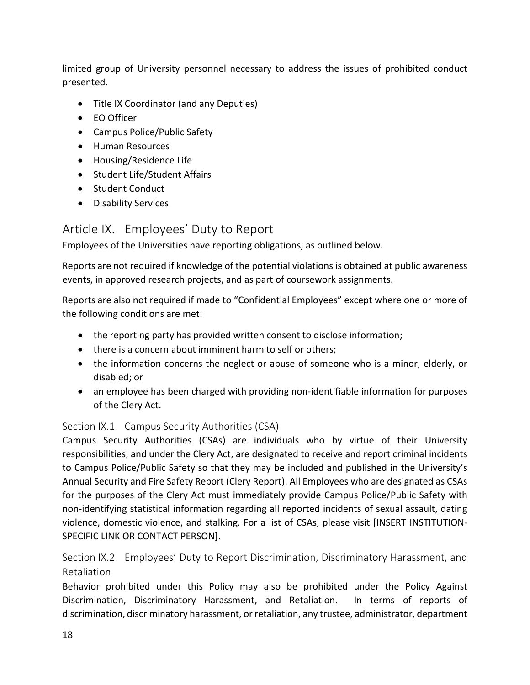limited group of University personnel necessary to address the issues of prohibited conduct presented.

- Title IX Coordinator (and any Deputies)
- EO Officer
- Campus Police/Public Safety
- Human Resources
- Housing/Residence Life
- Student Life/Student Affairs
- Student Conduct
- Disability Services

# <span id="page-63-0"></span>Article IX. Employees' Duty to Report

Employees of the Universities have reporting obligations, as outlined below.

Reports are not required if knowledge of the potential violations is obtained at public awareness events, in approved research projects, and as part of coursework assignments.

Reports are also not required if made to "Confidential Employees" except where one or more of the following conditions are met:

- the reporting party has provided written consent to disclose information;
- there is a concern about imminent harm to self or others;
- the information concerns the neglect or abuse of someone who is a minor, elderly, or disabled; or
- an employee has been charged with providing non-identifiable information for purposes of the Clery Act.

### <span id="page-63-1"></span>Section IX.1 Campus Security Authorities (CSA)

Campus Security Authorities (CSAs) are individuals who by virtue of their University responsibilities, and under the Clery Act, are designated to receive and report criminal incidents to Campus Police/Public Safety so that they may be included and published in the University's Annual Security and Fire Safety Report (Clery Report). All Employees who are designated as CSAs for the purposes of the Clery Act must immediately provide Campus Police/Public Safety with non-identifying statistical information regarding all reported incidents of sexual assault, dating violence, domestic violence, and stalking. For a list of CSAs, please visit [INSERT INSTITUTION-SPECIFIC LINK OR CONTACT PERSON].

<span id="page-63-2"></span>Section IX.2 Employees' Duty to Report Discrimination, Discriminatory Harassment, and Retaliation

Behavior prohibited under this Policy may also be prohibited under the Policy Against Discrimination, Discriminatory Harassment, and Retaliation. In terms of reports of discrimination, discriminatory harassment, or retaliation, any trustee, administrator, department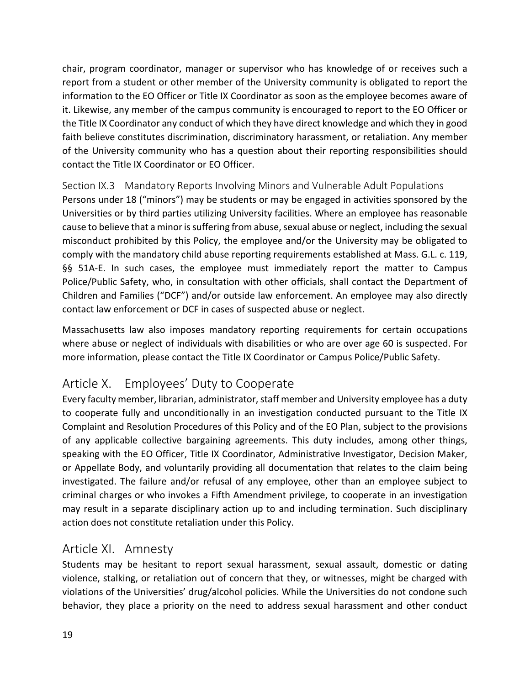chair, program coordinator, manager or supervisor who has knowledge of or receives such a report from a student or other member of the University community is obligated to report the information to the EO Officer or Title IX Coordinator as soon as the employee becomes aware of it. Likewise, any member of the campus community is encouraged to report to the EO Officer or the Title IX Coordinator any conduct of which they have direct knowledge and which they in good faith believe constitutes discrimination, discriminatory harassment, or retaliation. Any member of the University community who has a question about their reporting responsibilities should contact the Title IX Coordinator or EO Officer.

<span id="page-64-0"></span>Section IX.3 Mandatory Reports Involving Minors and Vulnerable Adult Populations Persons under 18 ("minors") may be students or may be engaged in activities sponsored by the Universities or by third parties utilizing University facilities. Where an employee has reasonable cause to believe that a minor is suffering from abuse, sexual abuse or neglect, including the sexual misconduct prohibited by this Policy, the employee and/or the University may be obligated to comply with the mandatory child abuse reporting requirements established at Mass. G.L. c. 119, §§ 51A-E. In such cases, the employee must immediately report the matter to Campus Police/Public Safety, who, in consultation with other officials, shall contact the Department of Children and Families ("DCF") and/or outside law enforcement. An employee may also directly contact law enforcement or DCF in cases of suspected abuse or neglect.

Massachusetts law also imposes mandatory reporting requirements for certain occupations where abuse or neglect of individuals with disabilities or who are over age 60 is suspected. For more information, please contact the Title IX Coordinator or Campus Police/Public Safety.

# <span id="page-64-1"></span>Article X. Employees' Duty to Cooperate

Every faculty member, librarian, administrator, staff member and University employee has a duty to cooperate fully and unconditionally in an investigation conducted pursuant to the Title IX Complaint and Resolution Procedures of this Policy and of the EO Plan, subject to the provisions of any applicable collective bargaining agreements. This duty includes, among other things, speaking with the EO Officer, Title IX Coordinator, Administrative Investigator, Decision Maker, or Appellate Body, and voluntarily providing all documentation that relates to the claim being investigated. The failure and/or refusal of any employee, other than an employee subject to criminal charges or who invokes a Fifth Amendment privilege, to cooperate in an investigation may result in a separate disciplinary action up to and including termination. Such disciplinary action does not constitute retaliation under this Policy.

# <span id="page-64-2"></span>Article XI. Amnesty

Students may be hesitant to report sexual harassment, sexual assault, domestic or dating violence, stalking, or retaliation out of concern that they, or witnesses, might be charged with violations of the Universities' drug/alcohol policies. While the Universities do not condone such behavior, they place a priority on the need to address sexual harassment and other conduct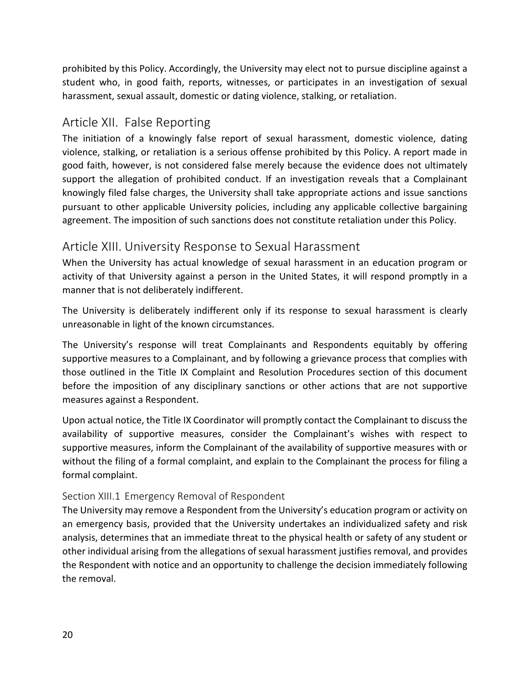prohibited by this Policy. Accordingly, the University may elect not to pursue discipline against a student who, in good faith, reports, witnesses, or participates in an investigation of sexual harassment, sexual assault, domestic or dating violence, stalking, or retaliation.

# <span id="page-65-0"></span>Article XII. False Reporting

The initiation of a knowingly false report of sexual harassment, domestic violence, dating violence, stalking, or retaliation is a serious offense prohibited by this Policy. A report made in good faith, however, is not considered false merely because the evidence does not ultimately support the allegation of prohibited conduct. If an investigation reveals that a Complainant knowingly filed false charges, the University shall take appropriate actions and issue sanctions pursuant to other applicable University policies, including any applicable collective bargaining agreement. The imposition of such sanctions does not constitute retaliation under this Policy.

# <span id="page-65-1"></span>Article XIII. University Response to Sexual Harassment

When the University has actual knowledge of sexual harassment in an education program or activity of that University against a person in the United States, it will respond promptly in a manner that is not deliberately indifferent.

The University is deliberately indifferent only if its response to sexual harassment is clearly unreasonable in light of the known circumstances.

The University's response will treat Complainants and Respondents equitably by offering supportive measures to a Complainant, and by following a grievance process that complies with those outlined in the Title IX Complaint and Resolution Procedures section of this document before the imposition of any disciplinary sanctions or other actions that are not supportive measures against a Respondent.

Upon actual notice, the Title IX Coordinator will promptly contact the Complainant to discuss the availability of supportive measures, consider the Complainant's wishes with respect to supportive measures, inform the Complainant of the availability of supportive measures with or without the filing of a formal complaint, and explain to the Complainant the process for filing a formal complaint.

# <span id="page-65-2"></span>Section XIII.1 Emergency Removal of Respondent

The University may remove a Respondent from the University's education program or activity on an emergency basis, provided that the University undertakes an individualized safety and risk analysis, determines that an immediate threat to the physical health or safety of any student or other individual arising from the allegations of sexual harassment justifies removal, and provides the Respondent with notice and an opportunity to challenge the decision immediately following the removal.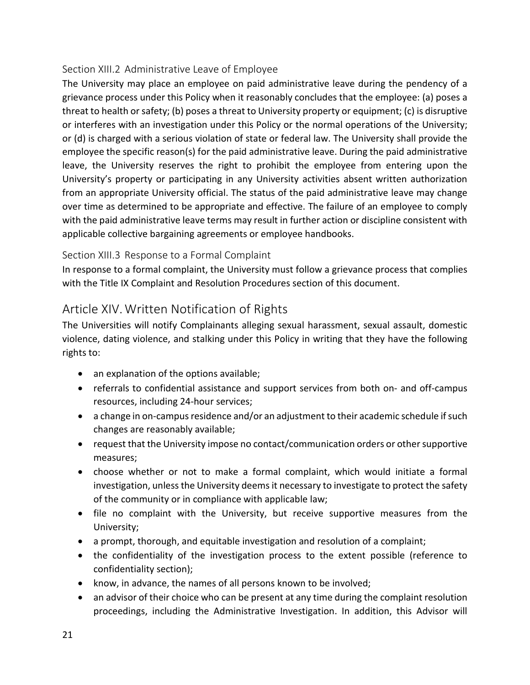### <span id="page-66-0"></span>Section XIII.2 Administrative Leave of Employee

The University may place an employee on paid administrative leave during the pendency of a grievance process under this Policy when it reasonably concludes that the employee: (a) poses a threat to health or safety; (b) poses a threat to University property or equipment; (c) is disruptive or interferes with an investigation under this Policy or the normal operations of the University; or (d) is charged with a serious violation of state or federal law. The University shall provide the employee the specific reason(s) for the paid administrative leave. During the paid administrative leave, the University reserves the right to prohibit the employee from entering upon the University's property or participating in any University activities absent written authorization from an appropriate University official. The status of the paid administrative leave may change over time as determined to be appropriate and effective. The failure of an employee to comply with the paid administrative leave terms may result in further action or discipline consistent with applicable collective bargaining agreements or employee handbooks.

### <span id="page-66-1"></span>Section XIII.3 Response to a Formal Complaint

In response to a formal complaint, the University must follow a grievance process that complies with the Title IX Complaint and Resolution Procedures section of this document.

# <span id="page-66-2"></span>Article XIV.Written Notification of Rights

The Universities will notify Complainants alleging sexual harassment, sexual assault, domestic violence, dating violence, and stalking under this Policy in writing that they have the following rights to:

- an explanation of the options available;
- referrals to confidential assistance and support services from both on- and off-campus resources, including 24-hour services;
- a change in on-campus residence and/or an adjustment to their academic schedule if such changes are reasonably available;
- request that the University impose no contact/communication orders or other supportive measures;
- choose whether or not to make a formal complaint, which would initiate a formal investigation, unless the University deems it necessary to investigate to protect the safety of the community or in compliance with applicable law;
- file no complaint with the University, but receive supportive measures from the University;
- a prompt, thorough, and equitable investigation and resolution of a complaint;
- the confidentiality of the investigation process to the extent possible (reference to confidentiality section);
- know, in advance, the names of all persons known to be involved;
- an advisor of their choice who can be present at any time during the complaint resolution proceedings, including the Administrative Investigation. In addition, this Advisor will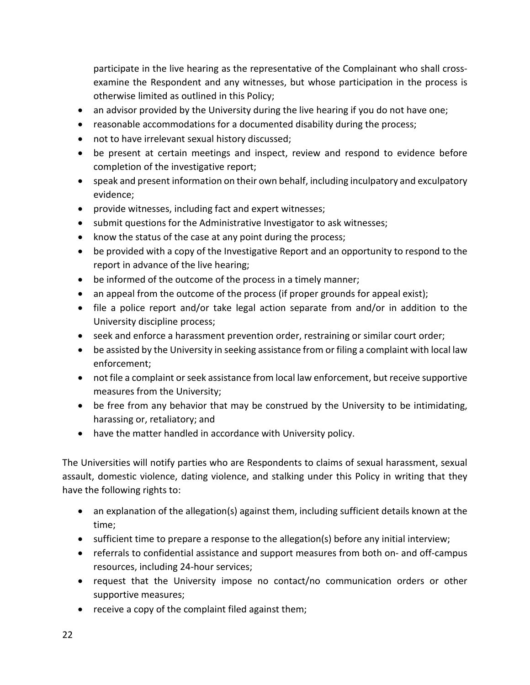participate in the live hearing as the representative of the Complainant who shall crossexamine the Respondent and any witnesses, but whose participation in the process is otherwise limited as outlined in this Policy;

- an advisor provided by the University during the live hearing if you do not have one;
- reasonable accommodations for a documented disability during the process;
- not to have irrelevant sexual history discussed;
- be present at certain meetings and inspect, review and respond to evidence before completion of the investigative report;
- speak and present information on their own behalf, including inculpatory and exculpatory evidence;
- provide witnesses, including fact and expert witnesses;
- submit questions for the Administrative Investigator to ask witnesses;
- know the status of the case at any point during the process;
- be provided with a copy of the Investigative Report and an opportunity to respond to the report in advance of the live hearing;
- be informed of the outcome of the process in a timely manner;
- an appeal from the outcome of the process (if proper grounds for appeal exist);
- file a police report and/or take legal action separate from and/or in addition to the University discipline process;
- seek and enforce a harassment prevention order, restraining or similar court order;
- be assisted by the University in seeking assistance from or filing a complaint with local law enforcement;
- not file a complaint or seek assistance from local law enforcement, but receive supportive measures from the University;
- be free from any behavior that may be construed by the University to be intimidating, harassing or, retaliatory; and
- have the matter handled in accordance with University policy.

The Universities will notify parties who are Respondents to claims of sexual harassment, sexual assault, domestic violence, dating violence, and stalking under this Policy in writing that they have the following rights to:

- an explanation of the allegation(s) against them, including sufficient details known at the time;
- sufficient time to prepare a response to the allegation(s) before any initial interview;
- referrals to confidential assistance and support measures from both on- and off-campus resources, including 24-hour services;
- request that the University impose no contact/no communication orders or other supportive measures;
- receive a copy of the complaint filed against them;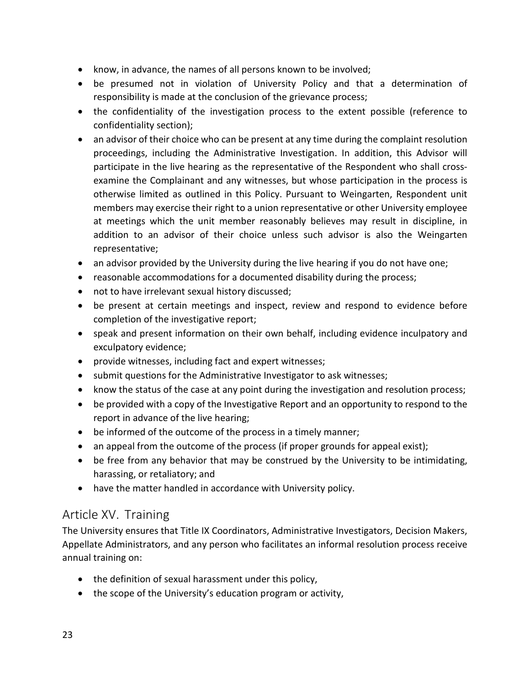- know, in advance, the names of all persons known to be involved;
- be presumed not in violation of University Policy and that a determination of responsibility is made at the conclusion of the grievance process;
- the confidentiality of the investigation process to the extent possible (reference to confidentiality section);
- an advisor of their choice who can be present at any time during the complaint resolution proceedings, including the Administrative Investigation. In addition, this Advisor will participate in the live hearing as the representative of the Respondent who shall crossexamine the Complainant and any witnesses, but whose participation in the process is otherwise limited as outlined in this Policy. Pursuant to Weingarten, Respondent unit members may exercise their right to a union representative or other University employee at meetings which the unit member reasonably believes may result in discipline, in addition to an advisor of their choice unless such advisor is also the Weingarten representative;
- an advisor provided by the University during the live hearing if you do not have one;
- reasonable accommodations for a documented disability during the process;
- not to have irrelevant sexual history discussed;
- be present at certain meetings and inspect, review and respond to evidence before completion of the investigative report;
- speak and present information on their own behalf, including evidence inculpatory and exculpatory evidence;
- provide witnesses, including fact and expert witnesses;
- submit questions for the Administrative Investigator to ask witnesses;
- know the status of the case at any point during the investigation and resolution process;
- be provided with a copy of the Investigative Report and an opportunity to respond to the report in advance of the live hearing;
- be informed of the outcome of the process in a timely manner;
- an appeal from the outcome of the process (if proper grounds for appeal exist);
- be free from any behavior that may be construed by the University to be intimidating, harassing, or retaliatory; and
- have the matter handled in accordance with University policy.

# <span id="page-68-0"></span>Article XV. Training

The University ensures that Title IX Coordinators, Administrative Investigators, Decision Makers, Appellate Administrators, and any person who facilitates an informal resolution process receive annual training on:

- the definition of sexual harassment under this policy,
- the scope of the University's education program or activity,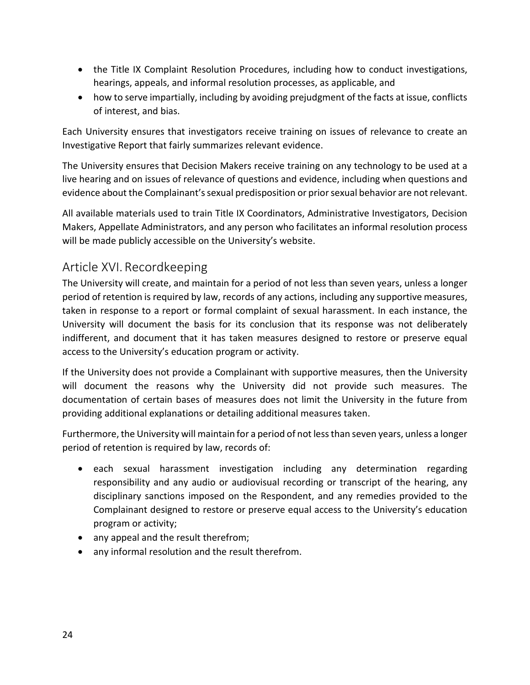- the Title IX Complaint Resolution Procedures, including how to conduct investigations, hearings, appeals, and informal resolution processes, as applicable, and
- how to serve impartially, including by avoiding prejudgment of the facts at issue, conflicts of interest, and bias.

Each University ensures that investigators receive training on issues of relevance to create an Investigative Report that fairly summarizes relevant evidence.

The University ensures that Decision Makers receive training on any technology to be used at a live hearing and on issues of relevance of questions and evidence, including when questions and evidence about the Complainant's sexual predisposition or prior sexual behavior are not relevant.

All available materials used to train Title IX Coordinators, Administrative Investigators, Decision Makers, Appellate Administrators, and any person who facilitates an informal resolution process will be made publicly accessible on the University's website.

# <span id="page-69-0"></span>Article XVI. Recordkeeping

The University will create, and maintain for a period of not less than seven years, unless a longer period of retention is required by law, records of any actions, including any supportive measures, taken in response to a report or formal complaint of sexual harassment. In each instance, the University will document the basis for its conclusion that its response was not deliberately indifferent, and document that it has taken measures designed to restore or preserve equal access to the University's education program or activity.

If the University does not provide a Complainant with supportive measures, then the University will document the reasons why the University did not provide such measures. The documentation of certain bases of measures does not limit the University in the future from providing additional explanations or detailing additional measures taken.

Furthermore, the University will maintain for a period of not less than seven years, unless a longer period of retention is required by law, records of:

- each sexual harassment investigation including any determination regarding responsibility and any audio or audiovisual recording or transcript of the hearing, any disciplinary sanctions imposed on the Respondent, and any remedies provided to the Complainant designed to restore or preserve equal access to the University's education program or activity;
- any appeal and the result therefrom;
- any informal resolution and the result therefrom.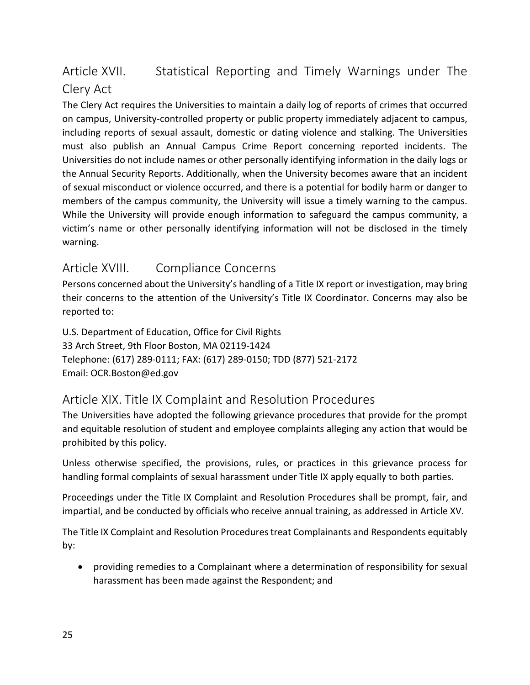# <span id="page-70-0"></span>Article XVII. Statistical Reporting and Timely Warnings under The Clery Act

The Clery Act requires the Universities to maintain a daily log of reports of crimes that occurred on campus, University-controlled property or public property immediately adjacent to campus, including reports of sexual assault, domestic or dating violence and stalking. The Universities must also publish an Annual Campus Crime Report concerning reported incidents. The Universities do not include names or other personally identifying information in the daily logs or the Annual Security Reports. Additionally, when the University becomes aware that an incident of sexual misconduct or violence occurred, and there is a potential for bodily harm or danger to members of the campus community, the University will issue a timely warning to the campus. While the University will provide enough information to safeguard the campus community, a victim's name or other personally identifying information will not be disclosed in the timely warning.

# <span id="page-70-1"></span>Article XVIII. Compliance Concerns

Persons concerned about the University's handling of a Title IX report or investigation, may bring their concerns to the attention of the University's Title IX Coordinator. Concerns may also be reported to:

U.S. Department of Education, Office for Civil Rights 33 Arch Street, 9th Floor Boston, MA 02119-1424 Telephone: (617) 289-0111; FAX: (617) 289-0150; TDD (877) 521-2172 Email: OCR.Boston@ed.gov

# <span id="page-70-2"></span>Article XIX. Title IX Complaint and Resolution Procedures

The Universities have adopted the following grievance procedures that provide for the prompt and equitable resolution of student and employee complaints alleging any action that would be prohibited by this policy.

Unless otherwise specified, the provisions, rules, or practices in this grievance process for handling formal complaints of sexual harassment under Title IX apply equally to both parties.

Proceedings under the Title IX Complaint and Resolution Procedures shall be prompt, fair, and impartial, and be conducted by officials who receive annual training, as addressed in Article XV.

The Title IX Complaint and Resolution Procedures treat Complainants and Respondents equitably by:

• providing remedies to a Complainant where a determination of responsibility for sexual harassment has been made against the Respondent; and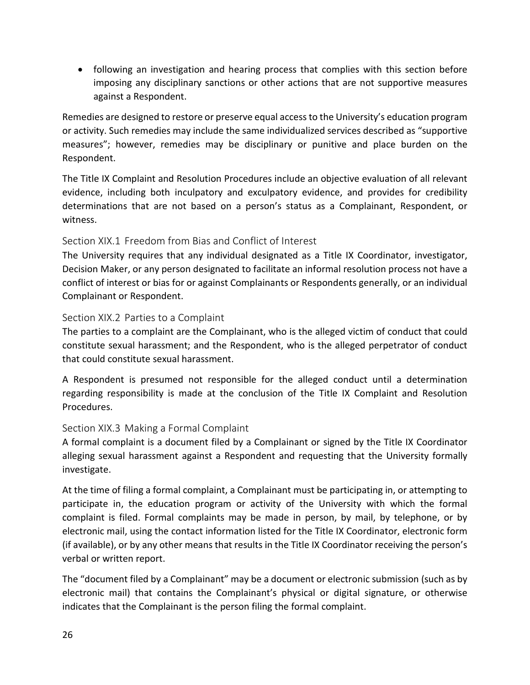• following an investigation and hearing process that complies with this section before imposing any disciplinary sanctions or other actions that are not supportive measures against a Respondent.

Remedies are designed to restore or preserve equal access to the University's education program or activity. Such remedies may include the same individualized services described as "supportive measures"; however, remedies may be disciplinary or punitive and place burden on the Respondent.

The Title IX Complaint and Resolution Procedures include an objective evaluation of all relevant evidence, including both inculpatory and exculpatory evidence, and provides for credibility determinations that are not based on a person's status as a Complainant, Respondent, or witness.

### <span id="page-71-0"></span>Section XIX.1 Freedom from Bias and Conflict of Interest

The University requires that any individual designated as a Title IX Coordinator, investigator, Decision Maker, or any person designated to facilitate an informal resolution process not have a conflict of interest or bias for or against Complainants or Respondents generally, or an individual Complainant or Respondent.

### <span id="page-71-1"></span>Section XIX.2 Parties to a Complaint

The parties to a complaint are the Complainant, who is the alleged victim of conduct that could constitute sexual harassment; and the Respondent, who is the alleged perpetrator of conduct that could constitute sexual harassment.

A Respondent is presumed not responsible for the alleged conduct until a determination regarding responsibility is made at the conclusion of the Title IX Complaint and Resolution Procedures.

### <span id="page-71-2"></span>Section XIX.3 Making a Formal Complaint

A formal complaint is a document filed by a Complainant or signed by the Title IX Coordinator alleging sexual harassment against a Respondent and requesting that the University formally investigate.

At the time of filing a formal complaint, a Complainant must be participating in, or attempting to participate in, the education program or activity of the University with which the formal complaint is filed. Formal complaints may be made in person, by mail, by telephone, or by electronic mail, using the contact information listed for the Title IX Coordinator, electronic form (if available), or by any other means that results in the Title IX Coordinator receiving the person's verbal or written report.

The "document filed by a Complainant" may be a document or electronic submission (such as by electronic mail) that contains the Complainant's physical or digital signature, or otherwise indicates that the Complainant is the person filing the formal complaint.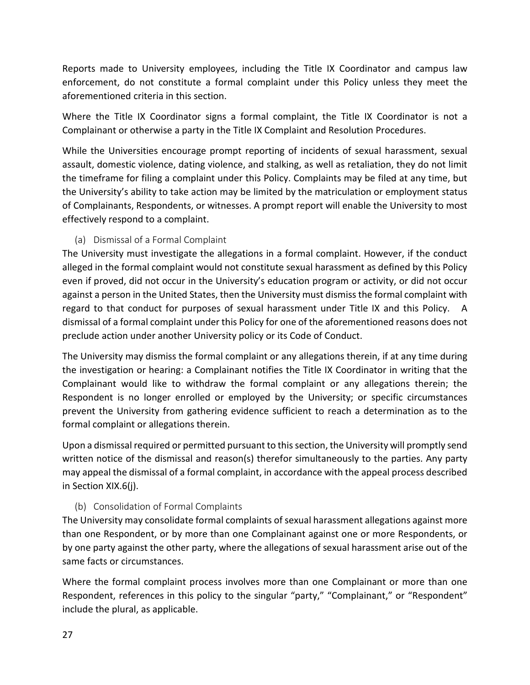Reports made to University employees, including the Title IX Coordinator and campus law enforcement, do not constitute a formal complaint under this Policy unless they meet the aforementioned criteria in this section.

Where the Title IX Coordinator signs a formal complaint, the Title IX Coordinator is not a Complainant or otherwise a party in the Title IX Complaint and Resolution Procedures.

While the Universities encourage prompt reporting of incidents of sexual harassment, sexual assault, domestic violence, dating violence, and stalking, as well as retaliation, they do not limit the timeframe for filing a complaint under this Policy. Complaints may be filed at any time, but the University's ability to take action may be limited by the matriculation or employment status of Complainants, Respondents, or witnesses. A prompt report will enable the University to most effectively respond to a complaint.

## (a) Dismissal of a Formal Complaint

The University must investigate the allegations in a formal complaint. However, if the conduct alleged in the formal complaint would not constitute sexual harassment as defined by this Policy even if proved, did not occur in the University's education program or activity, or did not occur against a person in the United States, then the University must dismiss the formal complaint with regard to that conduct for purposes of sexual harassment under Title IX and this Policy. A dismissal of a formal complaint under this Policy for one of the aforementioned reasons does not preclude action under another University policy or its Code of Conduct.

The University may dismiss the formal complaint or any allegations therein, if at any time during the investigation or hearing: a Complainant notifies the Title IX Coordinator in writing that the Complainant would like to withdraw the formal complaint or any allegations therein; the Respondent is no longer enrolled or employed by the University; or specific circumstances prevent the University from gathering evidence sufficient to reach a determination as to the formal complaint or allegations therein.

Upon a dismissal required or permitted pursuant to this section, the University will promptly send written notice of the dismissal and reason(s) therefor simultaneously to the parties. Any party may appeal the dismissal of a formal complaint, in accordance with the appeal process described in Section XIX.6(j).

## (b) Consolidation of Formal Complaints

The University may consolidate formal complaints of sexual harassment allegations against more than one Respondent, or by more than one Complainant against one or more Respondents, or by one party against the other party, where the allegations of sexual harassment arise out of the same facts or circumstances.

Where the formal complaint process involves more than one Complainant or more than one Respondent, references in this policy to the singular "party," "Complainant," or "Respondent" include the plural, as applicable.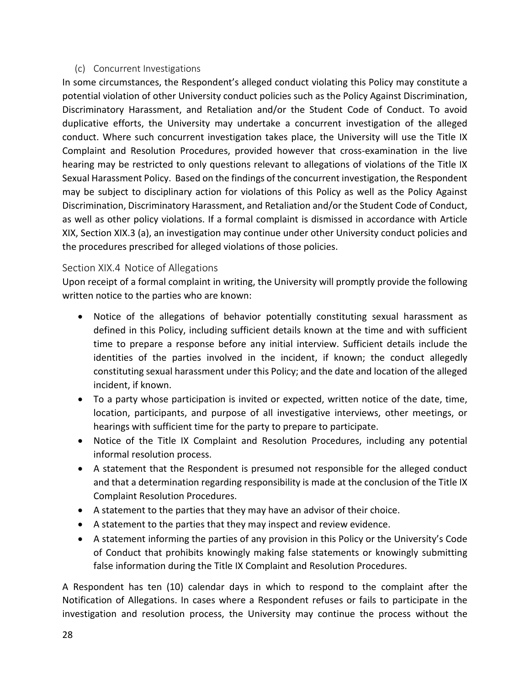#### (c) Concurrent Investigations

In some circumstances, the Respondent's alleged conduct violating this Policy may constitute a potential violation of other University conduct policies such as the Policy Against Discrimination, Discriminatory Harassment, and Retaliation and/or the Student Code of Conduct. To avoid duplicative efforts, the University may undertake a concurrent investigation of the alleged conduct. Where such concurrent investigation takes place, the University will use the Title IX Complaint and Resolution Procedures, provided however that cross-examination in the live hearing may be restricted to only questions relevant to allegations of violations of the Title IX Sexual Harassment Policy. Based on the findings of the concurrent investigation, the Respondent may be subject to disciplinary action for violations of this Policy as well as the Policy Against Discrimination, Discriminatory Harassment, and Retaliation and/or the Student Code of Conduct, as well as other policy violations. If a formal complaint is dismissed in accordance with Article XIX, Section XIX.3 (a), an investigation may continue under other University conduct policies and the procedures prescribed for alleged violations of those policies.

## Section XIX.4 Notice of Allegations

Upon receipt of a formal complaint in writing, the University will promptly provide the following written notice to the parties who are known:

- Notice of the allegations of behavior potentially constituting sexual harassment as defined in this Policy, including sufficient details known at the time and with sufficient time to prepare a response before any initial interview. Sufficient details include the identities of the parties involved in the incident, if known; the conduct allegedly constituting sexual harassment under this Policy; and the date and location of the alleged incident, if known.
- To a party whose participation is invited or expected, written notice of the date, time, location, participants, and purpose of all investigative interviews, other meetings, or hearings with sufficient time for the party to prepare to participate.
- Notice of the Title IX Complaint and Resolution Procedures, including any potential informal resolution process.
- A statement that the Respondent is presumed not responsible for the alleged conduct and that a determination regarding responsibility is made at the conclusion of the Title IX Complaint Resolution Procedures.
- A statement to the parties that they may have an advisor of their choice.
- A statement to the parties that they may inspect and review evidence.
- A statement informing the parties of any provision in this Policy or the University's Code of Conduct that prohibits knowingly making false statements or knowingly submitting false information during the Title IX Complaint and Resolution Procedures.

A Respondent has ten (10) calendar days in which to respond to the complaint after the Notification of Allegations. In cases where a Respondent refuses or fails to participate in the investigation and resolution process, the University may continue the process without the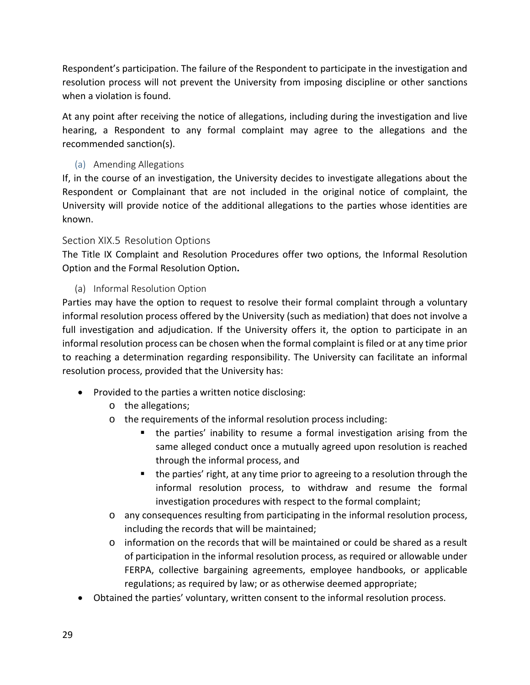Respondent's participation. The failure of the Respondent to participate in the investigation and resolution process will not prevent the University from imposing discipline or other sanctions when a violation is found.

At any point after receiving the notice of allegations, including during the investigation and live hearing, a Respondent to any formal complaint may agree to the allegations and the recommended sanction(s).

## (a) Amending Allegations

If, in the course of an investigation, the University decides to investigate allegations about the Respondent or Complainant that are not included in the original notice of complaint, the University will provide notice of the additional allegations to the parties whose identities are known.

## Section XIX.5 Resolution Options

The Title IX Complaint and Resolution Procedures offer two options, the Informal Resolution Option and the Formal Resolution Option**.** 

## (a) Informal Resolution Option

Parties may have the option to request to resolve their formal complaint through a voluntary informal resolution process offered by the University (such as mediation) that does not involve a full investigation and adjudication. If the University offers it, the option to participate in an informal resolution process can be chosen when the formal complaint is filed or at any time prior to reaching a determination regarding responsibility. The University can facilitate an informal resolution process, provided that the University has:

- Provided to the parties a written notice disclosing:
	- o the allegations;
	- o the requirements of the informal resolution process including:
		- the parties' inability to resume a formal investigation arising from the same alleged conduct once a mutually agreed upon resolution is reached through the informal process, and
		- the parties' right, at any time prior to agreeing to a resolution through the informal resolution process, to withdraw and resume the formal investigation procedures with respect to the formal complaint;
	- o any consequences resulting from participating in the informal resolution process, including the records that will be maintained;
	- o information on the records that will be maintained or could be shared as a result of participation in the informal resolution process, as required or allowable under FERPA, collective bargaining agreements, employee handbooks, or applicable regulations; as required by law; or as otherwise deemed appropriate;
- Obtained the parties' voluntary, written consent to the informal resolution process.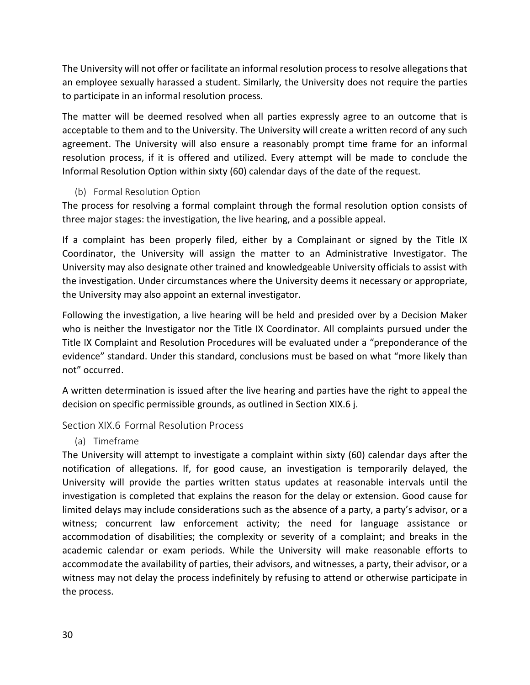The University will not offer or facilitate an informal resolution process to resolve allegations that an employee sexually harassed a student. Similarly, the University does not require the parties to participate in an informal resolution process.

The matter will be deemed resolved when all parties expressly agree to an outcome that is acceptable to them and to the University. The University will create a written record of any such agreement. The University will also ensure a reasonably prompt time frame for an informal resolution process, if it is offered and utilized. Every attempt will be made to conclude the Informal Resolution Option within sixty (60) calendar days of the date of the request.

# (b) Formal Resolution Option

The process for resolving a formal complaint through the formal resolution option consists of three major stages: the investigation, the live hearing, and a possible appeal.

If a complaint has been properly filed, either by a Complainant or signed by the Title IX Coordinator, the University will assign the matter to an Administrative Investigator. The University may also designate other trained and knowledgeable University officials to assist with the investigation. Under circumstances where the University deems it necessary or appropriate, the University may also appoint an external investigator.

Following the investigation, a live hearing will be held and presided over by a Decision Maker who is neither the Investigator nor the Title IX Coordinator. All complaints pursued under the Title IX Complaint and Resolution Procedures will be evaluated under a "preponderance of the evidence" standard. Under this standard, conclusions must be based on what "more likely than not" occurred.

A written determination is issued after the live hearing and parties have the right to appeal the decision on specific permissible grounds, as outlined in Section XIX.6 j.

## Section XIX.6 Formal Resolution Process

(a) Timeframe

The University will attempt to investigate a complaint within sixty (60) calendar days after the notification of allegations. If, for good cause, an investigation is temporarily delayed, the University will provide the parties written status updates at reasonable intervals until the investigation is completed that explains the reason for the delay or extension. Good cause for limited delays may include considerations such as the absence of a party, a party's advisor, or a witness; concurrent law enforcement activity; the need for language assistance or accommodation of disabilities; the complexity or severity of a complaint; and breaks in the academic calendar or exam periods. While the University will make reasonable efforts to accommodate the availability of parties, their advisors, and witnesses, a party, their advisor, or a witness may not delay the process indefinitely by refusing to attend or otherwise participate in the process.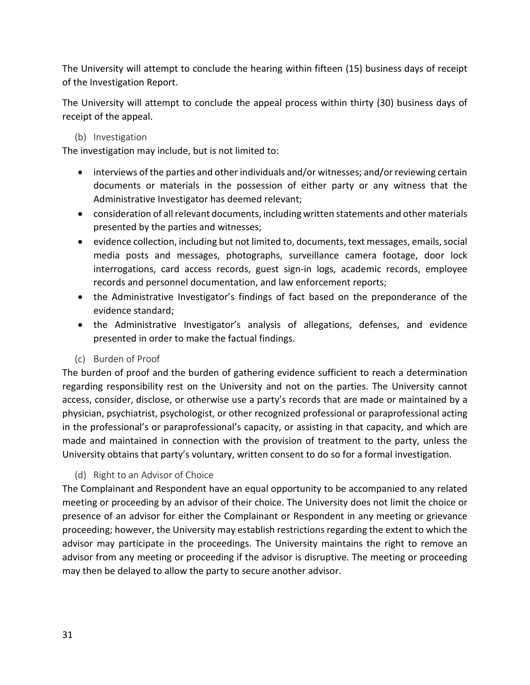The University will attempt to conclude the hearing within fifteen (15) business days of receipt of the Investigation Report.

The University will attempt to conclude the appeal process within thirty (30) business days of receipt of the appeal.

## (b) Investigation

The investigation may include, but is not limited to:

- interviews of the parties and other individuals and/or witnesses; and/or reviewing certain documents or materials in the possession of either party or any witness that the Administrative Investigator has deemed relevant;
- consideration of all relevant documents, including written statements and other materials presented by the parties and witnesses;
- evidence collection, including but not limited to, documents, text messages, emails, social media posts and messages, photographs, surveillance camera footage, door lock interrogations, card access records, guest sign-in logs, academic records, employee records and personnel documentation, and law enforcement reports;
- the Administrative Investigator's findings of fact based on the preponderance of the evidence standard;
- the Administrative Investigator's analysis of allegations, defenses, and evidence presented in order to make the factual findings.

## (c) Burden of Proof

The burden of proof and the burden of gathering evidence sufficient to reach a determination regarding responsibility rest on the University and not on the parties. The University cannot access, consider, disclose, or otherwise use a party's records that are made or maintained by a physician, psychiatrist, psychologist, or other recognized professional or paraprofessional acting in the professional's or paraprofessional's capacity, or assisting in that capacity, and which are made and maintained in connection with the provision of treatment to the party, unless the University obtains that party's voluntary, written consent to do so for a formal investigation.

## (d) Right to an Advisor of Choice

The Complainant and Respondent have an equal opportunity to be accompanied to any related meeting or proceeding by an advisor of their choice. The University does not limit the choice or presence of an advisor for either the Complainant or Respondent in any meeting or grievance proceeding; however, the University may establish restrictions regarding the extent to which the advisor may participate in the proceedings. The University maintains the right to remove an advisor from any meeting or proceeding if the advisor is disruptive. The meeting or proceeding may then be delayed to allow the party to secure another advisor.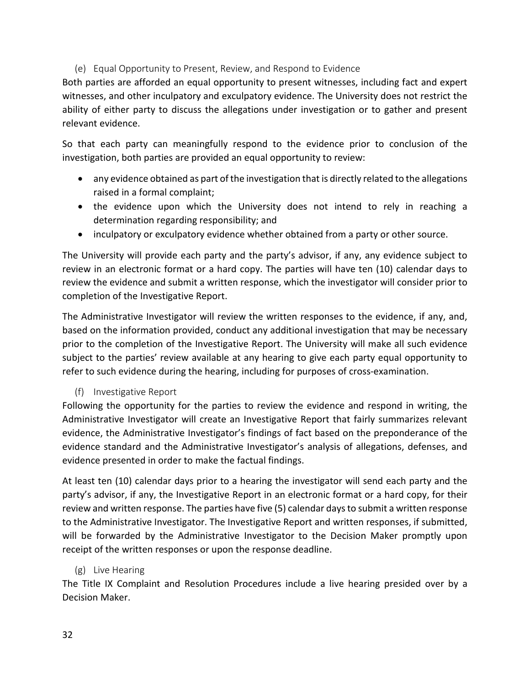#### (e) Equal Opportunity to Present, Review, and Respond to Evidence

Both parties are afforded an equal opportunity to present witnesses, including fact and expert witnesses, and other inculpatory and exculpatory evidence. The University does not restrict the ability of either party to discuss the allegations under investigation or to gather and present relevant evidence.

So that each party can meaningfully respond to the evidence prior to conclusion of the investigation, both parties are provided an equal opportunity to review:

- any evidence obtained as part of the investigation that is directly related to the allegations raised in a formal complaint;
- the evidence upon which the University does not intend to rely in reaching a determination regarding responsibility; and
- inculpatory or exculpatory evidence whether obtained from a party or other source.

The University will provide each party and the party's advisor, if any, any evidence subject to review in an electronic format or a hard copy. The parties will have ten (10) calendar days to review the evidence and submit a written response, which the investigator will consider prior to completion of the Investigative Report.

The Administrative Investigator will review the written responses to the evidence, if any, and, based on the information provided, conduct any additional investigation that may be necessary prior to the completion of the Investigative Report. The University will make all such evidence subject to the parties' review available at any hearing to give each party equal opportunity to refer to such evidence during the hearing, including for purposes of cross-examination.

#### (f) Investigative Report

Following the opportunity for the parties to review the evidence and respond in writing, the Administrative Investigator will create an Investigative Report that fairly summarizes relevant evidence, the Administrative Investigator's findings of fact based on the preponderance of the evidence standard and the Administrative Investigator's analysis of allegations, defenses, and evidence presented in order to make the factual findings.

At least ten (10) calendar days prior to a hearing the investigator will send each party and the party's advisor, if any, the Investigative Report in an electronic format or a hard copy, for their review and written response. The parties have five (5) calendar daysto submit a written response to the Administrative Investigator. The Investigative Report and written responses, if submitted, will be forwarded by the Administrative Investigator to the Decision Maker promptly upon receipt of the written responses or upon the response deadline.

#### (g) Live Hearing

The Title IX Complaint and Resolution Procedures include a live hearing presided over by a Decision Maker.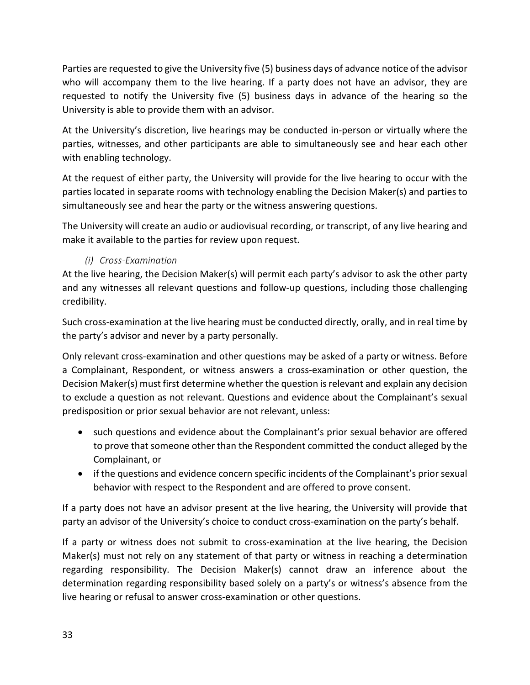Parties are requested to give the University five (5) business days of advance notice of the advisor who will accompany them to the live hearing. If a party does not have an advisor, they are requested to notify the University five (5) business days in advance of the hearing so the University is able to provide them with an advisor.

At the University's discretion, live hearings may be conducted in-person or virtually where the parties, witnesses, and other participants are able to simultaneously see and hear each other with enabling technology.

At the request of either party, the University will provide for the live hearing to occur with the parties located in separate rooms with technology enabling the Decision Maker(s) and parties to simultaneously see and hear the party or the witness answering questions.

The University will create an audio or audiovisual recording, or transcript, of any live hearing and make it available to the parties for review upon request.

# *(i) Cross-Examination*

At the live hearing, the Decision Maker(s) will permit each party's advisor to ask the other party and any witnesses all relevant questions and follow-up questions, including those challenging credibility.

Such cross-examination at the live hearing must be conducted directly, orally, and in real time by the party's advisor and never by a party personally.

Only relevant cross-examination and other questions may be asked of a party or witness. Before a Complainant, Respondent, or witness answers a cross-examination or other question, the Decision Maker(s) must first determine whether the question is relevant and explain any decision to exclude a question as not relevant. Questions and evidence about the Complainant's sexual predisposition or prior sexual behavior are not relevant, unless:

- such questions and evidence about the Complainant's prior sexual behavior are offered to prove that someone other than the Respondent committed the conduct alleged by the Complainant, or
- if the questions and evidence concern specific incidents of the Complainant's prior sexual behavior with respect to the Respondent and are offered to prove consent.

If a party does not have an advisor present at the live hearing, the University will provide that party an advisor of the University's choice to conduct cross-examination on the party's behalf.

If a party or witness does not submit to cross-examination at the live hearing, the Decision Maker(s) must not rely on any statement of that party or witness in reaching a determination regarding responsibility. The Decision Maker(s) cannot draw an inference about the determination regarding responsibility based solely on a party's or witness's absence from the live hearing or refusal to answer cross-examination or other questions.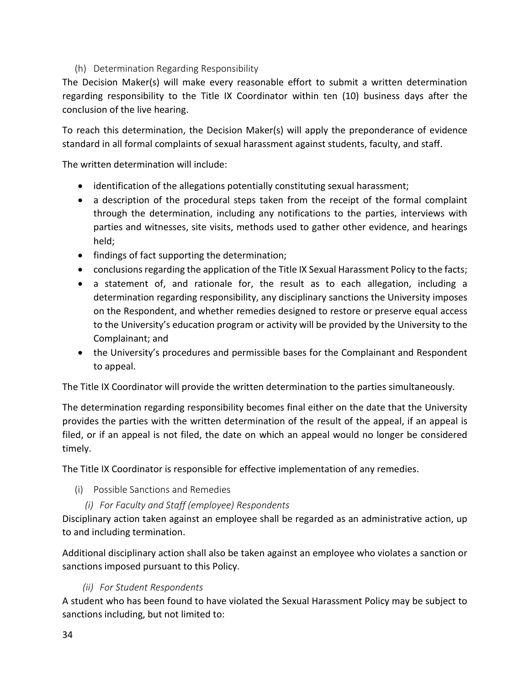# (h) Determination Regarding Responsibility

The Decision Maker(s) will make every reasonable effort to submit a written determination regarding responsibility to the Title IX Coordinator within ten (10) business days after the conclusion of the live hearing.

To reach this determination, the Decision Maker(s) will apply the preponderance of evidence standard in all formal complaints of sexual harassment against students, faculty, and staff.

The written determination will include:

- identification of the allegations potentially constituting sexual harassment;
- a description of the procedural steps taken from the receipt of the formal complaint through the determination, including any notifications to the parties, interviews with parties and witnesses, site visits, methods used to gather other evidence, and hearings held;
- findings of fact supporting the determination;
- conclusions regarding the application of the Title IX Sexual Harassment Policy to the facts;
- a statement of, and rationale for, the result as to each allegation, including a determination regarding responsibility, any disciplinary sanctions the University imposes on the Respondent, and whether remedies designed to restore or preserve equal access to the University's education program or activity will be provided by the University to the Complainant; and
- the University's procedures and permissible bases for the Complainant and Respondent to appeal.

The Title IX Coordinator will provide the written determination to the parties simultaneously.

The determination regarding responsibility becomes final either on the date that the University provides the parties with the written determination of the result of the appeal, if an appeal is filed, or if an appeal is not filed, the date on which an appeal would no longer be considered timely.

The Title IX Coordinator is responsible for effective implementation of any remedies.

- (i) Possible Sanctions and Remedies
	- *(i) For Faculty and Staff (employee) Respondents*

Disciplinary action taken against an employee shall be regarded as an administrative action, up to and including termination.

Additional disciplinary action shall also be taken against an employee who violates a sanction or sanctions imposed pursuant to this Policy.

## *(ii) For Student Respondents*

A student who has been found to have violated the Sexual Harassment Policy may be subject to sanctions including, but not limited to: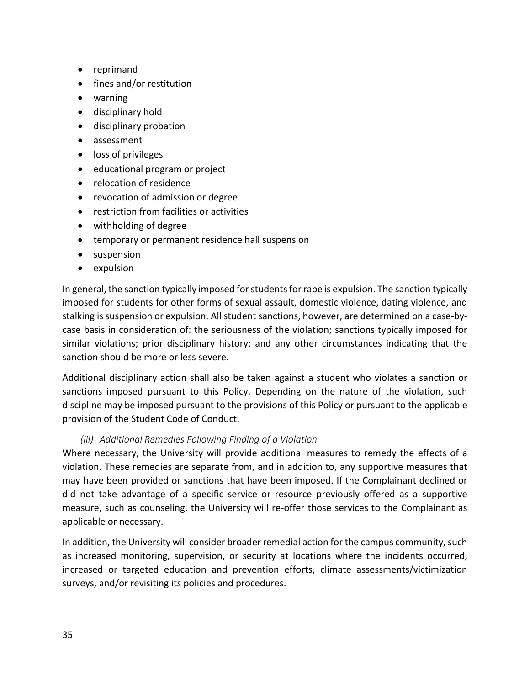- reprimand
- fines and/or restitution
- warning
- disciplinary hold
- disciplinary probation
- assessment
- loss of privileges
- educational program or project
- relocation of residence
- revocation of admission or degree
- restriction from facilities or activities
- withholding of degree
- temporary or permanent residence hall suspension
- suspension
- expulsion

In general, the sanction typically imposed for students for rape is expulsion. The sanction typically imposed for students for other forms of sexual assault, domestic violence, dating violence, and stalking is suspension or expulsion. All student sanctions, however, are determined on a case-bycase basis in consideration of: the seriousness of the violation; sanctions typically imposed for similar violations; prior disciplinary history; and any other circumstances indicating that the sanction should be more or less severe.

Additional disciplinary action shall also be taken against a student who violates a sanction or sanctions imposed pursuant to this Policy. Depending on the nature of the violation, such discipline may be imposed pursuant to the provisions of this Policy or pursuant to the applicable provision of the Student Code of Conduct.

## *(iii) Additional Remedies Following Finding of a Violation*

Where necessary, the University will provide additional measures to remedy the effects of a violation. These remedies are separate from, and in addition to, any supportive measures that may have been provided or sanctions that have been imposed. If the Complainant declined or did not take advantage of a specific service or resource previously offered as a supportive measure, such as counseling, the University will re-offer those services to the Complainant as applicable or necessary.

In addition, the University will consider broader remedial action for the campus community, such as increased monitoring, supervision, or security at locations where the incidents occurred, increased or targeted education and prevention efforts, climate assessments/victimization surveys, and/or revisiting its policies and procedures.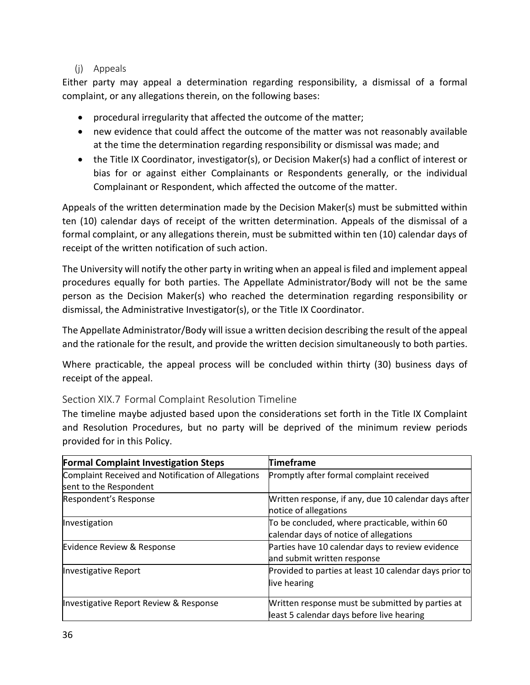## (j) Appeals

Either party may appeal a determination regarding responsibility, a dismissal of a formal complaint, or any allegations therein, on the following bases:

- procedural irregularity that affected the outcome of the matter;
- new evidence that could affect the outcome of the matter was not reasonably available at the time the determination regarding responsibility or dismissal was made; and
- the Title IX Coordinator, investigator(s), or Decision Maker(s) had a conflict of interest or bias for or against either Complainants or Respondents generally, or the individual Complainant or Respondent, which affected the outcome of the matter.

Appeals of the written determination made by the Decision Maker(s) must be submitted within ten (10) calendar days of receipt of the written determination. Appeals of the dismissal of a formal complaint, or any allegations therein, must be submitted within ten (10) calendar days of receipt of the written notification of such action.

The University will notify the other party in writing when an appeal is filed and implement appeal procedures equally for both parties. The Appellate Administrator/Body will not be the same person as the Decision Maker(s) who reached the determination regarding responsibility or dismissal, the Administrative Investigator(s), or the Title IX Coordinator.

The Appellate Administrator/Body will issue a written decision describing the result of the appeal and the rationale for the result, and provide the written decision simultaneously to both parties.

Where practicable, the appeal process will be concluded within thirty (30) business days of receipt of the appeal.

## Section XIX.7 Formal Complaint Resolution Timeline

The timeline maybe adjusted based upon the considerations set forth in the Title IX Complaint and Resolution Procedures, but no party will be deprived of the minimum review periods provided for in this Policy.

| <b>Formal Complaint Investigation Steps</b>                                  | <b>Timeframe</b>                                                                              |
|------------------------------------------------------------------------------|-----------------------------------------------------------------------------------------------|
| Complaint Received and Notification of Allegations<br>sent to the Respondent | Promptly after formal complaint received                                                      |
| Respondent's Response                                                        | Written response, if any, due 10 calendar days after<br>notice of allegations                 |
| Investigation                                                                | To be concluded, where practicable, within 60<br>calendar days of notice of allegations       |
| Evidence Review & Response                                                   | Parties have 10 calendar days to review evidence<br>and submit written response               |
| Investigative Report                                                         | Provided to parties at least 10 calendar days prior to<br>live hearing                        |
| Investigative Report Review & Response                                       | Written response must be submitted by parties at<br>least 5 calendar days before live hearing |